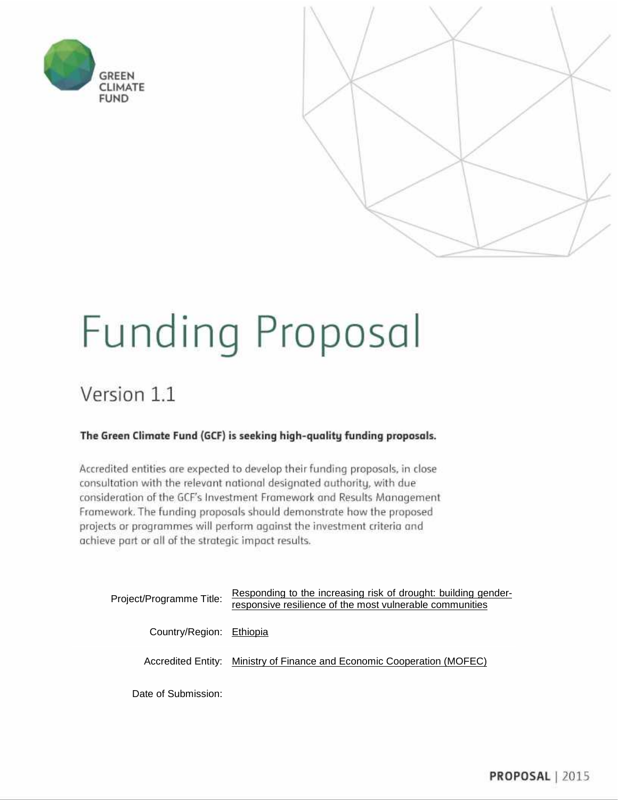



# Funding Proposal

### Version 1.1

#### The Green Climate Fund (GCF) is seeking high-quality funding proposals.

Accredited entities are expected to develop their funding proposals, in close consultation with the relevant national designated authority, with due consideration of the GCF's Investment Framework and Results Management Framework. The funding proposals should demonstrate how the proposed projects or programmes will perform against the investment criteria and achieve part or all of the strategic impact results.

| Project/Programme Title: | Responding to the increasing risk of drought: building gender-<br>responsive resilience of the most vulnerable communities |
|--------------------------|----------------------------------------------------------------------------------------------------------------------------|
| Country/Region: Ethiopia |                                                                                                                            |
|                          | Accredited Entity: Ministry of Finance and Economic Cooperation (MOFEC)                                                    |
|                          |                                                                                                                            |

Date of Submission: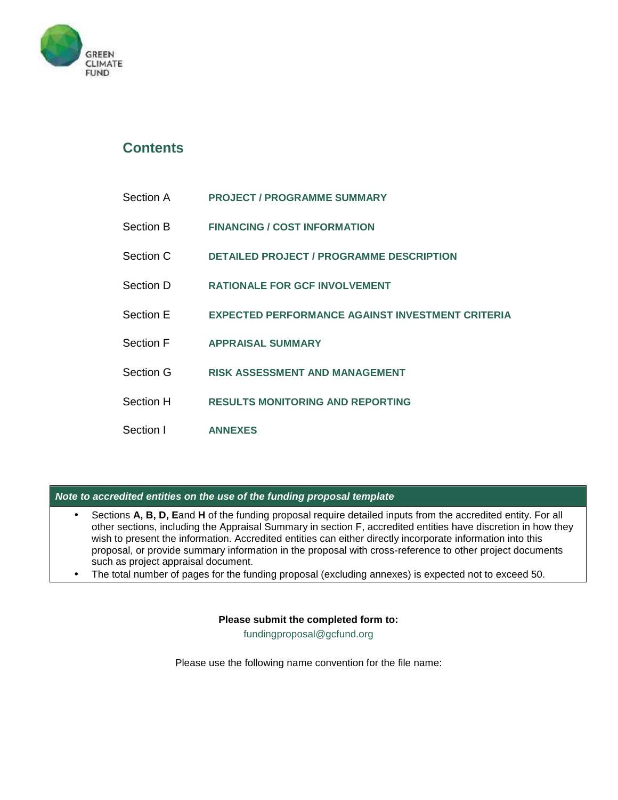

### **Contents**

| Section A | <b>PROJECT / PROGRAMME SUMMARY</b> |
|-----------|------------------------------------|
|-----------|------------------------------------|

- Section B **FINANCING / COST INFORMATION**
- Section C **DETAILED PROJECT / PROGRAMME DESCRIPTION**
- Section D **RATIONALE FOR GCF INVOLVEMENT**
- Section E **EXPECTED PERFORMANCE AGAINST INVESTMENT CRITERIA**
- Section F **APPRAISAL SUMMARY**
- Section G **RISK ASSESSMENT AND MANAGEMENT**
- Section H **RESULTS MONITORING AND REPORTING**
- Section I **ANNEXES**

#### *Note to accredited entities on the use of the funding proposal template*

- Sections **A, B, D, E**and **H** of the funding proposal require detailed inputs from the accredited entity. For all other sections, including the Appraisal Summary in section F, accredited entities have discretion in how they wish to present the information. Accredited entities can either directly incorporate information into this proposal, or provide summary information in the proposal with cross-reference to other project documents such as project appraisal document.
- The total number of pages for the funding proposal (excluding annexes) is expected not to exceed 50.

#### **Please submit the completed form to:**

fundingproposal@gcfund.org

Please use the following name convention for the file name: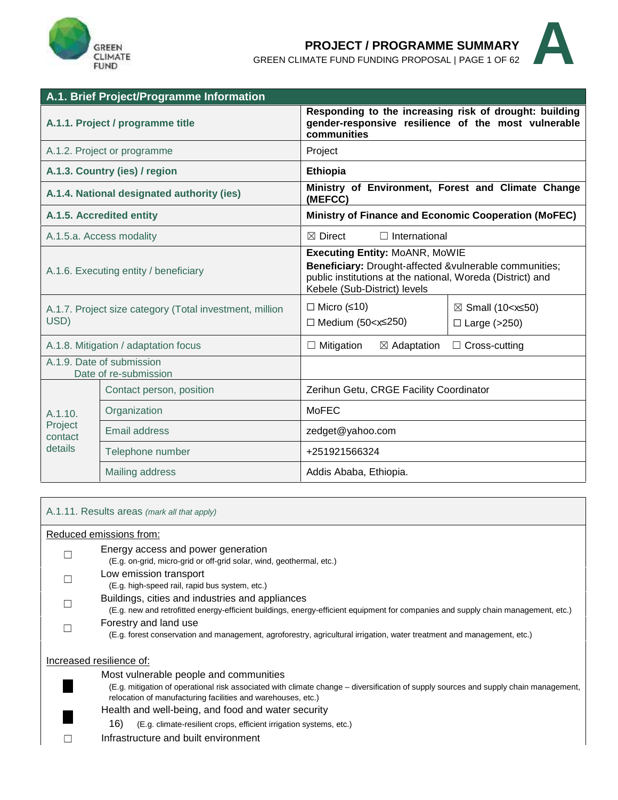

### **PROJECT / PROGRAMME SUMMARY**

GREEN CLIMATE FUND FUNDING PROPOSAL | PAGE 1OF <sup>62</sup> **A**



|                                                                 | A.1. Brief Project/Programme Information           |                                                                                                                                                                                               |                                                                          |  |
|-----------------------------------------------------------------|----------------------------------------------------|-----------------------------------------------------------------------------------------------------------------------------------------------------------------------------------------------|--------------------------------------------------------------------------|--|
|                                                                 | A.1.1. Project / programme title                   | Responding to the increasing risk of drought: building<br>gender-responsive resilience of the most vulnerable<br>communities                                                                  |                                                                          |  |
|                                                                 | A.1.2. Project or programme                        | Project                                                                                                                                                                                       |                                                                          |  |
|                                                                 | A.1.3. Country (ies) / region                      | Ethiopia                                                                                                                                                                                      |                                                                          |  |
|                                                                 | A.1.4. National designated authority (ies)         | Ministry of Environment, Forest and Climate Change<br>(MEFCC)                                                                                                                                 |                                                                          |  |
|                                                                 | A.1.5. Accredited entity                           | Ministry of Finance and Economic Cooperation (MoFEC)                                                                                                                                          |                                                                          |  |
|                                                                 | A.1.5.a. Access modality                           | $\boxtimes$ Direct<br>$\Box$ International                                                                                                                                                    |                                                                          |  |
| A.1.6. Executing entity / beneficiary                           |                                                    | <b>Executing Entity: MoANR, MoWIE</b><br>Beneficiary: Drought-affected &vulnerable communities;<br>public institutions at the national, Woreda (District) and<br>Kebele (Sub-District) levels |                                                                          |  |
| A.1.7. Project size category (Total investment, million<br>USD) |                                                    | $\Box$ Micro (10)<br>$\Box$ Medium (50 - x 250)                                                                                                                                               | $\boxtimes$ Small (10 <x 50)<br=""><math>\Box</math> Large (&gt;250)</x> |  |
|                                                                 | A.1.8. Mitigation / adaptation focus               | $\Box$ Mitigation<br>$\boxtimes$ Adaptation                                                                                                                                                   | $\Box$ Cross-cutting                                                     |  |
|                                                                 | A.1.9. Date of submission<br>Date of re-submission |                                                                                                                                                                                               |                                                                          |  |
|                                                                 | Contact person, position                           | Zerihun Getu, CRGE Facility Coordinator                                                                                                                                                       |                                                                          |  |
| A.1.10.                                                         | Organization                                       | <b>MoFEC</b>                                                                                                                                                                                  |                                                                          |  |
| Project<br>contact                                              | <b>Email address</b>                               | zedget@yahoo.com                                                                                                                                                                              |                                                                          |  |
| details                                                         | Telephone number                                   | +251921566324                                                                                                                                                                                 |                                                                          |  |
|                                                                 | Mailing address                                    | Addis Ababa, Ethiopia.                                                                                                                                                                        |                                                                          |  |
|                                                                 |                                                    |                                                                                                                                                                                               |                                                                          |  |

| A.1.11. Results areas (mark all that apply)                                                                                                                                                          |
|------------------------------------------------------------------------------------------------------------------------------------------------------------------------------------------------------|
| Reduced emissions from:                                                                                                                                                                              |
| Energy access and power generation<br>(E.g. on-grid, micro-grid or off-grid solar, wind, geothermal, etc.)                                                                                           |
| Low emission transport<br>(E.g. high-speed rail, rapid bus system, etc.)                                                                                                                             |
| Buildings, cities and industries and appliances<br>(E.g. new and retrofitted energy-efficient buildings, energy-efficient equipment for companies and supply chain management, etc.)                 |
| Forestry and land use<br>(E.g. forest conservation and management, agroforestry, agricultural irrigation, water treatment and management, etc.)                                                      |
| Increased resilience of:<br>Most vulnerable people and communities                                                                                                                                   |
| (E.g. mitigation of operational risk associated with climate change – diversification of supply sources and supply chain management,<br>relocation of manufacturing facilities and warehouses, etc.) |
| Health and well-being, and food and water security<br>16)<br>(E.g. climate-resilient crops, efficient irrigation systems, etc.)                                                                      |
| Infrastructure and built environment                                                                                                                                                                 |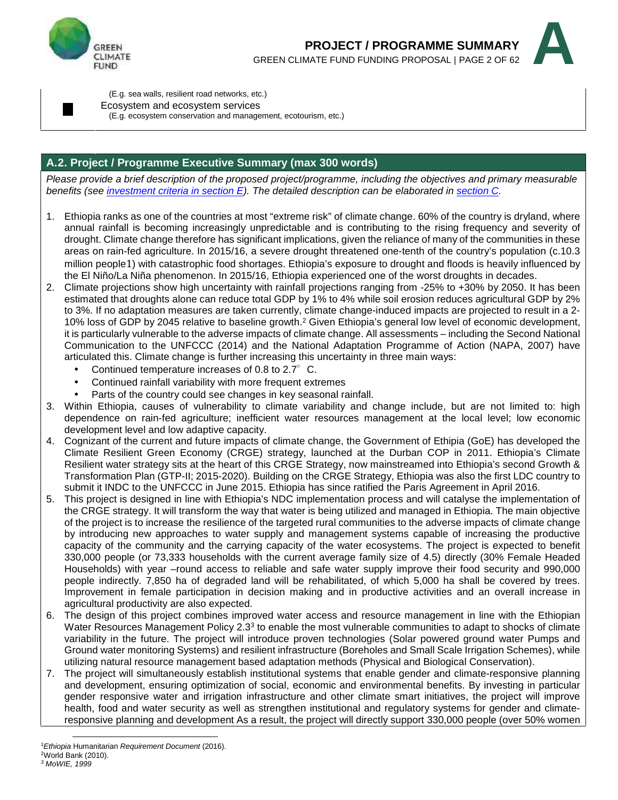



(E.g. sea walls, resilient road networks, etc.)

Ecosystem and ecosystem services

(E.g. ecosystem conservation and management, ecotourism, etc.)

#### **A.2. Project / Programme Executive Summary (max 300 words)**

*Please provide a brief description of the proposed project/programme, including the objectives and primary measurable benefits (see investment criteria in section E). The detailed description can be elaborated in section C.*

- 1. Ethiopia ranks as one of the countries at most "extreme risk" of climate change. 60% of the country is dryland, where annual rainfall is becoming increasingly unpredictable and is contributing to the rising frequency and severity of drought. Climate change therefore has significant implications, given the reliance of many of the communities in these areas on rain-fed agriculture. In 2015/16, a severe drought threatened one-tenth of the country's population (c.10.3 million people1) with catastrophic food shortages. Ethiopia's exposure to drought and floods is heavily influenced by the El Niño/La Niña phenomenon. In 2015/16, Ethiopia experienced one of the worst droughts in decades.
- 2. Climate projections show high uncertainty with rainfall projections ranging from -25% to +30% by 2050. It has been estimated that droughts alone can reduce total GDP by 1% to 4% while soil erosion reduces agricultural GDP by 2% to 3%. If no adaptation measures are taken currently, climate change-induced impacts are projected to result in a 2- 10% loss of GDP by 2045 relative to baseline growth.<sup>2</sup> Given Ethiopia's general low level of economic development, it is particularly vulnerable to the adverse impacts of climate change. All assessments – including the Second National Communication to the UNFCCC (2014) and the National Adaptation Programme of Action (NAPA, 2007) have articulated this.Climate change is further increasing this uncertainty in three main ways:
	- Continued temperature increases of 0.8 to  $2.7^{\circ}$  C.
	- Continued rainfall variability with more frequent extremes
	- Parts of the country could see changes in key seasonal rainfall.
- 3. Within Ethiopia, causes of vulnerability to climate variability and change include, but are not limited to: high dependence on rain-fed agriculture; inefficient water resources management at the local level; low economic development level and low adaptive capacity.
- 4. Cognizant of the current and future impacts of climate change, the Government of Ethipia (GoE) has developed the Climate Resilient Green Economy (CRGE) strategy, launched at the Durban COP in 2011. Ethiopia's Climate Resilient water strategy sits at the heart of this CRGE Strategy, now mainstreamed into Ethiopia's second Growth & Transformation Plan (GTP-II; 2015-2020). Building on the CRGE Strategy, Ethiopia was also the first LDC country to submit it INDC to the UNFCCC in June 2015. Ethiopia has since ratified the Paris Agreement in April 2016.
- 5. This project is designed in line with Ethiopia's NDC implementation process and will catalyse the implementation of the CRGE strategy. It will transform the way that water is being utilized and managed in Ethiopia. The main objective of the project is to increase the resilience of the targeted rural communities to the adverse impacts of climate change by introducing new approaches to water supply and management systems capable of increasing the productive capacity of the community and the carrying capacity of the water ecosystems. The project is expected to benefit 330,000 people (or 73,333 households with the current average family size of 4.5) directly (30% Female Headed Households) with year –round access to reliable and safe water supply improve their food security and 990,000 people indirectly. 7,850 ha of degraded land will be rehabilitated, of which 5,000 ha shall be covered by trees. Improvement in female participation in decision making and in productive activities and an overall increase in agricultural productivity are also expected.
- 6. The design of this project combines improved water access and resource management in line with the Ethiopian Water Resources Management Policy 2.3<sup>3</sup> to enable the most vulnerable communities to adapt to shocks of climate  $\mid$ variability in the future. The project will introduce proven technologies (Solar powered ground water Pumps and Ground water monitoring Systems) and resilient infrastructure (Boreholes and Small Scale Irrigation Schemes), while utilizing natural resource management based adaptation methods (Physical and Biological Conservation).
- 7. The project will simultaneously establish institutional systems that enable gender and climate-responsive planning and development, ensuring optimization of social, economic and environmental benefits. By investing in particular gender responsive water and irrigation infrastructure and other climate smart initiatives, the project will improve health, food and water security as well as strengthen institutional and regulatory systems for gender and climateresponsive planning and development As a result, the project will directly support 330,000 people (over 50% women

<sup>1</sup>*Ethiopia* Humanitarian *Requirement Document* (2016).

 $2$ World Bank (2010).

*<sup>3</sup> MoWIE, 1999*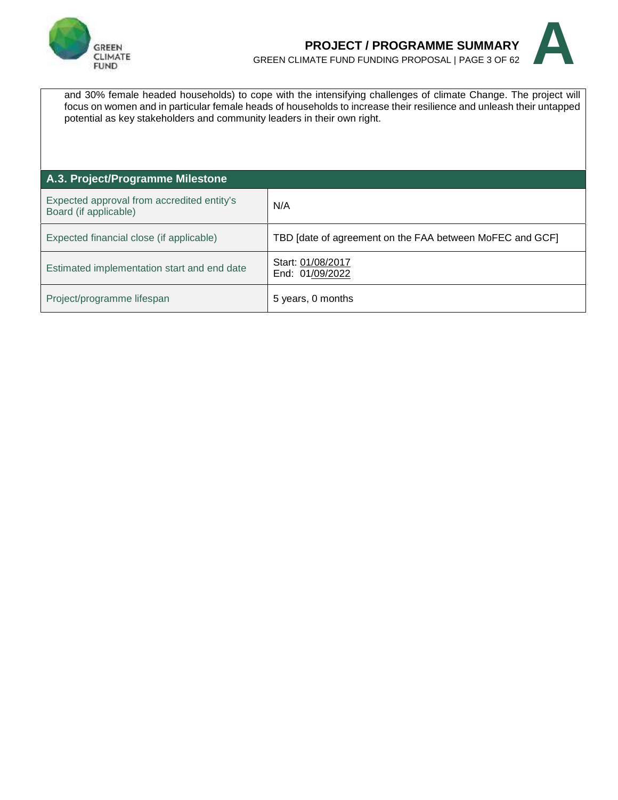

### **PROJECT / PROGRAMME SUMMARY** GREEN CLIMATE FUND FUNDING PROPOSAL | PAGE 3OF <sup>62</sup> **A**



and 30% female headed households) to cope with the intensifying challenges of climate Change. The project will focus on women and in particular female heads of households to increase their resilience and unleash their untapped potential as key stakeholders and community leaders in their own right.

| A.3. Project/Programme Milestone                                    |                                                          |
|---------------------------------------------------------------------|----------------------------------------------------------|
| Expected approval from accredited entity's<br>Board (if applicable) | N/A                                                      |
| Expected financial close (if applicable)                            | TBD [date of agreement on the FAA between MoFEC and GCF] |
| Estimated implementation start and end date                         | Start: 01/08/2017<br>End: 01/09/2022                     |
| Project/programme lifespan                                          | 5 years, 0 months                                        |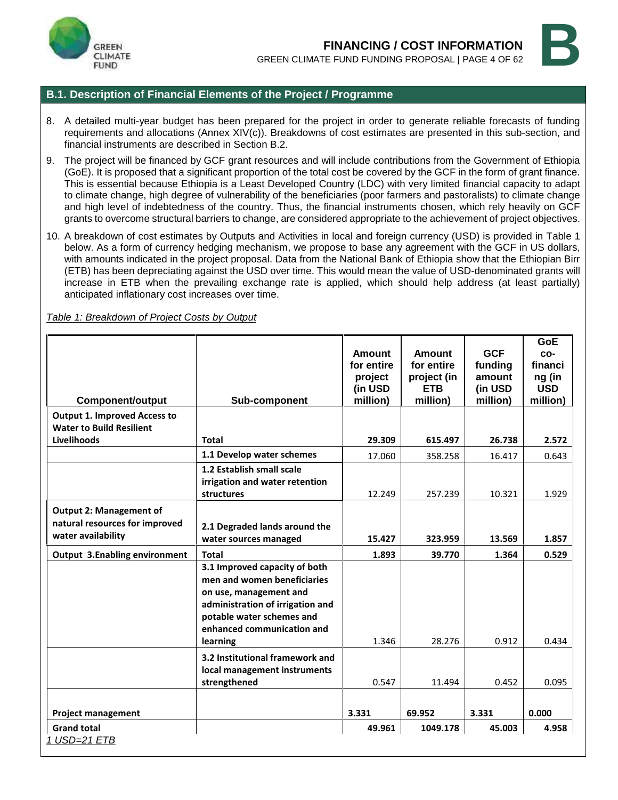



#### **B.1. Description of Financial Elements of the Project / Programme**

- 8. A detailed multi-year budget has been prepared for the project in order to generate reliable forecasts of funding requirements and allocations (Annex XIV(c)). Breakdowns of cost estimates are presented in this sub-section, and financial instruments are described in Section B.2.
- 9. The project will be financed by GCF grant resources and will include contributions from the Government of Ethiopia (GoE). It is proposed that a significant proportion of the total cost be covered by the GCF in the form of grant finance. This is essential because Ethiopia is a Least Developed Country (LDC) with very limited financial capacity to adapt to climate change, high degree of vulnerability of the beneficiaries (poor farmers and pastoralists) to climate change and high level of indebtedness of the country. Thus, the financial instruments chosen, which rely heavily on GCF grants to overcome structural barriers to change, are considered appropriate to the achievement of project objectives.
- 10. A breakdown of cost estimates by Outputs and Activities in local and foreign currency (USD) is provided in Table 1 below. As a form of currency hedging mechanism, we propose to base any agreement with the GCF in US dollars, with amounts indicated in the project proposal. Data from the National Bank of Ethiopia show that the Ethiopian Birr (ETB) has been depreciating against the USD over time. This would mean the value of USD-denominated grants will increase in ETB when the prevailing exchange rate is applied, which should help address (at least partially) anticipated inflationary cost increases over time.

*Table 1: Breakdown of Project Costs by Output*

| <b>Component/output</b>                                                                | Sub-component                                                                                                                                                                                     | Amount<br>for entire<br>project<br>(in USD<br>million) | Amount<br>for entire<br>project (in<br><b>ETB</b><br>million) | <b>GCF</b><br>funding<br>amount<br>(in USD<br>million) | GoE<br>CO-<br>financi<br>ng (in<br><b>USD</b><br>million) |
|----------------------------------------------------------------------------------------|---------------------------------------------------------------------------------------------------------------------------------------------------------------------------------------------------|--------------------------------------------------------|---------------------------------------------------------------|--------------------------------------------------------|-----------------------------------------------------------|
| <b>Output 1. Improved Access to</b>                                                    |                                                                                                                                                                                                   |                                                        |                                                               |                                                        |                                                           |
| <b>Water to Build Resilient</b>                                                        |                                                                                                                                                                                                   |                                                        |                                                               |                                                        |                                                           |
| Livelihoods                                                                            | <b>Total</b>                                                                                                                                                                                      | 29.309                                                 | 615.497                                                       | 26.738                                                 | 2.572                                                     |
|                                                                                        | 1.1 Develop water schemes                                                                                                                                                                         | 17.060                                                 | 358.258                                                       | 16.417                                                 | 0.643                                                     |
|                                                                                        | 1.2 Establish small scale<br>irrigation and water retention<br>structures                                                                                                                         | 12.249                                                 | 257.239                                                       | 10.321                                                 | 1.929                                                     |
| <b>Output 2: Management of</b><br>natural resources for improved<br>water availability | 2.1 Degraded lands around the<br>water sources managed                                                                                                                                            | 15.427                                                 | 323.959                                                       | 13.569                                                 | 1.857                                                     |
| <b>Output 3.Enabling environment</b>                                                   | <b>Total</b>                                                                                                                                                                                      | 1.893                                                  | 39.770                                                        | 1.364                                                  | 0.529                                                     |
|                                                                                        | 3.1 Improved capacity of both<br>men and women beneficiaries<br>on use, management and<br>administration of irrigation and<br>potable water schemes and<br>enhanced communication and<br>learning | 1.346                                                  | 28.276                                                        | 0.912                                                  | 0.434                                                     |
|                                                                                        | 3.2 Institutional framework and<br>local management instruments<br>strengthened                                                                                                                   | 0.547                                                  | 11.494                                                        | 0.452                                                  | 0.095                                                     |
| <b>Project management</b>                                                              |                                                                                                                                                                                                   | 3.331                                                  | 69.952                                                        | 3.331                                                  | 0.000                                                     |
| <b>Grand total</b><br>1 USD=21 ETB                                                     |                                                                                                                                                                                                   | 49.961                                                 | 1049.178                                                      | 45.003                                                 | 4.958                                                     |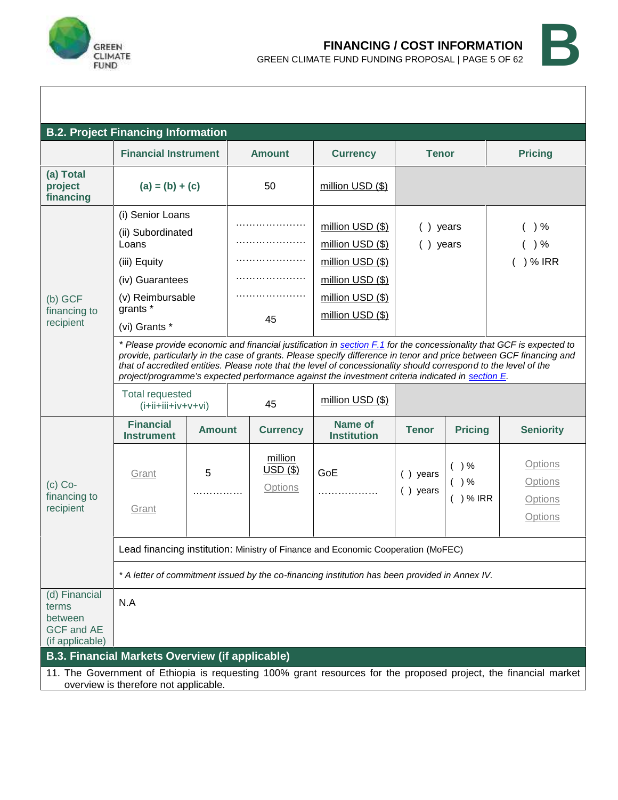



|                                                                           | <b>B.2. Project Financing Information</b>                                                                                                                                          |               |  |                                         |                                                                                                                                                                                                                                          |                         |                            |                                                                                                                                                                                                                                             |
|---------------------------------------------------------------------------|------------------------------------------------------------------------------------------------------------------------------------------------------------------------------------|---------------|--|-----------------------------------------|------------------------------------------------------------------------------------------------------------------------------------------------------------------------------------------------------------------------------------------|-------------------------|----------------------------|---------------------------------------------------------------------------------------------------------------------------------------------------------------------------------------------------------------------------------------------|
|                                                                           | <b>Financial Instrument</b>                                                                                                                                                        |               |  | <b>Amount</b>                           | <b>Currency</b>                                                                                                                                                                                                                          | <b>Tenor</b>            |                            | <b>Pricing</b>                                                                                                                                                                                                                              |
| (a) Total<br>project<br>financing                                         | $(a) = (b) + (c)$                                                                                                                                                                  |               |  | 50                                      | million USD (\$)                                                                                                                                                                                                                         |                         |                            |                                                                                                                                                                                                                                             |
| (b) GCF<br>financing to<br>recipient                                      | (i) Senior Loans<br>(ii) Subordinated<br>Loans<br>(iii) Equity<br>(iv) Guarantees<br>(v) Reimbursable<br>grants *<br>(vi) Grants *                                                 |               |  | 45                                      | million USD (\$)<br>million USD (\$)<br>million USD (\$)<br>million USD (\$)<br>million USD (\$)<br>million USD (\$)                                                                                                                     | ) years<br>() years     |                            | $\%$<br>) %<br>) % IRR                                                                                                                                                                                                                      |
|                                                                           | <b>Total requested</b><br>$(i+iii+iiv+v+vi)$                                                                                                                                       |               |  | 45                                      | that of accredited entities. Please note that the level of concessionality should correspond to the level of the<br>project/programme's expected performance against the investment criteria indicated in section E.<br>million USD (\$) |                         |                            | * Please provide economic and financial justification in section F.1 for the concessionality that GCF is expected to<br>provide, particularly in the case of grants. Please specify difference in tenor and price between GCF financing and |
|                                                                           | <b>Financial</b><br><b>Instrument</b>                                                                                                                                              | <b>Amount</b> |  | <b>Currency</b>                         | <b>Name of</b><br><b>Institution</b>                                                                                                                                                                                                     | <b>Tenor</b>            | <b>Pricing</b>             | <b>Seniority</b>                                                                                                                                                                                                                            |
| $(c)$ Co-<br>financing to<br>recipient                                    | Grant<br>Grant                                                                                                                                                                     | 5<br>.        |  | million<br>$USD($ \$)<br><b>Options</b> | GoE<br>.                                                                                                                                                                                                                                 | () years<br>$( )$ years | () %<br>( ) %<br>( ) % IRR | Options<br><b>Options</b><br>Options<br>Options                                                                                                                                                                                             |
|                                                                           | Lead financing institution: Ministry of Finance and Economic Cooperation (MoFEC)<br>* A letter of commitment issued by the co-financing institution has been provided in Annex IV. |               |  |                                         |                                                                                                                                                                                                                                          |                         |                            |                                                                                                                                                                                                                                             |
| (d) Financial<br>terms<br>between<br><b>GCF and AE</b><br>(if applicable) | N.A                                                                                                                                                                                |               |  |                                         |                                                                                                                                                                                                                                          |                         |                            |                                                                                                                                                                                                                                             |
|                                                                           | <b>B.3. Financial Markets Overview (if applicable)</b>                                                                                                                             |               |  |                                         |                                                                                                                                                                                                                                          |                         |                            |                                                                                                                                                                                                                                             |
|                                                                           | overview is therefore not applicable.                                                                                                                                              |               |  |                                         |                                                                                                                                                                                                                                          |                         |                            | 11. The Government of Ethiopia is requesting 100% grant resources for the proposed project, the financial market                                                                                                                            |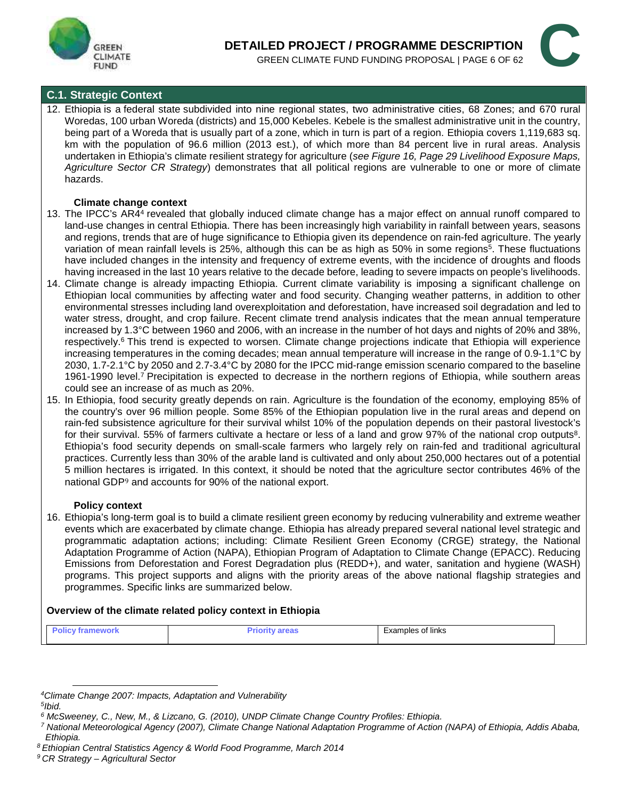



#### **C.1. Strategic Context**

12. Ethiopia is a federal state subdivided into nine regional states, two administrative cities, 68 Zones; and 670 rural Woredas, 100 urban Woreda (districts) and 15,000 Kebeles. Kebele is the smallest administrative unit in the country, being part of a Woreda that is usually part of a zone, which in turn is part of a region. Ethiopia covers 1,119,683 sq. km with the population of 96.6 million (2013 est.), of which more than 84 percent live in rural areas. Analysis undertaken in Ethiopia's climate resilient strategy for agriculture (*see Figure 16, Page 29 Livelihood Exposure Maps, Agriculture Sector CR Strategy*) demonstrates that all political regions are vulnerable to one or more of climate hazards.

#### **Climate change context**

- 13. The IPCC's AR4<sup>4</sup> revealed that globally induced climate change has a major effect on annual runoff compared to land-use changes in central Ethiopia. There has been increasingly high variability in rainfall between years, seasons and regions, trends that are of huge significance to Ethiopia given its dependence on rain-fed agriculture. The yearly variation of mean rainfall levels is 25%, although this can be as high as 50% in some regions<sup>5</sup>. These fluctuations  $\mid$ have included changes in the intensity and frequency of extreme events, with the incidence of droughts and floods having increased in the last 10 years relative to the decade before, leading to severe impacts on people's livelihoods.
- 14. Climate change is already impacting Ethiopia. Current climate variability is imposing a significant challenge on Ethiopian local communities by affecting water and food security. Changing weather patterns, in addition to other environmental stresses including land overexploitation and deforestation, have increased soil degradation and led to water stress, drought, and crop failure. Recent climate trend analysis indicates that the mean annual temperature increased by 1.3°C between 1960 and 2006, with an increase in the number of hot days and nights of 20% and 38%, respectively.<sup>6</sup> This trend is expected to worsen. Climate change projections indicate that Ethiopia will experience increasing temperatures in the coming decades; mean annual temperature will increase in the range of 0.9-1.1°C by 2030, 1.7-2.1°C by 2050 and 2.7-3.4°C by 2080 for the IPCC mid-range emission scenario compared to the baseline 1961-1990 level.<sup>7</sup> Precipitation is expected to decrease in the northern regions of Ethiopia, while southern areas could see an increase of as much as 20%.
- 15. In Ethiopia, food security greatly depends on rain. Agriculture is the foundation of the economy, employing 85% of the country's over 96 million people. Some 85% of the Ethiopian population live in the rural areas and depend on rain-fed subsistence agriculture for their survival whilst 10% of the population depends on their pastoral livestock's for their survival. 55% of farmers cultivate a hectare or less of a land and grow 97% of the national crop outputs<sup>8</sup>.  $\mid$ Ethiopia's food security depends on small-scale farmers who largely rely on rain-fed and traditional agricultural practices. Currently less than 30% of the arable land is cultivated and only about 250,000 hectares out of a potential 5 million hectares is irrigated. In this context, it should be noted that the agriculture sector contributes 46% of the national GDP<sup>9</sup> and accounts for 90% of the national export.

#### **Policy context**

16. Ethiopia's long-term goal is to build a climate resilient green economy by reducing vulnerability and extreme weather events which are exacerbated by climate change. Ethiopia has already prepared several national level strategic and programmatic adaptation actions; including: Climate Resilient Green Economy (CRGE) strategy, the National Adaptation Programme of Action (NAPA), Ethiopian Program of Adaptation to Climate Change (EPACC). Reducing Emissions from Deforestation and Forest Degradation plus (REDD+), and water, sanitation and hygiene (WASH) programs. This project supports and aligns with the priority areas of the above national flagship strategies and programmes. Specific links are summarized below.

#### **Overview of the climate related policy context in Ethiopia**

| o | ____<br>. | .<br>.<br>∵lınks<br>onie: |
|---|-----------|---------------------------|
|---|-----------|---------------------------|

*<sup>4</sup>Climate Change 2007: Impacts, Adaptation and Vulnerability*

*<sup>5</sup> Ibid.*

*<sup>6</sup> McSweeney, C., New, M., & Lizcano, G. (2010), UNDP Climate Change Country Profiles: Ethiopia.*

*<sup>7</sup> National Meteorological Agency (2007), Climate Change National Adaptation Programme of Action (NAPA) of Ethiopia, Addis Ababa, Ethiopia.*

*<sup>8</sup> Ethiopian Central Statistics Agency & World Food Programme, March 2014*

*<sup>9</sup> CR Strategy – Agricultural Sector*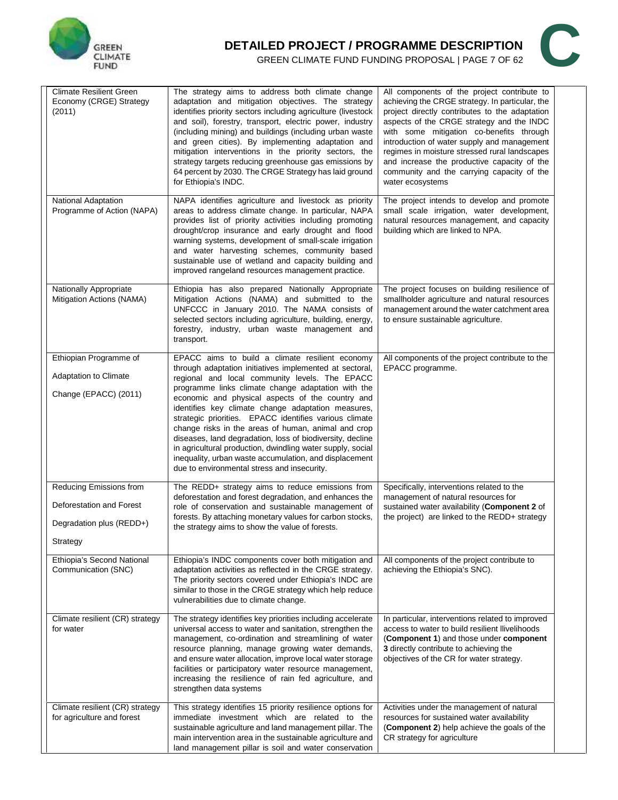

# **DETAILED PROJECT / PROGRAMME DESCRIPTION<br>GREEN CLIMATE FUND FUNDING PROPOSAL | PAGE 7 OF 62 ILED PROJECT / PROGRAMME DESCRIPTION GREEN CLIMATE FUND FUNDING PROPOSAL | PAGE 7 OF 62**



| <b>Climate Resilient Green</b><br>Economy (CRGE) Strategy<br>(2011)                         | The strategy aims to address both climate change<br>adaptation and mitigation objectives. The strategy<br>identifies priority sectors including agriculture (livestock<br>and soil), forestry, transport, electric power, industry<br>(including mining) and buildings (including urban waste<br>and green cities). By implementing adaptation and<br>mitigation interventions in the priority sectors, the<br>strategy targets reducing greenhouse gas emissions by<br>64 percent by 2030. The CRGE Strategy has laid ground<br>for Ethiopia's INDC.                                                                                                                             | All components of the project contribute to<br>achieving the CRGE strategy. In particular, the<br>project directly contributes to the adaptation<br>aspects of the CRGE strategy and the INDC<br>with some mitigation co-benefits through<br>introduction of water supply and management<br>regimes in moisture stressed rural landscapes<br>and increase the productive capacity of the<br>community and the carrying capacity of the<br>water ecosystems |
|---------------------------------------------------------------------------------------------|-----------------------------------------------------------------------------------------------------------------------------------------------------------------------------------------------------------------------------------------------------------------------------------------------------------------------------------------------------------------------------------------------------------------------------------------------------------------------------------------------------------------------------------------------------------------------------------------------------------------------------------------------------------------------------------|------------------------------------------------------------------------------------------------------------------------------------------------------------------------------------------------------------------------------------------------------------------------------------------------------------------------------------------------------------------------------------------------------------------------------------------------------------|
| <b>National Adaptation</b><br>Programme of Action (NAPA)                                    | NAPA identifies agriculture and livestock as priority<br>areas to address climate change. In particular, NAPA<br>provides list of priority activities including promoting<br>drought/crop insurance and early drought and flood<br>warning systems, development of small-scale irrigation<br>and water harvesting schemes, community based<br>sustainable use of wetland and capacity building and<br>improved rangeland resources management practice.                                                                                                                                                                                                                           | The project intends to develop and promote<br>small scale irrigation, water development,<br>natural resources management, and capacity<br>building which are linked to NPA.                                                                                                                                                                                                                                                                                |
| Nationally Appropriate<br>Mitigation Actions (NAMA)                                         | Ethiopia has also prepared Nationally Appropriate<br>Mitigation Actions (NAMA) and submitted to the<br>UNFCCC in January 2010. The NAMA consists of<br>selected sectors including agriculture, building, energy,<br>forestry, industry, urban waste management and<br>transport.                                                                                                                                                                                                                                                                                                                                                                                                  | The project focuses on building resilience of<br>smallholder agriculture and natural resources<br>management around the water catchment area<br>to ensure sustainable agriculture.                                                                                                                                                                                                                                                                         |
| Ethiopian Programme of<br><b>Adaptation to Climate</b><br>Change (EPACC) (2011)             | EPACC aims to build a climate resilient economy<br>through adaptation initiatives implemented at sectoral,<br>regional and local community levels. The EPACC<br>programme links climate change adaptation with the<br>economic and physical aspects of the country and<br>identifies key climate change adaptation measures,<br>strategic priorities. EPACC identifies various climate<br>change risks in the areas of human, animal and crop<br>diseases, land degradation, loss of biodiversity, decline<br>in agricultural production, dwindling water supply, social<br>inequality, urban waste accumulation, and displacement<br>due to environmental stress and insecurity. | All components of the project contribute to the<br>EPACC programme.                                                                                                                                                                                                                                                                                                                                                                                        |
| Reducing Emissions from<br>Deforestation and Forest<br>Degradation plus (REDD+)<br>Strategy | The REDD+ strategy aims to reduce emissions from<br>deforestation and forest degradation, and enhances the<br>role of conservation and sustainable management of<br>forests. By attaching monetary values for carbon stocks,<br>the strategy aims to show the value of forests.                                                                                                                                                                                                                                                                                                                                                                                                   | Specifically, interventions related to the<br>management of natural resources for<br>sustained water availability (Component 2 of<br>the project) are linked to the REDD+ strategy                                                                                                                                                                                                                                                                         |
| Ethiopia's Second National<br>Communication (SNC)                                           | Ethiopia's INDC components cover both mitigation and<br>adaptation activities as reflected in the CRGE strategy.<br>The priority sectors covered under Ethiopia's INDC are<br>similar to those in the CRGE strategy which help reduce<br>vulnerabilities due to climate change.                                                                                                                                                                                                                                                                                                                                                                                                   | All components of the project contribute to<br>achieving the Ethiopia's SNC).                                                                                                                                                                                                                                                                                                                                                                              |
| Climate resilient (CR) strategy<br>for water                                                | The strategy identifies key priorities including accelerate<br>universal access to water and sanitation, strengthen the<br>management, co-ordination and streamlining of water<br>resource planning, manage growing water demands,<br>and ensure water allocation, improve local water storage<br>facilities or participatory water resource management,<br>increasing the resilience of rain fed agriculture, and<br>strengthen data systems                                                                                                                                                                                                                                     | In particular, interventions related to improved<br>access to water to build resilient llivelihoods<br>(Component 1) and those under component<br>3 directly contribute to achieving the<br>objectives of the CR for water strategy.                                                                                                                                                                                                                       |
| Climate resilient (CR) strategy<br>for agriculture and forest                               | This strategy identifies 15 priority resilience options for<br>immediate investment which are related to the<br>sustainable agriculture and land management pillar. The<br>main intervention area in the sustainable agriculture and<br>land management pillar is soil and water conservation                                                                                                                                                                                                                                                                                                                                                                                     | Activities under the management of natural<br>resources for sustained water availability<br>(Component 2) help achieve the goals of the<br>CR strategy for agriculture                                                                                                                                                                                                                                                                                     |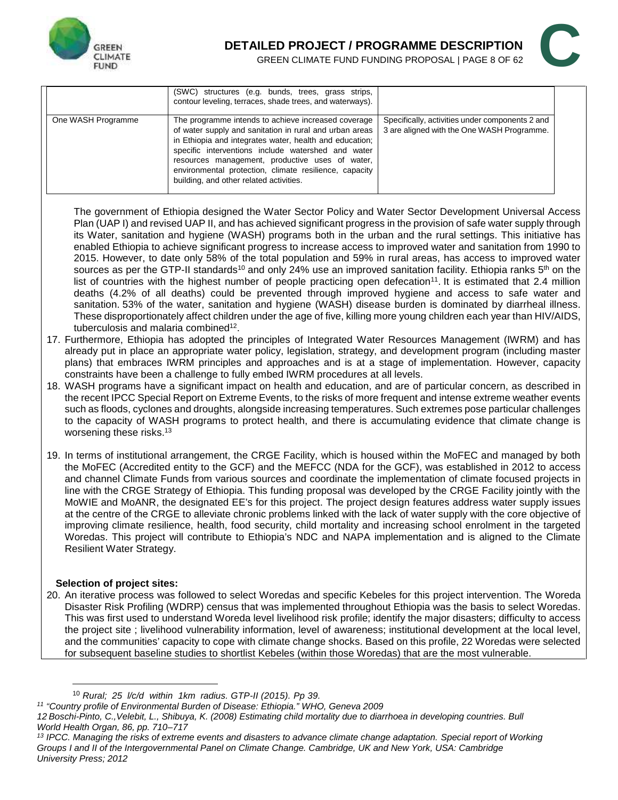



|                    | (SWC) structures (e.g. bunds, trees, grass strips,<br>contour leveling, terraces, shade trees, and waterways).                                                                                                                                                                                                                                                                          |                                                                                               |
|--------------------|-----------------------------------------------------------------------------------------------------------------------------------------------------------------------------------------------------------------------------------------------------------------------------------------------------------------------------------------------------------------------------------------|-----------------------------------------------------------------------------------------------|
| One WASH Programme | The programme intends to achieve increased coverage<br>of water supply and sanitation in rural and urban areas<br>in Ethiopia and integrates water, health and education;<br>specific interventions include watershed and water<br>resources management, productive uses of water,<br>environmental protection, climate resilience, capacity<br>building, and other related activities. | Specifically, activities under components 2 and<br>3 are aligned with the One WASH Programme. |

The government of Ethiopia designed the Water Sector Policy and Water Sector Development Universal Access Plan (UAP I) and revised UAP II, and has achieved significant progress in the provision of safe water supply through its Water, sanitation and hygiene (WASH) programs both in the urban and the rural settings. This initiative has enabled Ethiopia to achieve significant progress to increase access to improved water and sanitation from 1990 to 2015. However, to date only 58% of the total population and 59% in rural areas, has access to improved water sources as per the GTP-II standards<sup>10</sup> and only 24% use an improved sanitation facility. Ethiopia ranks  $5<sup>th</sup>$  on the list of countries with the highest number of people practicing open defecation<sup>11</sup>. It is estimated that 2.4 million deaths (4.2% of all deaths) could be prevented through improved hygiene and access to safe water and sanitation. 53% of the water, sanitation and hygiene (WASH) disease burden is dominated by diarrheal illness. These disproportionately affect children under the age of five, killing more young children each year than HIV/AIDS, tuberculosis and malaria combined<sup>12</sup>.

- 17. Furthermore, Ethiopia has adopted the principles of Integrated Water Resources Management (IWRM) and has already put in place an appropriate water policy, legislation, strategy, and development program (including master plans) that embraces IWRM principles and approaches and is at a stage of implementation. However, capacity constraints have been a challenge to fully embed IWRM procedures at all levels.
- 18. WASH programs have a significant impact on health and education, and are of particular concern, as described in the recent IPCC Special Report on Extreme Events, to the risks of more frequent and intense extreme weather events such as floods, cyclones and droughts, alongside increasing temperatures. Such extremes pose particular challenges to the capacity of WASH programs to protect health, and there is accumulating evidence that climate change is worsening these risks.<sup>13</sup>
- 19. In terms of institutional arrangement, the CRGE Facility, which is housed within the MoFEC and managed by both the MoFEC (Accredited entity to the GCF) and the MEFCC (NDA for the GCF), was established in 2012 to access and channel Climate Funds from various sources and coordinate the implementation of climate focused projects in line with the CRGE Strategy of Ethiopia. This funding proposal was developed by the CRGE Facility jointly with the MoWIE and MoANR, the designated EE's for this project. The project design features address water supply issues at the centre of the CRGE to alleviate chronic problems linked with the lack of water supply with the core objective of improving climate resilience, health, food security, child mortality and increasing school enrolment in the targeted Woredas. This project will contribute to Ethiopia's NDC and NAPA implementation and is aligned to the Climate Resilient Water Strategy.

#### **Selection of project sites:**

20. An iterative process was followed to select Woredas and specific Kebeles for this project intervention. The Woreda Disaster Risk Profiling (WDRP) census that was implemented throughout Ethiopia was the basis to select Woredas. This was first used to understand Woreda level livelihood risk profile; identify the major disasters; difficulty to access the project site ; livelihood vulnerability information, level of awareness; institutional development at the local level, and the communities' capacity to cope with climate change shocks. Based on this profile, 22 Woredas were selected for subsequent baseline studies to shortlist Kebeles (within those Woredas) that are the most vulnerable.

<sup>10</sup> *Rural; 25 l/c/d within 1km radius. GTP-II (2015). Pp 39.*

*<sup>11</sup> "Country profile of Environmental Burden of Disease: Ethiopia." WHO, Geneva 2009*

*<sup>12</sup> Boschi-Pinto, C.,Velebit, L., Shibuya, K. (2008) Estimating child mortality due to diarrhoea in developing countries. Bull World Health Organ, 86, pp. 710–717*

*<sup>13</sup> IPCC. Managing the risks of extreme events and disasters to advance climate change adaptation. Special report of Working Groups I and II of the Intergovernmental Panel on Climate Change. Cambridge, UK and New York, USA: Cambridge University Press; 2012*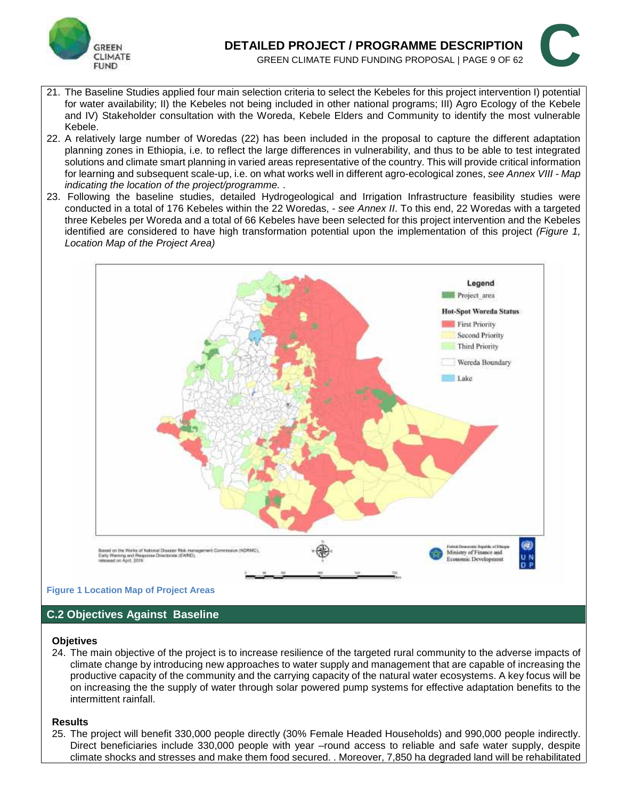

# **DETAILED PROJECT / PROGRAMME DESCRIPTION ILED PROJECT / PROGRAMME DESCRIPTION GREEN CLIMATE FUND FUNDING PROPOSAL | PAGE 9 OF 62**



- 21. The Baseline Studies applied four main selection criteria to select the Kebeles for this project intervention I) potential for water availability; II) the Kebeles not being included in other national programs; III) Agro Ecology of the Kebele and IV) Stakeholder consultation with the Woreda, Kebele Elders and Community to identify the most vulnerable Kebele.
- 22. A relatively large number of Woredas (22) has been included in the proposal to capture the different adaptation planning zones in Ethiopia, i.e. to reflect the large differences in vulnerability, and thus to be able to test integrated solutions and climate smart planning in varied areas representative of the country. This will provide critical information for learning and subsequent scale-up, i.e. on what works well in different agro-ecological zones, *see Annex VIII - Map indicating the location of the project/programme.* .
- 23. Following the baseline studies, detailed Hydrogeological and Irrigation Infrastructure feasibility studies were conducted in a total of 176 Kebeles within the 22 Woredas, - *see Annex II*. To this end, 22 Woredas with a targeted three Kebeles per Woreda and a total of 66 Kebeles have been selected for this project intervention and the Kebeles identified are considered to have high transformation potential upon the implementation of this project *(Figure 1, Location Map of the Project Area)*



#### **Figure 1 Location Map of Project Areas**

#### **C.2 Objectives Against Baseline**

#### **Objetives**

24. The main objective of the project is to increase resilience of the targeted rural community to the adverse impacts of climate change by introducing new approaches to water supply and management that are capable of increasing the productive capacity of the community and the carrying capacity of the natural water ecosystems. A key focus will be on increasing the the supply of water through solar powered pump systems for effective adaptation benefits to the intermittent rainfall.

#### **Results**

25. The project will benefit 330,000 people directly (30% Female Headed Households) and 990,000 people indirectly. Direct beneficiaries include 330,000 people with year –round access to reliable and safe water supply, despite climate shocks and stresses and make them food secured. . Moreover, 7,850 ha degraded land will be rehabilitated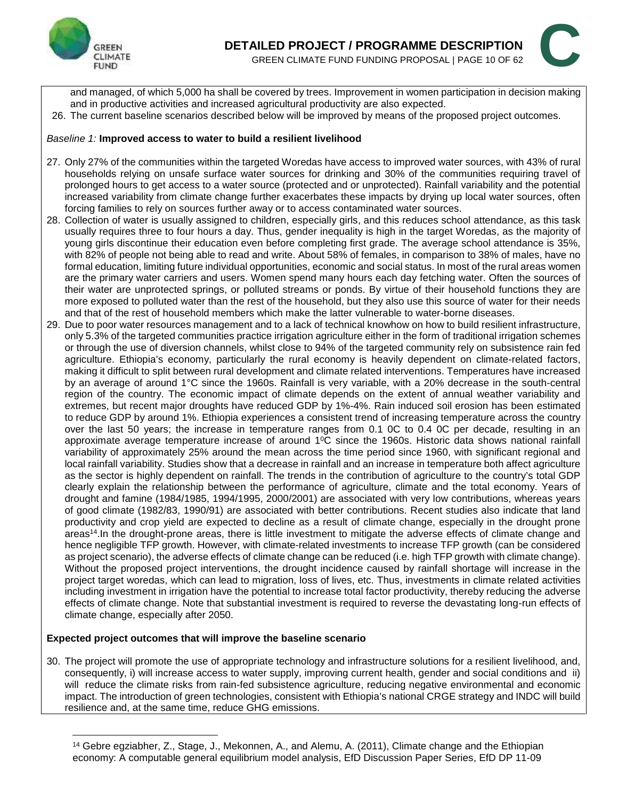



and managed, of which 5,000 ha shall be covered by trees. Improvement in women participation in decision making and in productive activities and increased agricultural productivity are also expected.

26. The current baseline scenarios described below will be improved by means of the proposed project outcomes.

#### *Baseline 1:* **Improved access to water to build a resilient livelihood**

- 27. Only 27% of the communities within the targeted Woredas have access to improved water sources, with 43% of rural households relying on unsafe surface water sources for drinking and 30% of the communities requiring travel of prolonged hours to get access to a water source (protected and or unprotected). Rainfall variability and the potential increased variability from climate change further exacerbates these impacts by drying up local water sources, often forcing families to rely on sources further away or to access contaminated water sources.
- 28. Collection of water is usually assigned to children, especially girls, and this reduces school attendance, as this task usually requires three to four hours a day. Thus, gender inequality is high in the target Woredas, as the majority of young girls discontinue their education even before completing first grade. The average school attendance is 35%, with 82% of people not being able to read and write. About 58% of females, in comparison to 38% of males, have no formal education, limiting future individual opportunities, economic and social status. In most of the rural areas women are the primary water carriers and users. Women spend many hours each day fetching water. Often the sources of their water are unprotected springs, or polluted streams or ponds. By virtue of their household functions they are more exposed to polluted water than the rest of the household, but they also use this source of water for their needs and that of the rest of household members which make the latter vulnerable to water-borne diseases.
- 29. Due to poor water resources management and to a lack of technical knowhow on how to build resilient infrastructure, only 5.3% of the targeted communities practice irrigation agriculture either in the form of traditional irrigation schemes or through the use of diversion channels, whilst close to 94% of the targeted community rely on subsistence rain fed agriculture. Ethiopia's economy, particularly the rural economy is heavily dependent on climate-related factors, making it difficult to split between rural development and climate related interventions. Temperatures have increased by an average of around 1°C since the 1960s. Rainfall is very variable, with a 20% decrease in the south-central region of the country. The economic impact of climate depends on the extent of annual weather variability and extremes, but recent major droughts have reduced GDP by 1%-4%. Rain induced soil erosion has been estimated to reduce GDP by around 1%. Ethiopia experiences a consistent trend of increasing temperature across the country over the last 50 years; the increase in temperature ranges from 0.1 0C to 0.4 0C per decade, resulting in an approximate average temperature increase of around  $1^{\circ}$ C since the 1960s. Historic data shows national rainfall variability of approximately 25% around the mean across the time period since 1960, with significant regional and local rainfall variability. Studies show that a decrease in rainfall and an increase in temperature both affect agriculture as the sector is highly dependent on rainfall. The trends in the contribution of agriculture to the country's total GDP clearly explain the relationship between the performance of agriculture, climate and the total economy. Years of drought and famine (1984/1985, 1994/1995, 2000/2001) are associated with very low contributions, whereas years of good climate (1982/83, 1990/91) are associated with better contributions. Recent studies also indicate that land productivity and crop yield are expected to decline as a result of climate change, especially in the drought prone areas<sup>14</sup>. In the drought-prone areas, there is little investment to mitigate the adverse effects of climate change and hence negligible TFP growth. However, with climate-related investments to increase TFP growth (can be considered as project scenario), the adverse effects of climate change can be reduced (i.e. high TFP growth with climate change). Without the proposed project interventions, the drought incidence caused by rainfall shortage will increase in the project target woredas, which can lead to migration, loss of lives, etc. Thus, investments in climate related activities including investment in irrigation have the potential to increase total factor productivity, thereby reducing the adverse effects of climate change. Note that substantial investment is required to reverse the devastating long-run effects of climate change, especially after 2050.

#### **Expected project outcomes that will improve the baseline scenario**

30. The project will promote the use of appropriate technology and infrastructure solutions for a resilient livelihood, and, consequently, i) will increase access to water supply, improving current health, gender and social conditions and ii) will reduce the climate risks from rain-fed subsistence agriculture, reducing negative environmental and economic impact. The introduction of green technologies, consistent with Ethiopia's national CRGE strategy and INDC will build resilience and, at the same time, reduce GHG emissions.

<sup>14</sup> Gebre egziabher, Z., Stage, J., Mekonnen, A., and Alemu, A. (2011), Climate change and the Ethiopian economy: A computable general equilibrium model analysis, EfD Discussion Paper Series, EfD DP 11-09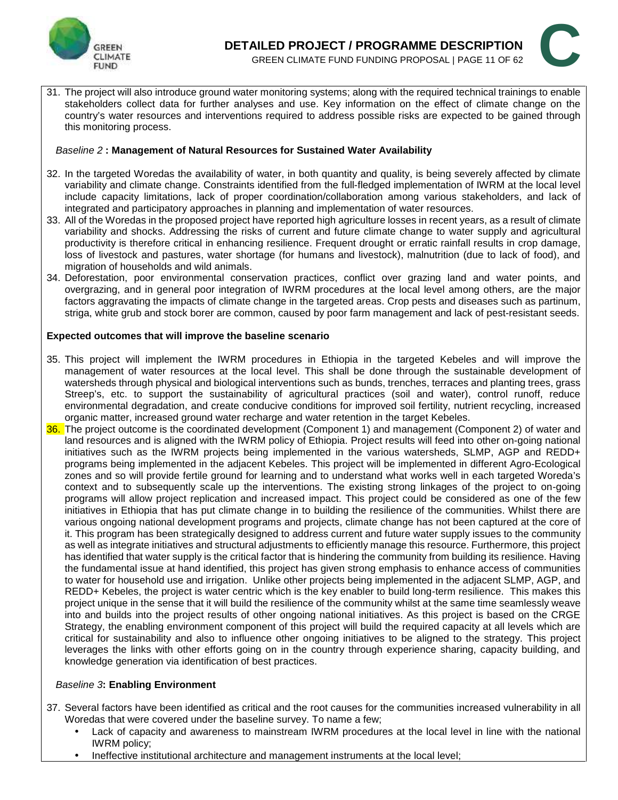



31. The project will also introduce ground water monitoring systems; along with the required technical trainings to enable stakeholders collect data for further analyses and use. Key information on the effect of climate change on the country's water resources and interventions required to address possible risks are expected to be gained through this monitoring process.

#### *Baseline 2* **: Management of Natural Resources for Sustained Water Availability**

- 32. In the targeted Woredas the availability of water, in both quantity and quality, is being severely affected by climate variability and climate change. Constraints identified from the full-fledged implementation of IWRM at the local level include capacity limitations, lack of proper coordination/collaboration among various stakeholders, and lack of integrated and participatory approaches in planning and implementation of water resources.
- 33. All of the Woredas in the proposed project have reported high agriculture losses in recent years, as a result of climate variability and shocks. Addressing the risks of current and future climate change to water supply and agricultural productivity is therefore critical in enhancing resilience. Frequent drought or erratic rainfall results in crop damage, loss of livestock and pastures, water shortage (for humans and livestock), malnutrition (due to lack of food), and migration of households and wild animals.
- 34. Deforestation, poor environmental conservation practices, conflict over grazing land and water points, and overgrazing, and in general poor integration of IWRM procedures at the local level among others, are the major factors aggravating the impacts of climate change in the targeted areas. Crop pests and diseases such as partinum, striga, white grub and stock borer are common, caused by poor farm management and lack of pest-resistant seeds.

#### **Expected outcomes that will improve the baseline scenario**

- 35. This project will implement the IWRM procedures in Ethiopia in the targeted Kebeles and will improve the management of water resources at the local level. This shall be done through the sustainable development of watersheds through physical and biological interventions such as bunds, trenches, terraces and planting trees, grass Streep's, etc. to support the sustainability of agricultural practices (soil and water), control runoff, reduce environmental degradation, and create conducive conditions for improved soil fertility, nutrient recycling, increased organic matter, increased ground water recharge and water retention in the target Kebeles.
- 36. The project outcome is the coordinated development (Component 1) and management (Component 2) of water and land resources and is aligned with the IWRM policy of Ethiopia. Project results will feed into other on-going national initiatives such as the IWRM projects being implemented in the various watersheds, SLMP, AGP and REDD+ programs being implemented in the adjacent Kebeles. This project will be implemented in different Agro-Ecological zones and so will provide fertile ground for learning and to understand what works well in each targeted Woreda's context and to subsequently scale up the interventions. The existing strong linkages of the project to on-going programs will allow project replication and increased impact. This project could be considered as one of the few initiatives in Ethiopia that has put climate change in to building the resilience of the communities. Whilst there are various ongoing national development programs and projects, climate change has not been captured at the core of it. This program has been strategically designed to address current and future water supply issues to the community as well as integrate initiatives and structural adjustments to efficiently manage this resource. Furthermore, this project has identified that water supply is the critical factor that is hindering the community from building its resilience. Having the fundamental issue at hand identified, this project has given strong emphasis to enhance access of communities to water for household use and irrigation. Unlike other projects being implemented in the adjacent SLMP, AGP, and REDD+ Kebeles, the project is water centric which is the key enabler to build long-term resilience. This makes this project unique in the sense that it will build the resilience of the community whilst at the same time seamlessly weave into and builds into the project results of other ongoing national initiatives. As this project is based on the CRGE Strategy, the enabling environment component of this project will build the required capacity at all levels which are critical for sustainability and also to influence other ongoing initiatives to be aligned to the strategy. This project leverages the links with other efforts going on in the country through experience sharing, capacity building, and knowledge generation via identification of best practices.

#### *Baseline 3***: Enabling Environment**

- 37. Several factors have been identified as critical and the root causes for the communities increased vulnerability in all Woredas that were covered under the baseline survey. To name a few;
	- Lack of capacity and awareness to mainstream IWRM procedures at the local level in line with the national IWRM policy;
	- Ineffective institutional architecture and management instruments at the local level;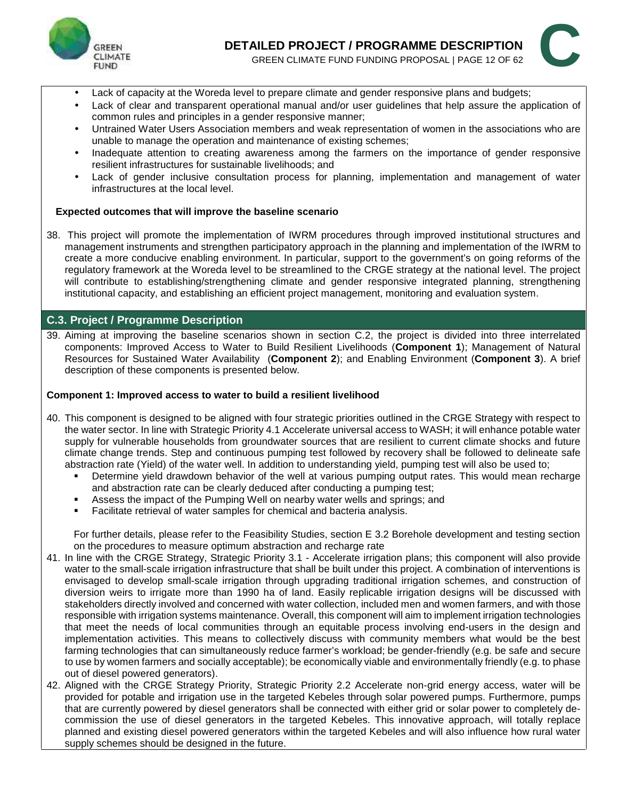



- Lack of capacity at the Woreda level to prepare climate and gender responsive plans and budgets;
- Lack of clear and transparent operational manual and/or user guidelines that help assure the application of common rules and principles in a gender responsive manner;
- Untrained Water Users Association members and weak representation of women in the associations who are unable to manage the operation and maintenance of existing schemes;
- Inadequate attention to creating awareness among the farmers on the importance of gender responsive resilient infrastructures for sustainable livelihoods; and
- Lack of gender inclusive consultation process for planning, implementation and management of water infrastructures at the local level.

#### **Expected outcomes that will improve the baseline scenario**

38. This project will promote the implementation of IWRM procedures through improved institutional structures and management instruments and strengthen participatory approach in the planning and implementation of the IWRM to create a more conducive enabling environment. In particular, support to the government's on going reforms of the regulatory framework at the Woreda level to be streamlined to the CRGE strategy at the national level. The project will contribute to establishing/strengthening climate and gender responsive integrated planning, strengthening institutional capacity, and establishing an efficient project management, monitoring and evaluation system.

#### **C.3. Project / Programme Description**

39. Aiming at improving the baseline scenarios shown in section C.2, the project is divided into three interrelated components: Improved Access to Water to Build Resilient Livelihoods (**Component 1**); Management of Natural Resources for Sustained Water Availability (**Component 2**); and Enabling Environment (**Component 3**). A brief description of these components is presented below.

#### **Component 1: Improved access to water to build a resilient livelihood**

- 40. This component is designed to be aligned with four strategic priorities outlined in the CRGE Strategy with respect to the water sector. In line with Strategic Priority 4.1 Accelerate universal access to WASH; it will enhance potable water supply for vulnerable households from groundwater sources that are resilient to current climate shocks and future climate change trends. Step and continuous pumping test followed by recovery shall be followed to delineate safe abstraction rate (Yield) of the water well. In addition to understanding yield, pumping test will also be used to;
	- Determine yield drawdown behavior of the well at various pumping output rates. This would mean recharge and abstraction rate can be clearly deduced after conducting a pumping test;
	- Assess the impact of the Pumping Well on nearby water wells and springs; and
	- Facilitate retrieval of water samples for chemical and bacteria analysis.

For further details, please refer to the Feasibility Studies, section E 3.2 Borehole development and testing section on the procedures to measure optimum abstraction and recharge rate

- 41. In line with the CRGE Strategy, Strategic Priority 3.1 Accelerate irrigation plans; this component will also provide water to the small-scale irrigation infrastructure that shall be built under this project. A combination of interventions is envisaged to develop small-scale irrigation through upgrading traditional irrigation schemes, and construction of diversion weirs to irrigate more than 1990 ha of land. Easily replicable irrigation designs will be discussed with stakeholders directly involved and concerned with water collection, included men and women farmers, and with those responsible with irrigation systems maintenance. Overall, this component will aim to implement irrigation technologies that meet the needs of local communities through an equitable process involving end-users in the design and implementation activities. This means to collectively discuss with community members what would be the best farming technologies that can simultaneously reduce farmer's workload; be gender-friendly (e.g. be safe and secure to use by women farmers and socially acceptable); be economically viable and environmentally friendly (e.g. to phase out of diesel powered generators).
- 42. Aligned with the CRGE Strategy Priority, Strategic Priority 2.2 Accelerate non-grid energy access, water will be provided for potable and irrigation use in the targeted Kebeles through solar powered pumps. Furthermore, pumps that are currently powered by diesel generators shall be connected with either grid or solar power to completely de commission the use of diesel generators in the targeted Kebeles. This innovative approach, will totally replace planned and existing diesel powered generators within the targeted Kebeles and will also influence how rural water supply schemes should be designed in the future.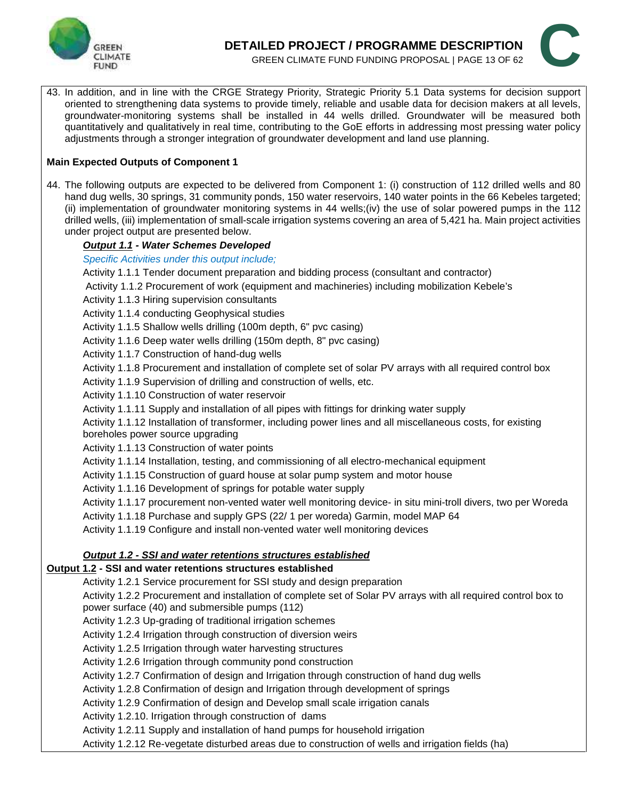



43. In addition, and in line with the CRGE Strategy Priority, Strategic Priority 5.1 Data systems for decision support oriented to strengthening data systems to provide timely, reliable and usable data for decision makers at all levels, groundwater-monitoring systems shall be installed in 44 wells drilled. Groundwater will be measured both quantitatively and qualitatively in real time, contributing to the GoE efforts in addressing most pressing water policy adjustments through a stronger integration of groundwater development and land use planning.

#### **Main Expected Outputs of Component 1**

44. The following outputs are expected to be delivered from Component 1: (i) construction of 112 drilled wells and 80 hand dug wells, 30 springs, 31 community ponds, 150 water reservoirs, 140 water points in the 66 Kebeles targeted; (ii) implementation of groundwater monitoring systems in 44 wells;(iv) the use of solar powered pumps in the 112 drilled wells, (iii) implementation of small-scale irrigation systems covering an area of 5,421 ha. Main project activities under project output are presented below.

#### *Output 1.1 - Water Schemes Developed*

#### *Specific Activities under this output include;*

Activity 1.1.1 Tender document preparation and bidding process (consultant and contractor)

- Activity 1.1.2 Procurement of work (equipment and machineries) including mobilization Kebele's
- Activity 1.1.3 Hiring supervision consultants

Activity 1.1.4 conducting Geophysical studies

- Activity 1.1.5 Shallow wells drilling (100m depth, 6" pvc casing)
- Activity 1.1.6 Deep water wells drilling (150m depth, 8" pvc casing)
- Activity 1.1.7 Construction of hand-dug wells
- Activity 1.1.8 Procurement and installation of complete set of solar PV arrays with all required control box
- Activity 1.1.9 Supervision of drilling and construction of wells, etc.
- Activity 1.1.10 Construction of water reservoir
- Activity 1.1.11 Supply and installation of all pipes with fittings for drinking water supply
- Activity 1.1.12 Installation of transformer, including power lines and all miscellaneous costs, for existing boreholes power source upgrading
- Activity 1.1.13 Construction of water points
- Activity 1.1.14 Installation, testing, and commissioning of all electro-mechanical equipment
- Activity 1.1.15 Construction of guard house at solar pump system and motor house
- Activity 1.1.16 Development of springs for potable water supply
- Activity 1.1.17 procurement non-vented water well monitoring device- in situ mini-troll divers, two per Woreda

Activity 1.1.18 Purchase and supply GPS (22/ 1 per woreda) Garmin, model MAP 64

Activity 1.1.19 Configure and install non-vented water well monitoring devices

#### *Output 1.2 - SSI and water retentions structures established*

#### **Output 1.2 - SSI and water retentions structures established**

Activity 1.2.1 Service procurement for SSI study and design preparation

Activity 1.2.2 Procurement and installation of complete set of Solar PV arrays with all required control box to power surface (40) and submersible pumps (112)

- Activity 1.2.3 Up-grading of traditional irrigation schemes
- Activity 1.2.4 Irrigation through construction of diversion weirs
- Activity 1.2.5 Irrigation through water harvesting structures
- Activity 1.2.6 Irrigation through community pond construction
- Activity 1.2.7 Confirmation of design and Irrigation through construction of hand dug wells
- Activity 1.2.8 Confirmation of design and Irrigation through development of springs
- Activity 1.2.9 Confirmation of design and Develop small scale irrigation canals

Activity 1.2.10. Irrigation through construction of dams

Activity 1.2.11 Supply and installation of hand pumps for household irrigation

Activity 1.2.12 Re-vegetate disturbed areas due to construction of wells and irrigation fields (ha)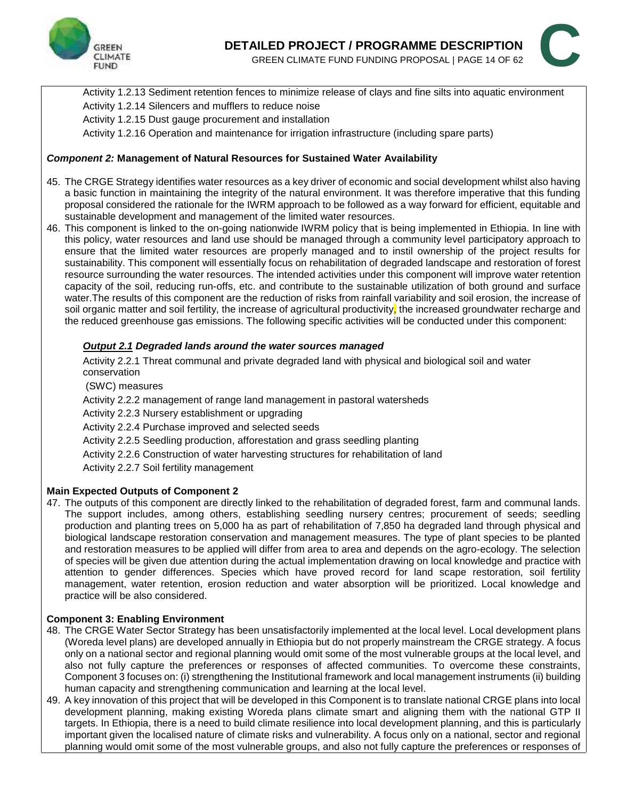

# **DETAILED PROJECT / PROGRAMME DESCRIPTION AILED PROJECT / PROGRAMME DESCRIPTION GREEN CLIMATE FUND FUNDING PROPOSAL | PAGE 14 OF 62**



Activity 1.2.13 Sediment retention fences to minimize release of clays and fine silts into aquatic environment Activity 1.2.14 Silencers and mufflers to reduce noise

Activity 1.2.15 Dust gauge procurement and installation

Activity 1.2.16 Operation and maintenance for irrigation infrastructure (including spare parts)

#### *Component 2:* **Management of Natural Resources for Sustained Water Availability**

- 45. The CRGE Strategy identifies water resources as a key driver of economic and social development whilst also having a basic function in maintaining the integrity of the natural environment. It was therefore imperative that this funding proposal considered the rationale for the IWRM approach to be followed as a way forward for efficient, equitable and sustainable development and management of the limited water resources.
- 46. This component is linked to the on-going nationwide IWRM policy that is being implemented in Ethiopia. In line with this policy, water resources and land use should be managed through a community level participatory approach to ensure that the limited water resources are properly managed and to instil ownership of the project results for sustainability. This component will essentially focus on rehabilitation of degraded landscape and restoration of forest resource surrounding the water resources. The intended activities under this component will improve water retention capacity of the soil, reducing run-offs, etc. and contribute to the sustainable utilization of both ground and surface water.The results of this component are the reduction of risks from rainfall variability and soil erosion, the increase of soil organic matter and soil fertility, the increase of agricultural productivity, the increased groundwater recharge and the reduced greenhouse gas emissions. The following specific activities will be conducted under this component:

#### *Output 2.1 Degraded lands around the water sources managed*

Activity 2.2.1 Threat communal and private degraded land with physical and biological soil and water conservation

(SWC) measures

Activity 2.2.2 management of range land management in pastoral watersheds

Activity 2.2.3 Nursery establishment or upgrading

Activity 2.2.4 Purchase improved and selected seeds

Activity 2.2.5 Seedling production, afforestation and grass seedling planting

Activity 2.2.6 Construction of water harvesting structures for rehabilitation of land

Activity 2.2.7 Soil fertility management

#### **Main Expected Outputs of Component 2**

47. The outputs of this component are directly linked to the rehabilitation of degraded forest, farm and communal lands. The support includes, among others, establishing seedling nursery centres; procurement of seeds; seedling production and planting trees on 5,000 ha as part of rehabilitation of 7,850 ha degraded land through physical and biological landscape restoration conservation and management measures. The type of plant species to be planted and restoration measures to be applied will differ from area to area and depends on the agro-ecology. The selection of species will be given due attention during the actual implementation drawing on local knowledge and practice with attention to gender differences. Species which have proved record for land scape restoration, soil fertility management, water retention, erosion reduction and water absorption will be prioritized. Local knowledge and practice will be also considered.

#### **Component 3: Enabling Environment**

- 48. The CRGE Water Sector Strategy has been unsatisfactorily implemented at the local level. Local development plans (Woreda level plans) are developed annually in Ethiopia but do not properly mainstream the CRGE strategy. A focus only on a national sector and regional planning would omit some of the most vulnerable groups at the local level, and also not fully capture the preferences or responses of affected communities. To overcome these constraints, Component 3 focuses on: (i) strengthening the Institutional framework and local management instruments (ii) building human capacity and strengthening communication and learning at the local level.
- 49. A key innovation of this project that will be developed in this Component is to translate national CRGE plans into local development planning, making existing Woreda plans climate smart and aligning them with the national GTP II targets. In Ethiopia, there is a need to build climate resilience into local development planning, and this is particularly important given the localised nature of climate risks and vulnerability. A focus only on a national, sector and regional planning would omit some of the most vulnerable groups, and also not fully capture the preferences or responses of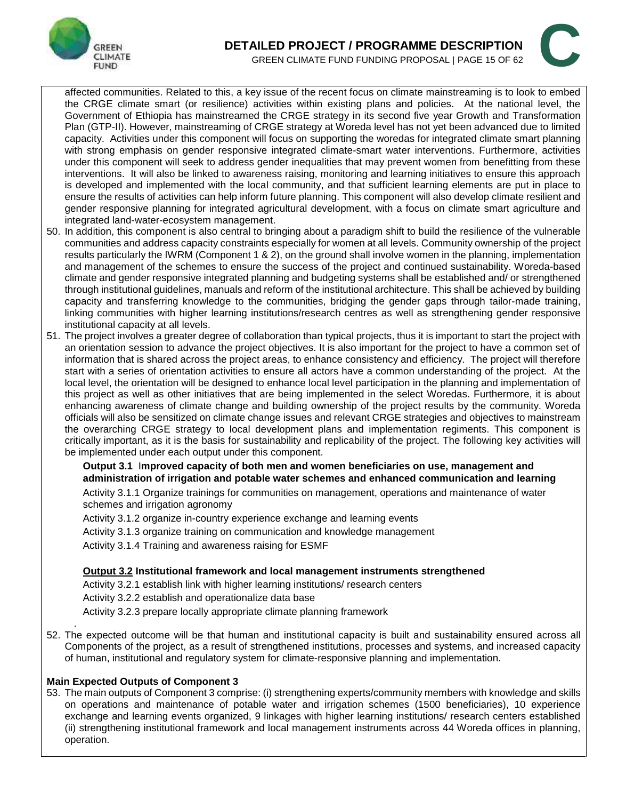



affected communities. Related to this, a key issue of the recent focus on climate mainstreaming is to look to embed the CRGE climate smart (or resilience) activities within existing plans and policies. At the national level, the Government of Ethiopia has mainstreamed the CRGE strategy in its second five year Growth and Transformation Plan (GTP-II). However, mainstreaming of CRGE strategy at Woreda level has not yet been advanced due to limited capacity. Activities under this component will focus on supporting the woredas for integrated climate smart planning with strong emphasis on gender responsive integrated climate-smart water interventions. Furthermore, activities under this component will seek to address gender inequalities that may prevent women from benefitting from these interventions. It will also be linked to awareness raising, monitoring and learning initiatives to ensure this approach is developed and implemented with the local community, and that sufficient learning elements are put in place to ensure the results of activities can help inform future planning. This component will also develop climate resilient and gender responsive planning for integrated agricultural development, with a focus on climate smart agriculture and integrated land-water-ecosystem management.

- 50. In addition, this component is also central to bringing about a paradigm shift to build the resilience of the vulnerable communities and address capacity constraints especially for women at all levels. Community ownership of the project results particularly the IWRM (Component 1 & 2), on the ground shall involve women in the planning, implementation and management of the schemes to ensure the success of the project and continued sustainability. Woreda-based climate and gender responsive integrated planning and budgeting systems shall be established and/ or strengthened through institutional guidelines, manuals and reform of the institutional architecture. This shall be achieved by building capacity and transferring knowledge to the communities, bridging the gender gaps through tailor-made training, linking communities with higher learning institutions/research centres as well as strengthening gender responsive institutional capacity at all levels.
- 51. The project involves a greater degree of collaboration than typical projects, thus it is important to start the project with an orientation session to advance the project objectives. It is also important for the project to have a common set of information that is shared across the project areas, to enhance consistency and efficiency. The project will therefore start with a series of orientation activities to ensure all actors have a common understanding of the project. At the local level, the orientation will be designed to enhance local level participation in the planning and implementation of this project as well as other initiatives that are being implemented in the select Woredas. Furthermore, it is about enhancing awareness of climate change and building ownership of the project results by the community. Woreda officials will also be sensitized on climate change issues and relevant CRGE strategies and objectives to mainstream the overarching CRGE strategy to local development plans and implementation regiments. This component is critically important, as it is the basis for sustainability and replicability of the project. The following key activities will be implemented under each output under this component.

#### **Output 3.1** I**mproved capacity of both men and women beneficiaries on use, management and administration of irrigation and potable water schemes and enhanced communication and learning**

Activity 3.1.1 Organize trainings for communities on management, operations and maintenance of water schemes and irrigation agronomy

Activity 3.1.2 organize in-country experience exchange and learning events

Activity 3.1.3 organize training on communication and knowledge management

Activity 3.1.4 Training and awareness raising for ESMF

#### **Output 3.2 Institutional framework and local management instruments strengthened**

Activity 3.2.1 establish link with higher learning institutions/ research centers Activity 3.2.2 establish and operationalize data base Activity 3.2.3 prepare locally appropriate climate planning framework

. 52. The expected outcome will be that human and institutional capacity is built and sustainability ensured across all Components of the project, as a result of strengthened institutions, processes and systems, and increased capacity of human, institutional and regulatory system for climate-responsive planning and implementation.

#### **Main Expected Outputs of Component 3**

53. The main outputs of Component 3 comprise: (i) strengthening experts/community members with knowledge and skills on operations and maintenance of potable water and irrigation schemes (1500 beneficiaries), 10 experience exchange and learning events organized, 9 linkages with higher learning institutions/ research centers established (ii) strengthening institutional framework and local management instruments across 44 Woreda offices in planning, operation.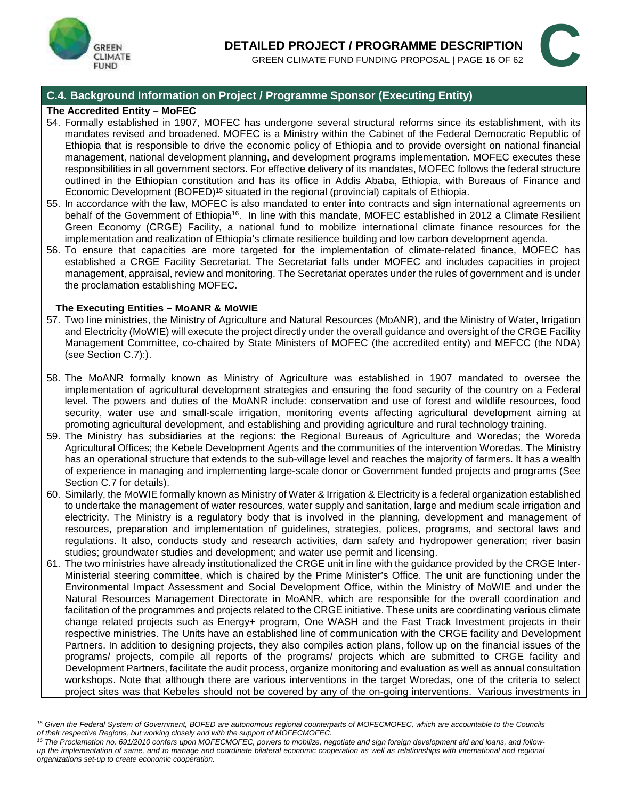



#### **C.4. Background Information on Project / Programme Sponsor (Executing Entity)**

#### **The Accredited Entity – MoFEC**

- 54. Formally established in 1907, MOFEC has undergone several structural reforms since its establishment, with its mandates revised and broadened. MOFEC is a Ministry within the Cabinet of the Federal Democratic Republic of Ethiopia that is responsible to drive the economic policy of Ethiopia and to provide oversight on national financial management, national development planning, and development programs implementation. MOFEC executes these responsibilities in all government sectors. For effective delivery of its mandates, MOFEC follows the federal structure outlined in the Ethiopian constitution and has its office in Addis Ababa, Ethiopia, with Bureaus of Finance and Economic Development (BOFED)<sup>15</sup> situated in the regional (provincial) capitals of Ethiopia.
- 55. In accordance with the law, MOFEC is also mandated to enter into contracts and sign international agreements on behalf of the Government of Ethiopia<sup>16</sup>. In line with this mandate, MOFEC established in 2012 a Climate Resilient Green Economy (CRGE) Facility, a national fund to mobilize international climate finance resources for the implementation and realization of Ethiopia's climate resilience building and low carbon development agenda.
- 56. To ensure that capacities are more targeted for the implementation of climate-related finance, MOFEC has established a CRGE Facility Secretariat. The Secretariat falls under MOFEC and includes capacities in project management, appraisal, review and monitoring. The Secretariat operates under the rules of government and is under the proclamation establishing MOFEC.

#### **The Executing Entities – MoANR & MoWIE**

- 57. Two line ministries, the Ministry of Agriculture and Natural Resources (MoANR), and the Ministry of Water, Irrigation and Electricity (MoWIE) will execute the project directly under the overall guidance and oversight of the CRGE Facility Management Committee, co-chaired by State Ministers of MOFEC (the accredited entity) and MEFCC (the NDA) (see Section C.7):).
- 58. The MoANR formally known as Ministry of Agriculture was established in 1907 mandated to oversee the implementation of agricultural development strategies and ensuring the food security of the country on a Federal level. The powers and duties of the MoANR include: conservation and use of forest and wildlife resources, food security, water use and small-scale irrigation, monitoring events affecting agricultural development aiming at promoting agricultural development, and establishing and providing agriculture and rural technology training.
- 59. The Ministry has subsidiaries at the regions: the Regional Bureaus of Agriculture and Woredas; the Woreda Agricultural Offices; the Kebele Development Agents and the communities of the intervention Woredas. The Ministry has an operational structure that extends to the sub-village level and reaches the majority of farmers. It has a wealth of experience in managing and implementing large-scale donor or Government funded projects and programs (See Section C.7 for details).
- 60. Similarly, the MoWIE formally known as Ministry of Water & Irrigation & Electricity is a federal organization established to undertake the management of water resources, water supply and sanitation, large and medium scale irrigation and electricity. The Ministry is a regulatory body that is involved in the planning, development and management of resources, preparation and implementation of guidelines, strategies, polices, programs, and sectoral laws and regulations. It also, conducts study and research activities, dam safety and hydropower generation; river basin studies; groundwater studies and development; and water use permit and licensing.
- 61. The two ministries have already institutionalized the CRGE unit in line with the guidance provided by the CRGE Inter- Ministerial steering committee, which is chaired by the Prime Minister's Office. The unit are functioning under the Environmental Impact Assessment and Social Development Office, within the Ministry of MoWIE and under the Natural Resources Management Directorate in MoANR, which are responsible for the overall coordination and facilitation of the programmes and projects related to the CRGE initiative. These units are coordinating various climate change related projects such as Energy+ program, One WASH and the Fast Track Investment projects in their respective ministries. The Units have an established line of communication with the CRGE facility and Development Partners. In addition to designing projects, they also compiles action plans, follow up on the financial issues of the programs/ projects, compile all reports of the programs/ projects which are submitted to CRGE facility and Development Partners, facilitate the audit process, organize monitoring and evaluation as well as annual consultation workshops. Note that although there are various interventions in the target Woredas, one of the criteria to select project sites was that Kebeles should not be covered by any of the on-going interventions. Various investments in

*<sup>15</sup> Given the Federal System of Government, BOFED are autonomous regional counterparts of MOFECMOFEC, which are accountable to the Councils of their respective Regions, but working closely and with the support of MOFECMOFEC.*

<sup>&</sup>lt;sup>16</sup> The Proclamation no. 691/2010 confers upon MOFECMOFEC, powers to mobilize, negotiate and sign foreign development aid and loans, and follow*up the implementation of same, and to manage and coordinate bilateral economic cooperation as well as relationships with international and regional organizations set-up to create economic cooperation.*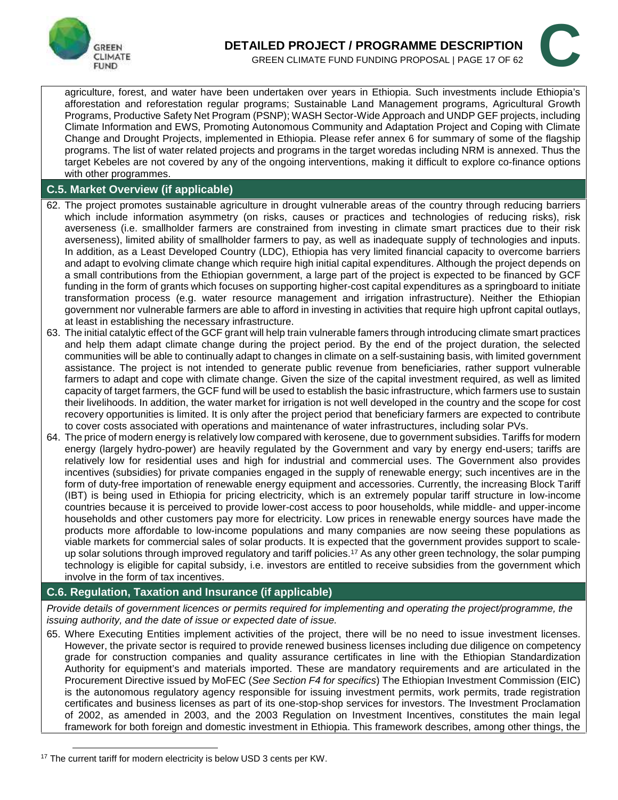



agriculture, forest, and water have been undertaken over years in Ethiopia. Such investments include Ethiopia's afforestation and reforestation regular programs; Sustainable Land Management programs, Agricultural Growth Programs, Productive Safety Net Program (PSNP); WASH Sector-Wide Approach and UNDP GEF projects, including Climate Information and EWS, Promoting Autonomous Community and Adaptation Project and Coping with Climate Change and Drought Projects, implemented in Ethiopia. Please refer annex 6 for summary of some of the flagship programs. The list of water related projects and programs in the target woredas including NRM is annexed. Thus the target Kebeles are not covered by any of the ongoing interventions, making it difficult to explore co-finance options with other programmes.

### **C.5. Market Overview (if applicable)**

- 62. The project promotes sustainable agriculture in drought vulnerable areas of the country through reducing barriers which include information asymmetry (on risks, causes or practices and technologies of reducing risks), risk averseness (i.e. smallholder farmers are constrained from investing in climate smart practices due to their risk averseness), limited ability of smallholder farmers to pay, as well as inadequate supply of technologies and inputs. In addition, as a Least Developed Country (LDC), Ethiopia has very limited financial capacity to overcome barriers and adapt to evolving climate change which require high initial capital expenditures. Although the project depends on a small contributions from the Ethiopian government, a large part of the project is expected to be financed by GCF funding in the form of grants which focuses on supporting higher-cost capital expenditures as a springboard to initiate transformation process (e.g. water resource management and irrigation infrastructure). Neither the Ethiopian government nor vulnerable farmers are able to afford in investing in activities that require high upfront capital outlays, at least in establishing the necessary infrastructure.
- 63. The initial catalytic effect of the GCF grant will help train vulnerable famers through introducing climate smart practices and help them adapt climate change during the project period. By the end of the project duration, the selected communities will be able to continually adapt to changes in climate on a self-sustaining basis, with limited government assistance. The project is not intended to generate public revenue from beneficiaries, rather support vulnerable farmers to adapt and cope with climate change. Given the size of the capital investment required, as well as limited capacity of target farmers, the GCF fund will be used to establish the basic infrastructure, which farmers use to sustain their livelihoods. In addition, the water market for irrigation is not well developed in the country and the scope for cost recovery opportunities is limited. It is only after the project period that beneficiary farmers are expected to contribute to cover costs associated with operations and maintenance of water infrastructures, including solar PVs.
- 64. The price of modern energy is relatively low compared with kerosene, due to government subsidies. Tariffs for modern energy (largely hydro-power) are heavily regulated by the Government and vary by energy end-users; tariffs are relatively low for residential uses and high for industrial and commercial uses. The Government also provides incentives (subsidies) for private companies engaged in the supply of renewable energy; such incentives are in the form of duty-free importation of renewable energy equipment and accessories. Currently, the increasing Block Tariff (IBT) is being used in Ethiopia for pricing electricity, which is an extremely popular tariff structure in low-income countries because it is perceived to provide lower-cost access to poor households, while middle- and upper-income households and other customers pay more for electricity. Low prices in renewable energy sources have made the products more affordable to low-income populations and many companies are now seeing these populations as viable markets for commercial sales of solar products. It is expected that the government provides support to scale up solar solutions through improved regulatory and tariff policies.<sup>17</sup> As any other green technology, the solar pumping technology is eligible for capital subsidy, i.e. investors are entitled to receive subsidies from the government which involve in the form of tax incentives.

### **C.6. Regulation, Taxation and Insurance (if applicable)**

*Provide details of government licences or permits required for implementing and operating the project/programme, the issuing authority, and the date of issue or expected date of issue.*

65. Where Executing Entities implement activities of the project, there will be no need to issue investment licenses. However, the private sector is required to provide renewed business licenses including due diligence on competency grade for construction companies and quality assurance certificates in line with the Ethiopian Standardization Authority for equipment's and materials imported. These are mandatory requirements and are articulated in the Procurement Directive issued by MoFEC (*See Section F4 for specifics*) The Ethiopian Investment Commission (EIC) is the autonomous regulatory agency responsible for issuing investment permits, work permits, trade registration certificates and business licenses as part of its one-stop-shop services for investors. The Investment Proclamation of 2002, as amended in 2003, and the 2003 Regulation on Investment Incentives, constitutes the main legal framework for both foreign and domestic investment in Ethiopia. This framework describes, among other things, the

<sup>&</sup>lt;sup>17</sup> The current tariff for modern electricity is below USD 3 cents per KW.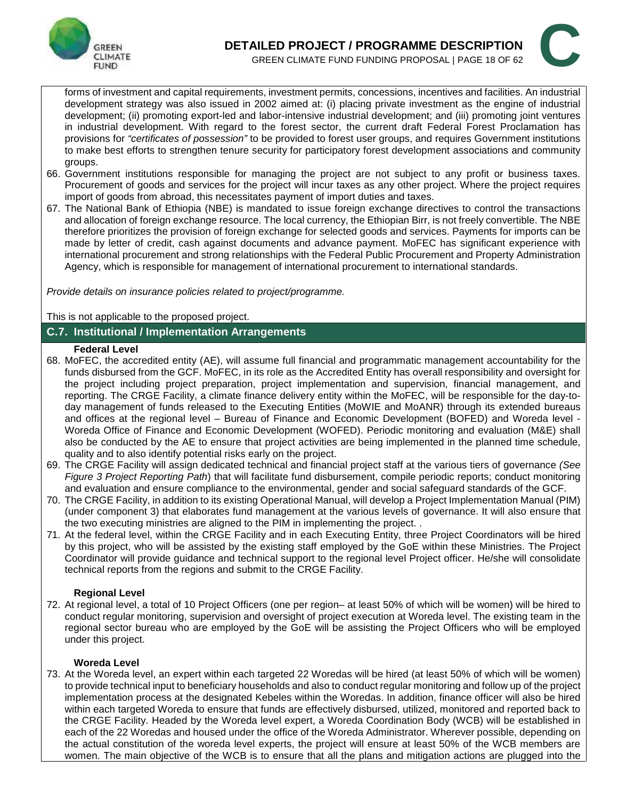



forms of investment and capital requirements, investment permits, concessions, incentives and facilities. An industrial development strategy was also issued in 2002 aimed at: (i) placing private investment as the engine of industrial development; (ii) promoting export-led and labor-intensive industrial development; and (iii) promoting joint ventures in industrial development. With regard to the forest sector, the current draft Federal Forest Proclamation has provisions for *"certificates of possession"* to be provided to forest user groups, and requires Government institutions to make best efforts to strengthen tenure security for participatory forest development associations and community groups.

- 66. Government institutions responsible for managing the project are not subject to any profit or business taxes. Procurement of goods and services for the project will incur taxes as any other project. Where the project requires import of goods from abroad, this necessitates payment of import duties and taxes.
- 67. The National Bank of Ethiopia (NBE) is mandated to issue foreign exchange directives to control the transactions and allocation of foreign exchange resource. The local currency, the Ethiopian Birr, is not freely convertible. The NBE therefore prioritizes the provision of foreign exchange for selected goods and services. Payments for imports can be made by letter of credit, cash against documents and advance payment. MoFEC has significant experience with international procurement and strong relationships with the Federal Public Procurement and Property Administration Agency, which is responsible for management of international procurement to international standards.

*Provide details on insurance policies related to project/programme.*

This is not applicable to the proposed project.

#### **C.7. Institutional / Implementation Arrangements**

#### **Federal Level**

- 68. MoFEC, the accredited entity (AE), will assume full financial and programmatic management accountability for the funds disbursed from the GCF. MoFEC, in its role as the Accredited Entity has overall responsibility and oversight for the project including project preparation, project implementation and supervision, financial management, and reporting. The CRGE Facility, a climate finance delivery entity within the MoFEC, will be responsible for the day-to day management of funds released to the Executing Entities (MoWIE and MoANR) through its extended bureaus and offices at the regional level – Bureau of Finance and Economic Development (BOFED) and Woreda level- Woreda Office of Finance and Economic Development (WOFED). Periodic monitoring and evaluation (M&E) shall also be conducted by the AE to ensure that project activities are being implemented in the planned time schedule, quality and to also identify potential risks early on the project.
- 69. The CRGE Facility will assign dedicated technical and financial project staff at the various tiers of governance *(See Figure 3 Project Reporting Path*) that will facilitate fund disbursement, compile periodic reports; conduct monitoring and evaluation and ensure compliance to the environmental, gender and social safeguard standards of the GCF.
- 70. The CRGE Facility, in addition to its existing Operational Manual, will develop a Project Implementation Manual (PIM) (under component 3) that elaborates fund management at the various levels of governance. It will also ensure that the two executing ministries are aligned to the PIM in implementing the project. .
- 71. At the federal level, within the CRGE Facility and in each Executing Entity, three Project Coordinators will be hired by this project, who will be assisted by the existing staff employed by the GoE within these Ministries. The Project Coordinator will provide guidance and technical support to the regional level Project officer. He/she will consolidate technical reports from the regions and submit to the CRGE Facility.

#### **Regional Level**

72. At regional level, a total of 10 Project Officers (one per region– at least 50% of which will be women) will be hired to conduct regular monitoring, supervision and oversight of project execution at Woreda level. The existing team in the regional sector bureau who are employed by the GoE will be assisting the Project Officers who will be employed under this project.

#### **Woreda Level**

73. At the Woreda level, an expert within each targeted 22 Woredas will be hired (at least 50% of which will be women) to provide technical input to beneficiary households and also to conduct regular monitoring and follow up of the project implementation process at the designated Kebeles within the Woredas. In addition, finance officer will also be hired within each targeted Woreda to ensure that funds are effectively disbursed, utilized, monitored and reported back to the CRGE Facility. Headed by the Woreda level expert, a Woreda Coordination Body (WCB) will be established in each of the 22 Woredas and housed under the office of the Woreda Administrator. Wherever possible, depending on the actual constitution of the woreda level experts, the project will ensure at least 50% of the WCB members are women. The main objective of the WCB is to ensure that all the plans and mitigation actions are plugged into the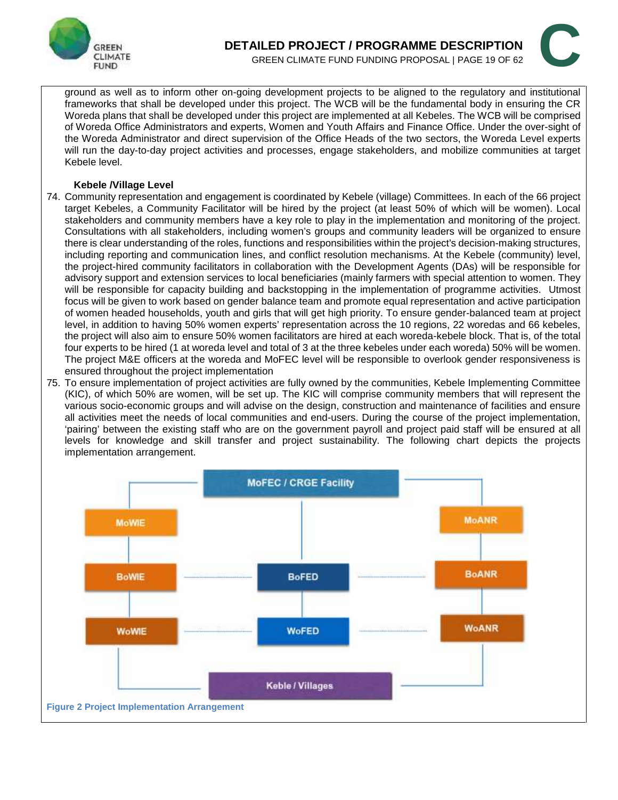



ground as well as to inform other on-going development projects to be aligned to the regulatory and institutional frameworks that shall be developed under this project. The WCB will be the fundamental body in ensuring the CR Woreda plans that shall be developed under this project are implemented at all Kebeles. The WCB will be comprised of Woreda Office Administrators and experts, Women and Youth Affairs and Finance Office. Under the over-sight of the Woreda Administrator and direct supervision of the Office Heads of the two sectors, the Woreda Level experts will run the day-to-day project activities and processes, engage stakeholders, and mobilize communities at target Kebele level.

#### **Kebele /Village Level**

- 74. Community representation and engagement is coordinated by Kebele (village) Committees. In each of the 66 project target Kebeles, a Community Facilitator will be hired by the project (at least 50% of which will be women). Local stakeholders and community members have a key role to play in the implementation and monitoring of the project. Consultations with all stakeholders, including women's groups and community leaders will be organized to ensure there is clear understanding of the roles, functions and responsibilities within the project's decision-making structures, including reporting and communication lines, and conflict resolution mechanisms. At the Kebele (community) level, the project-hired community facilitators in collaboration with the Development Agents (DAs) will be responsible for advisory support and extension services to local beneficiaries (mainly farmers with special attention to women. They will be responsible for capacity building and backstopping in the implementation of programme activities. Utmost focus will be given to work based on gender balance team and promote equal representation and active participation of women headed households, youth and girls that will get high priority. To ensure gender-balanced team at project level, in addition to having 50% women experts' representation across the 10 regions, 22 woredas and 66 kebeles, the project will also aim to ensure 50% women facilitators are hired at each woreda-kebele block. That is, of the total four experts to be hired (1 at woreda level and total of 3 at the three kebeles under each woreda) 50% will be women. The project M&E officers at the woreda and MoFEC level will be responsible to overlook gender responsiveness is ensured throughout the project implementation
- 75. To ensure implementation of project activities are fully owned by the communities, Kebele Implementing Committee (KIC), of which 50% are women, will be set up. The KIC will comprise community members that will represent the various socio-economic groups and will advise on the design, construction and maintenance of facilities and ensure all activities meet the needs of local communities and end-users. During the course of the project implementation, 'pairing' between the existing staff who are on the government payroll and project paid staff will be ensured at all levels for knowledge and skill transfer and project sustainability. The following chart depicts the projects implementation arrangement.

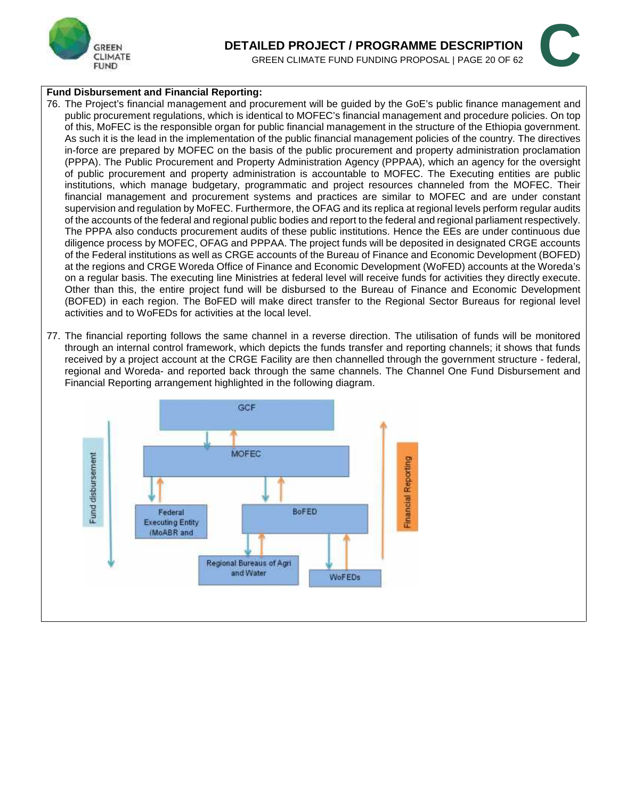

# **DETAILED PROJECT / PROGRAMME DESCRIPTION AILED PROJECT / PROGRAMME DESCRIPTION**<br>GREEN CLIMATE FUND FUNDING PROPOSAL | PAGE 20 OF 62

#### **Fund Disbursement and Financial Reporting:**

- 76. The Project's financial management and procurement will be guided by the GoE's public finance management and public procurement regulations, which is identical to MOFEC's financial management and procedure policies. On top of this, MoFEC is the responsible organ for public financial management in the structure of the Ethiopia government. As such it is the lead in the implementation of the public financial management policies of the country. The directives in-force are prepared by MOFEC on the basis of the public procurement and property administration proclamation (PPPA). The Public Procurement and Property Administration Agency (PPPAA), which an agency for the oversight of public procurement and property administration is accountable to MOFEC. The Executing entities are public institutions, which manage budgetary, programmatic and project resources channeled from the MOFEC. Their financial management and procurement systems and practices are similar to MOFEC and are under constant supervision and regulation by MoFEC. Furthermore, the OFAG and its replica at regional levels perform regular audits of the accounts of the federal and regional public bodies and report to the federal and regional parliament respectively. The PPPA also conducts procurement audits of these public institutions. Hence the EEs are under continuous due diligence process by MOFEC, OFAG and PPPAA. The project funds will be deposited in designated CRGE accounts of the Federal institutions as well as CRGE accounts of the Bureau of Finance and Economic Development (BOFED) at the regions and CRGE Woreda Office of Finance and Economic Development (WoFED) accounts at the Woreda's on a regular basis. The executing line Ministries at federal level will receive funds for activities they directly execute. Other than this, the entire project fund will be disbursed to the Bureau of Finance and Economic Development (BOFED) in each region. The BoFED will make direct transfer to the Regional Sector Bureaus for regional level activities and to WoFEDs for activities at the local level.
- 77. The financial reporting follows the same channel in a reverse direction. The utilisation of funds will be monitored through an internal control framework, which depicts the funds transfer and reporting channels; it shows that funds received by a project account at the CRGE Facility are then channelled through the government structure - federal, regional and Woreda- and reported back through the same channels. The Channel One Fund Disbursement and Financial Reporting arrangement highlighted in the following diagram.

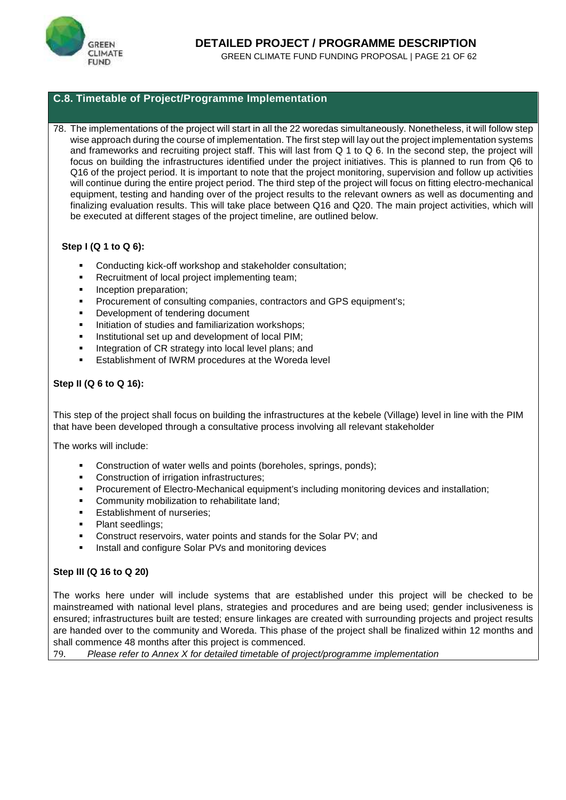

#### **C.8. Timetable of Project/Programme Implementation**

78. The implementations of the project will start in all the 22 woredas simultaneously. Nonetheless, it will follow step wise approach during the course of implementation. The first step will lay out the project implementation systems and frameworks and recruiting project staff. This will last from Q 1 to Q 6. In the second step, the project will focus on building the infrastructures identified under the project initiatives. This is planned to run from Q6 to Q16 of the project period. It is important to note that the project monitoring, supervision and follow up activities will continue during the entire project period. The third step of the project will focus on fitting electro-mechanical equipment, testing and handing over of the project results to the relevant owners as well as documenting and finalizing evaluation results. This will take place between Q16 and Q20. The main project activities, which will be executed at different stages of the project timeline, are outlined below.

#### **Step I (Q 1 to Q 6):**

- Conducting kick-off workshop and stakeholder consultation;
- Recruitment of local project implementing team;
- **Inception preparation;**
- Procurement of consulting companies, contractors and GPS equipment's;
- Development of tendering document
- Initiation of studies and familiarization workshops;
- Institutional set up and development of local PIM;
- Integration of CR strategy into local level plans; and
- Establishment of IWRM procedures at the Woreda level

#### **Step II (Q 6 to Q 16):**

This step of the project shall focus on building the infrastructures at the kebele (Village) level in line with the PIM that have been developed through a consultative process involving all relevant stakeholder

The works will include:

- **Construction of water wells and points (boreholes, springs, ponds);**
- **Construction of irrigation infrastructures:**
- Procurement of Electro-Mechanical equipment's including monitoring devices and installation;
- Community mobilization to rehabilitate land;
- Establishment of nurseries;
- Plant seedlings;
- Construct reservoirs, water points and stands for the Solar PV; and
- Install and configure Solar PVs and monitoring devices

#### **Step III (Q 16 to Q 20)**

The works here under will include systems that are established under this project will be checked to be mainstreamed with national level plans, strategies and procedures and are being used; gender inclusiveness is ensured; infrastructures built are tested; ensure linkages are created with surrounding projects and project results are handed over to the community and Woreda. This phase of the project shall be finalized within 12 months and shall commence 48 months after this project is commenced.

79. *Please refer to Annex X for detailed timetable of project/programme implementation*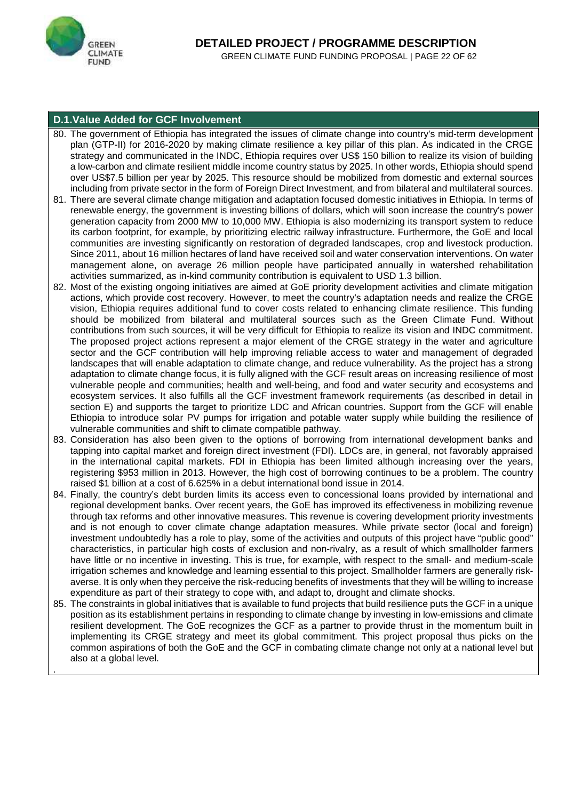

.

#### **D.1.Value Added for GCF Involvement**

- 80. The government of Ethiopia has integrated the issues of climate change into country's mid-term development plan (GTP-II) for 2016-2020 by making climate resilience a key pillar of this plan. As indicated in the CRGE strategy and communicated in the INDC, Ethiopia requires over US\$ 150 billion to realize its vision of building a low-carbon and climate resilient middle income country status by 2025. In other words, Ethiopia should spend over US\$7.5 billion per year by 2025. This resource should be mobilized from domestic and external sources including from private sector in the form of Foreign Direct Investment, and from bilateral and multilateral sources.
- 81. There are several climate change mitigation and adaptation focused domestic initiatives in Ethiopia. In terms of renewable energy, the government is investing billions of dollars, which will soon increase the country's power generation capacity from 2000 MW to 10,000 MW. Ethiopia is also modernizing its transport system to reduce its carbon footprint, for example, by prioritizing electric railway infrastructure. Furthermore, the GoE and local communities are investing significantly on restoration of degraded landscapes, crop and livestock production. Since 2011, about 16 million hectares of land have received soil and water conservation interventions. On water management alone, on average 26 million people have participated annually in watershed rehabilitation activities summarized, as in-kind community contribution is equivalent to USD 1.3 billion.
- 82. Most of the existing ongoing initiatives are aimed at GoE priority development activities and climate mitigation actions, which provide cost recovery. However, to meet the country's adaptation needs and realize the CRGE vision, Ethiopia requires additional fund to cover costs related to enhancing climate resilience. This funding should be mobilized from bilateral and multilateral sources such as the Green Climate Fund. Without contributions from such sources, it will be very difficult for Ethiopia to realize its vision and INDC commitment. The proposed project actions represent a major element of the CRGE strategy in the water and agriculture sector and the GCF contribution will help improving reliable access to water and management of degraded landscapes that will enable adaptation to climate change, and reduce vulnerability. As the project has a strong adaptation to climate change focus, it is fully aligned with the GCF result areas on increasing resilience of most vulnerable people and communities; health and well-being, and food and water security and ecosystems and ecosystem services. It also fulfills all the GCF investment framework requirements (as described in detail in section E) and supports the target to prioritize LDC and African countries. Support from the GCF will enable Ethiopia to introduce solar PV pumps for irrigation and potable water supply while building the resilience of vulnerable communities and shift to climate compatible pathway.
- 83. Consideration has also been given to the options of borrowing from international development banks and tapping into capital market and foreign direct investment (FDI). LDCs are, in general, not favorably appraised in the international capital markets. FDI in Ethiopia has been limited although increasing over the years, registering \$953 million in 2013. However, the high cost of borrowing continues to be a problem. The country raised \$1 billion at a cost of 6.625% in a debut international bond issue in 2014.
- 84. Finally, the country's debt burden limits its access even to concessional loans provided by international and regional development banks. Over recent years, the GoE has improved its effectiveness in mobilizing revenue through tax reforms and other innovative measures. This revenue is covering development priority investments and is not enough to cover climate change adaptation measures. While private sector (local and foreign) investment undoubtedly has a role to play, some of the activities and outputs of this project have "public good" characteristics, in particular high costs of exclusion and non-rivalry, as a result of which smallholder farmers have little or no incentive in investing. This is true, for example, with respect to the small- and medium-scale irrigation schemes and knowledge and learning essential to this project. Smallholder farmers are generally risk averse. It is only when they perceive the risk-reducing benefits of investments that they will be willing to increase expenditure as part of their strategy to cope with, and adapt to, drought and climate shocks.
- 85. The constraints in global initiatives that is available to fund projects that build resilience puts the GCF in a unique position as its establishment pertains in responding to climate change by investing in low-emissions and climate resilient development. The GoE recognizes the GCF as a partner to provide thrust in the momentum built in implementing its CRGE strategy and meet its global commitment. This project proposal thus picks on the common aspirations of both the GoE and the GCF in combating climate change not only at a national level but also at a global level.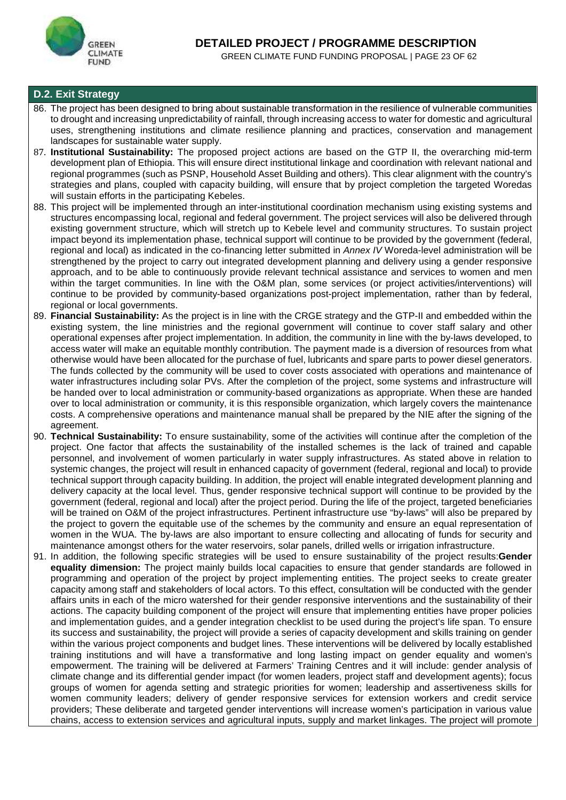

#### **D.2. Exit Strategy**

- 86. The project has been designed to bring about sustainable transformation in the resilience of vulnerable communities to drought and increasing unpredictability of rainfall, through increasing access to water for domestic and agricultural uses, strengthening institutions and climate resilience planning and practices, conservation and management landscapes for sustainable water supply.
- 87. **Institutional Sustainability:** The proposed project actions are based on the GTP II, the overarching mid-term development plan of Ethiopia. This will ensure direct institutional linkage and coordination with relevant national and regional programmes (such as PSNP, Household Asset Building and others). This clear alignment with the country's strategies and plans, coupled with capacity building, will ensure that by project completion the targeted Woredas will sustain efforts in the participating Kebeles.
- 88. This project will be implemented through an inter-institutional coordination mechanism using existing systems and structures encompassing local, regional and federal government. The project services will also be delivered through existing government structure, which will stretch up to Kebele level and community structures. To sustain project impact beyond its implementation phase, technical support will continue to be provided by the government (federal, regional and local) as indicated in the co-financing letter submitted in *Annex IV* Woreda-level administration will be strengthened by the project to carry out integrated development planning and delivery using a gender responsive approach, and to be able to continuously provide relevant technical assistance and services to women and men within the target communities. In line with the O&M plan, some services (or project activities/interventions) will continue to be provided by community-based organizations post-project implementation, rather than by federal, regional or local governments.
- 89. **Financial Sustainability:** As the project is in line with the CRGE strategy and the GTP-II and embedded within the existing system, the line ministries and the regional government will continue to cover staff salary and other operational expenses after project implementation. In addition, the community in line with the by-laws developed, to access water will make an equitable monthly contribution. The payment made is a diversion of resources from what otherwise would have been allocated for the purchase of fuel, lubricants and spare parts to power diesel generators. The funds collected by the community will be used to cover costs associated with operations and maintenance of water infrastructures including solar PVs. After the completion of the project, some systems and infrastructure will be handed over to local administration or community-based organizations as appropriate. When these are handed over to local administration or community, it is this responsible organization, which largely covers the maintenance costs. A comprehensive operations and maintenance manual shall be prepared by the NIE after the signing of the agreement.
- 90. **Technical Sustainability:** To ensure sustainability, some of the activities will continue after the completion of the project. One factor that affects the sustainability of the installed schemes is the lack of trained and capable personnel, and involvement of women particularly in water supply infrastructures. As stated above in relation to systemic changes, the project will result in enhanced capacity of government (federal, regional and local) to provide technical support through capacity building. In addition, the project will enable integrated development planning and delivery capacity at the local level. Thus, gender responsive technical support will continue to be provided by the government (federal, regional and local) after the project period. During the life of the project, targeted beneficiaries will be trained on O&M of the project infrastructures. Pertinent infrastructure use "by-laws" will also be prepared by the project to govern the equitable use of the schemes by the community and ensure an equal representation of women in the WUA. The by-laws are also important to ensure collecting and allocating of funds for security and maintenance amongst others for the water reservoirs, solar panels, drilled wells or irrigation infrastructure.
- 91. In addition, the following specific strategies will be used to ensure sustainability of the project results:**Gender equality dimension:** The project mainly builds local capacities to ensure that gender standards are followed in programming and operation of the project by project implementing entities. The project seeks to create greater capacity among staff and stakeholders of local actors. To this effect, consultation will be conducted with the gender affairs units in each of the micro watershed for their gender responsive interventions and the sustainability of their actions. The capacity building component of the project will ensure that implementing entities have proper policies and implementation guides, and a gender integration checklist to be used during the project's life span. To ensure its success and sustainability, the project will provide a series of capacity development and skills training on gender within the various project components and budget lines. These interventions will be delivered by locally established training institutions and will have a transformative and long lasting impact on gender equality and women's empowerment. The training will be delivered at Farmers' Training Centres and it will include: gender analysis of climate change and its differential gender impact (for women leaders, project staff and development agents); focus groups of women for agenda setting and strategic priorities for women; leadership and assertiveness skills for women community leaders; delivery of gender responsive services for extension workers and credit service providers; These deliberate and targeted gender interventions will increase women's participation in various value chains, access to extension services and agricultural inputs, supply and market linkages. The project will promote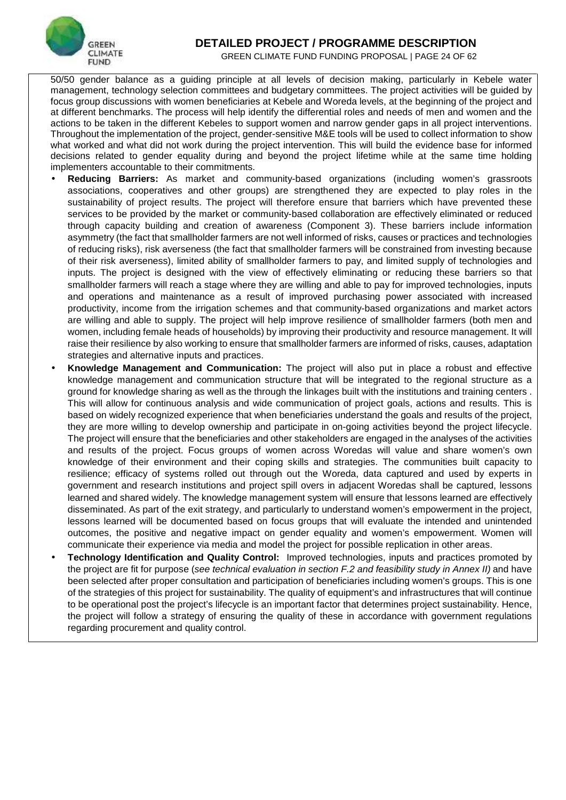

### **DETAILED PROJECT / PROGRAMME DESCRIPTION**

GREEN CLIMATE FUND FUNDING PROPOSAL | PAGE 24 OF 62

50/50 gender balance as a guiding principle at all levels of decision making, particularly in Kebele water management, technology selection committees and budgetary committees. The project activities will be guided by focus group discussions with women beneficiaries at Kebele and Woreda levels, at the beginning of the project and at different benchmarks. The process will help identify the differential roles and needs of men and women and the actions to be taken in the different Kebeles to support women and narrow gender gaps in all project interventions. Throughout the implementation of the project, gender-sensitive M&E tools will be used to collect information to show what worked and what did not work during the project intervention. This will build the evidence base for informed decisions related to gender equality during and beyond the project lifetime while at the same time holding implementers accountable to their commitments.

- **Reducing Barriers:** As market and community-based organizations (including women's grassroots associations, cooperatives and other groups) are strengthened they are expected to play roles in the sustainability of project results. The project will therefore ensure that barriers which have prevented these services to be provided by the market or community-based collaboration are effectively eliminated or reduced through capacity building and creation of awareness (Component 3). These barriers include information asymmetry (the fact that smallholder farmers are not well informed of risks, causes or practices and technologies of reducing risks), risk averseness (the fact that smallholder farmers will be constrained from investing because of their risk averseness), limited ability of smallholder farmers to pay, and limited supply of technologies and inputs. The project is designed with the view of effectively eliminating or reducing these barriers so that smallholder farmers will reach a stage where they are willing and able to pay for improved technologies, inputs and operations and maintenance as a result of improved purchasing power associated with increased productivity, income from the irrigation schemes and that community-based organizations and market actors are willing and able to supply. The project will help improve resilience of smallholder farmers (both men and women, including female heads of households) by improving their productivity and resource management. It will raise their resilience by also working to ensure that smallholder farmers are informed of risks, causes, adaptation strategies and alternative inputs and practices.
- **Knowledge Management and Communication:** The project will also put in place a robust and effective knowledge management and communication structure that will be integrated to the regional structure as a ground for knowledge sharing as well as the through the linkages built with the institutions and training centers . This will allow for continuous analysis and wide communication of project goals, actions and results. This is based on widely recognized experience that when beneficiaries understand the goals and results of the project, they are more willing to develop ownership and participate in on-going activities beyond the project lifecycle. The project will ensure that the beneficiaries and other stakeholders are engaged in the analyses of the activities and results of the project. Focus groups of women across Woredas will value and share women's own knowledge of their environment and their coping skills and strategies. The communities built capacity to resilience; efficacy of systems rolled out through out the Woreda, data captured and used by experts in government and research institutions and project spill overs in adjacent Woredas shall be captured, lessons learned and shared widely. The knowledge management system will ensure that lessons learned are effectively disseminated. As part of the exit strategy, and particularly to understand women's empowerment in the project, lessons learned will be documented based on focus groups that will evaluate the intended and unintended outcomes, the positive and negative impact on gender equality and women's empowerment. Women will communicate their experience via media and model the project for possible replication in other areas.
- **Technology Identification and Quality Control:** Improved technologies, inputs and practices promoted by the project are fit for purpose (*see technical evaluation in section F.2 and feasibility study in Annex II)* and have been selected after proper consultation and participation of beneficiaries including women's groups. This is one of the strategies of this project for sustainability. The quality of equipment's and infrastructures that will continue to be operational post the project's lifecycle is an important factor that determines project sustainability. Hence, the project will follow a strategy of ensuring the quality of these in accordance with government regulations regarding procurement and quality control.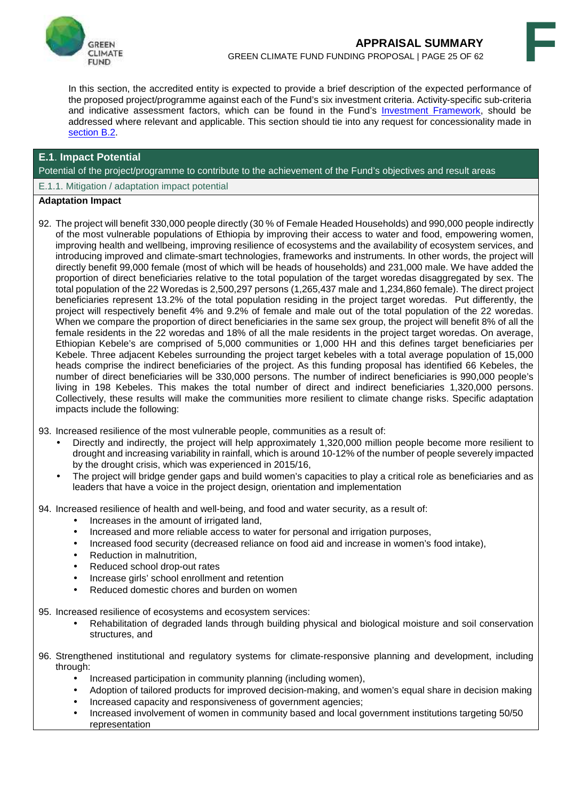



In this section, the accredited entity is expected to provide a brief description of the expected performance of the proposed project/programme against each of the Fund's six investment criteria. Activity-specific sub-criteria and indicative assessment factors, which can be found in the Fund's Investment Framework, should be addressed where relevant and applicable. This section should tie into any request for concessionality made in section B.2.

#### **E.1**. **Impact Potential**

Potential of the project/programme to contribute to the achievement of the Fund's objectives and result areas

E.1.1. Mitigation / adaptation impact potential

#### **Adaptation Impact**

92. The project will benefit 330,000 people directly (30 % of Female Headed Households) and 990,000 people indirectly of the most vulnerable populations of Ethiopia by improving their access to water and food, empowering women, improving health and wellbeing, improving resilience of ecosystems and the availability of ecosystem services, and introducing improved and climate-smart technologies, frameworks and instruments. In other words, the project will directly benefit 99,000 female (most of which will be heads of households) and 231,000 male. We have added the proportion of direct beneficiaries relative to the total population of the target woredas disaggregated by sex. The total population of the 22 Woredas is 2,500,297 persons (1,265,437 male and 1,234,860 female). The direct project beneficiaries represent 13.2% of the total population residing in the project target woredas. Put differently, the project will respectively benefit 4% and 9.2% of female and male out of the total population of the 22 woredas. When we compare the proportion of direct beneficiaries in the same sex group, the project will benefit 8% of all the female residents in the 22 woredas and 18% of all the male residents in the project target woredas. On average, Ethiopian Kebele's are comprised of 5,000 communities or 1,000 HH and this defines target beneficiaries per Kebele. Three adjacent Kebeles surrounding the project target kebeles with a total average population of 15,000 heads comprise the indirect beneficiaries of the project. As this funding proposal has identified 66 Kebeles, the number of direct beneficiaries will be 330,000 persons. The number of indirect beneficiaries is 990,000 people's living in 198 Kebeles. This makes the total number of direct and indirect beneficiaries 1,320,000 persons. Collectively, these results will make the communities more resilient to climate change risks. Specific adaptation impacts include the following:

93. Increased resilience of the most vulnerable people, communities as a result of:

- Directly and indirectly, the project will help approximately 1,320,000 million people become more resilient to drought and increasing variability in rainfall, which is around 10-12% of the number of people severely impacted by the drought crisis, which was experienced in 2015/16,
- The project will bridge gender gaps and build women's capacities to play a critical role as beneficiaries and as leaders that have a voice in the project design, orientation and implementation

94. Increased resilience of health and well-being, and food and water security, as a result of:

- Increases in the amount of irrigated land,
- Increased and more reliable access to water for personal and irrigation purposes,
- Increased food security (decreased reliance on food aid and increase in women's food intake),
- Reduction in malnutrition,
- Reduced school drop-out rates
- Increase girls' school enrollment and retention
- Reduced domestic chores and burden on women

95. Increased resilience of ecosystems and ecosystem services:

- Rehabilitation of degraded lands through building physical and biological moisture and soil conservation structures, and
- 96. Strengthened institutional and regulatory systems for climate-responsive planning and development, including through:
	- Increased participation in community planning (including women),
	- Adoption of tailored products for improved decision-making, and women's equal share in decision making
	- Increased capacity and responsiveness of government agencies;
	- Increased involvement of women in community based and local government institutions targeting 50/50 representation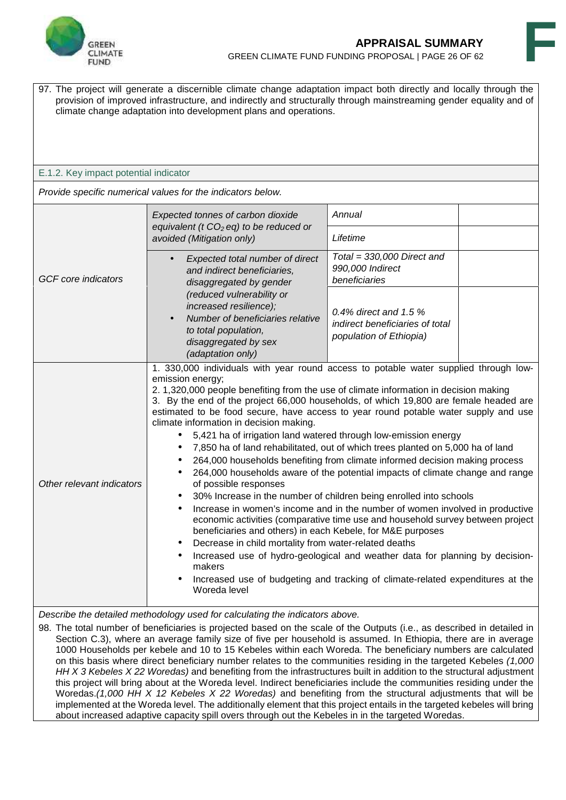



97. The project will generate a discernible climate change adaptation impact both directly and locally through the provision of improved infrastructure, and indirectly and structurally through mainstreaming gender equality and of climate change adaptation into development plans and operations.

#### E.1.2. Key impact potential indicator

*Provide specific numerical values for the indicators below.*

|                            | Expected tonnes of carbon dioxide<br>equivalent ( $t CO2 eq$ ) to be reduced or                                                                                                                                                                                                                                                                                                                                                                                                                                                                                                                                                                                                                                                                                                                                                                                                                                                                                                                                                                                                                                                                                                                                                                                                                                                                      | Annual                                                                                |  |
|----------------------------|------------------------------------------------------------------------------------------------------------------------------------------------------------------------------------------------------------------------------------------------------------------------------------------------------------------------------------------------------------------------------------------------------------------------------------------------------------------------------------------------------------------------------------------------------------------------------------------------------------------------------------------------------------------------------------------------------------------------------------------------------------------------------------------------------------------------------------------------------------------------------------------------------------------------------------------------------------------------------------------------------------------------------------------------------------------------------------------------------------------------------------------------------------------------------------------------------------------------------------------------------------------------------------------------------------------------------------------------------|---------------------------------------------------------------------------------------|--|
|                            | avoided (Mitigation only)                                                                                                                                                                                                                                                                                                                                                                                                                                                                                                                                                                                                                                                                                                                                                                                                                                                                                                                                                                                                                                                                                                                                                                                                                                                                                                                            | Lifetime                                                                              |  |
|                            | Expected total number of direct<br>$\bullet$<br>and indirect beneficiaries,                                                                                                                                                                                                                                                                                                                                                                                                                                                                                                                                                                                                                                                                                                                                                                                                                                                                                                                                                                                                                                                                                                                                                                                                                                                                          | Total = $330,000$ Direct and<br>990,000 Indirect                                      |  |
| <b>GCF</b> core indicators | disaggregated by gender                                                                                                                                                                                                                                                                                                                                                                                                                                                                                                                                                                                                                                                                                                                                                                                                                                                                                                                                                                                                                                                                                                                                                                                                                                                                                                                              | beneficiaries                                                                         |  |
|                            | (reduced vulnerability or<br>increased resilience);<br>Number of beneficiaries relative<br>to total population,<br>disaggregated by sex<br>(adaptation only)                                                                                                                                                                                                                                                                                                                                                                                                                                                                                                                                                                                                                                                                                                                                                                                                                                                                                                                                                                                                                                                                                                                                                                                         | 0.4% direct and 1.5 $%$<br>indirect beneficiaries of total<br>population of Ethiopia) |  |
| Other relevant indicators  | 1. 330,000 individuals with year round access to potable water supplied through low-<br>emission energy;<br>2. 1,320,000 people benefiting from the use of climate information in decision making<br>3. By the end of the project 66,000 households, of which 19,800 are female headed are<br>estimated to be food secure, have access to year round potable water supply and use<br>climate information in decision making.<br>• 5,421 ha of irrigation land watered through low-emission energy<br>7,850 ha of land rehabilitated, out of which trees planted on 5,000 ha of land<br>264,000 households benefiting from climate informed decision making process<br>264,000 households aware of the potential impacts of climate change and range<br>of possible responses<br>30% Increase in the number of children being enrolled into schools<br>Increase in women's income and in the number of women involved in productive<br>$\bullet$<br>economic activities (comparative time use and household survey between project<br>beneficiaries and others) in each Kebele, for M&E purposes<br>Decrease in child mortality from water-related deaths<br>Increased use of hydro-geological and weather data for planning by decision-<br>makers<br>Increased use of budgeting and tracking of climate-related expenditures at the<br>Woreda level |                                                                                       |  |

*Describe the detailed methodology used for calculating the indicators above.*

98. The total number of beneficiaries is projected based on the scale of the Outputs (i.e., as described in detailed in Section C.3), where an average family size of five per household is assumed. In Ethiopia, there are in average 1000 Households per kebele and 10 to 15 Kebeles within each Woreda. The beneficiary numbers are calculated on this basis where direct beneficiary number relates to the communities residing in the targeted Kebeles *(1,000 HH X 3 Kebeles X 22 Woredas)* and benefiting from the infrastructures built in addition to the structural adjustment this project will bring about at the Woreda level. Indirect beneficiaries include the communities residing under the Woredas.*(1,000 HH X 12 Kebeles X 22 Woredas)* and benefiting from the structural adjustments that will be implemented at the Woreda level. The additionally element that this project entails in the targeted kebeles will bring about increased adaptive capacity spill overs through out the Kebeles in in the targeted Woredas.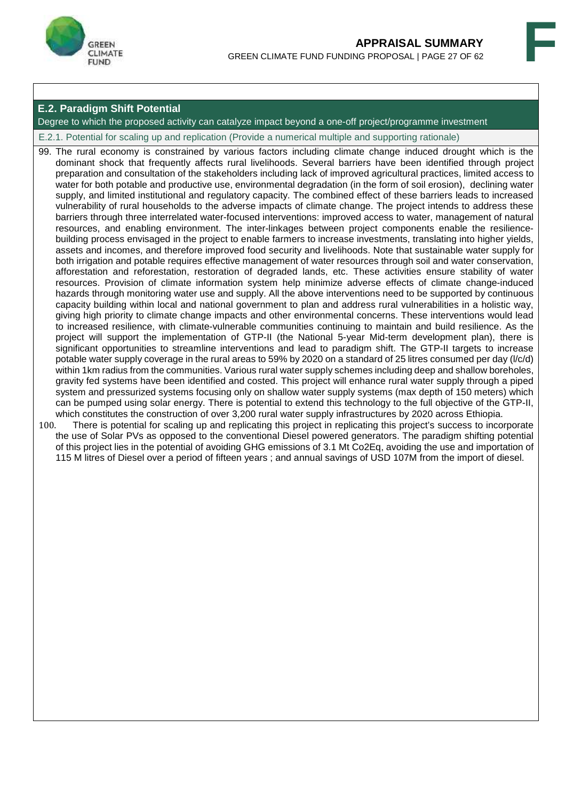



#### **E.2. Paradigm Shift Potential**

Degree to which the proposed activity can catalyze impact beyond a one-off project/programme investment

E.2.1. Potential for scaling up and replication (Provide a numerical multiple and supporting rationale)

99. The rural economy is constrained by various factors including climate change induced drought which is the dominant shock that frequently affects rural livelihoods. Several barriers have been identified through project preparation and consultation of the stakeholders including lack of improved agricultural practices, limited access to water for both potable and productive use, environmental degradation (in the form of soil erosion), declining water supply, and limited institutional and regulatory capacity. The combined effect of these barriers leads to increased vulnerability of rural households to the adverse impacts of climate change. The project intends to address these barriers through three interrelated water-focused interventions: improved access to water, management of natural resources, and enabling environment. The inter-linkages between project components enable the resilience building process envisaged in the project to enable farmers to increase investments, translating into higher yields, assets and incomes, and therefore improved food security and livelihoods. Note that sustainable water supply for both irrigation and potable requires effective management of water resources through soil and water conservation, afforestation and reforestation, restoration of degraded lands, etc. These activities ensure stability of water resources. Provision of climate information system help minimize adverse effects of climate change-induced hazards through monitoring water use and supply. All the above interventions need to be supported by continuous capacity building within local and national government to plan and address rural vulnerabilities in a holistic way, giving high priority to climate change impacts and other environmental concerns. These interventions would lead to increased resilience, with climate-vulnerable communities continuing to maintain and build resilience. As the project will support the implementation of GTP-II (the National 5-year Mid-term development plan), there is significant opportunities to streamline interventions and lead to paradigm shift. The GTP-II targets to increase potable water supply coverage in the rural areas to 59% by 2020 on a standard of 25 litres consumed per day (l/c/d) within 1km radius from the communities. Various rural water supply schemes including deep and shallow boreholes, gravity fed systems have been identified and costed. This project will enhance rural water supply through a piped system and pressurized systems focusing only on shallow water supply systems (max depth of 150 meters) which can be pumped using solar energy. There is potential to extend this technology to the full objective of the GTP-II, which constitutes the construction of over 3,200 rural water supply infrastructures by 2020 across Ethiopia.

100. There is potential for scaling up and replicating this project in replicating this project's success to incorporate the use of Solar PVs as opposed to the conventional Diesel powered generators. The paradigm shifting potential of this project lies in the potential of avoiding GHG emissions of 3.1 Mt Co2Eq, avoiding the use and importation of 115 M litres of Diesel over a period of fifteen years ; and annual savings of USD 107M from the import of diesel.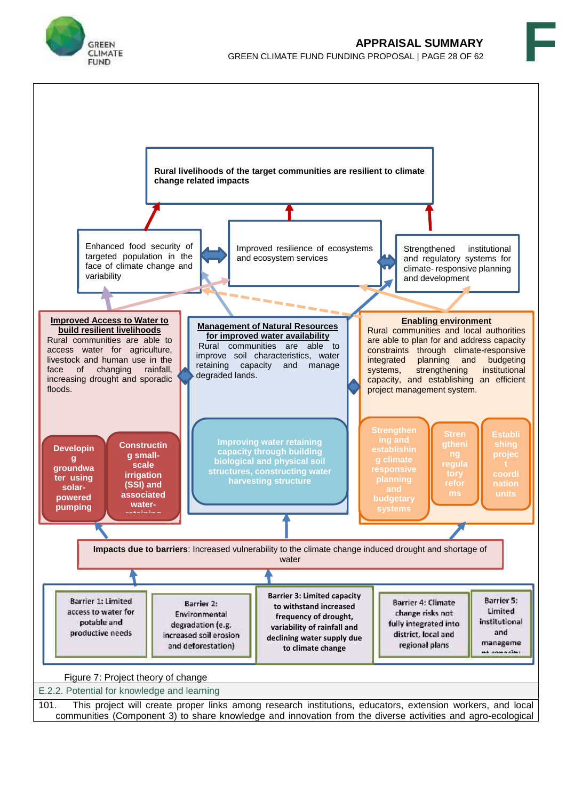



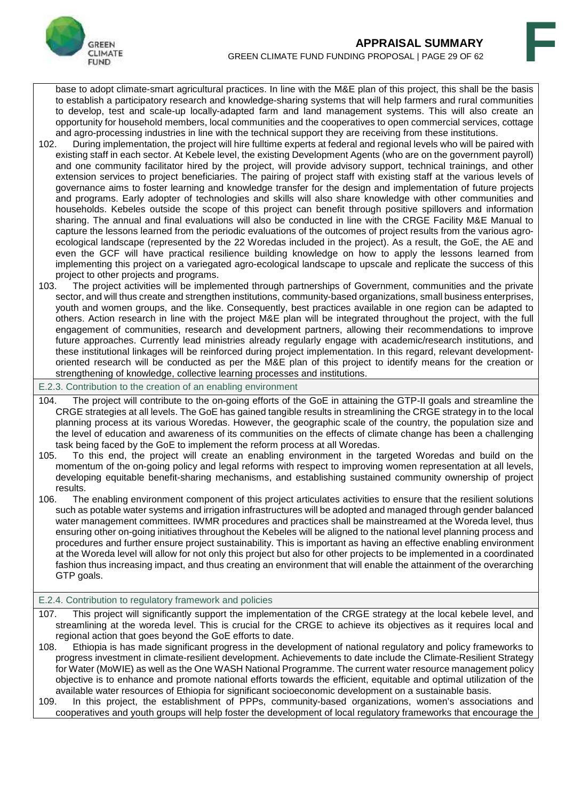

base to adopt climate-smart agricultural practices. In line with the M&E plan of this project, this shall be the basis to establish a participatory research and knowledge-sharing systems that will help farmers and rural communities to develop, test and scale-up locally-adapted farm and land management systems. This will also create an opportunity for household members, local communities and the cooperatives to open commercial services, cottage and agro-processing industries in line with the technical support they are receiving from these institutions.

- 102. During implementation, the project will hire fulltime experts at federal and regional levels who will be paired with existing staff in each sector. At Kebele level, the existing Development Agents (who are on the government payroll) and one community facilitator hired by the project, will provide advisory support, technical trainings, and other extension services to project beneficiaries. The pairing of project staff with existing staff at the various levels of governance aims to foster learning and knowledge transfer for the design and implementation of future projects and programs. Early adopter of technologies and skills will also share knowledge with other communities and households. Kebeles outside the scope of this project can benefit through positive spillovers and information sharing. The annual and final evaluations will also be conducted in line with the CRGE Facility M&E Manual to capture the lessons learned from the periodic evaluations of the outcomes of project results from the various agro ecological landscape (represented by the 22 Woredas included in the project). As a result, the GoE, the AE and even the GCF will have practical resilience building knowledge on how to apply the lessons learned from implementing this project on a variegated agro-ecological landscape to upscale and replicate the success of this project to other projects and programs.<br>103. The project activities will be impler
- The project activities will be implemented through partnerships of Government, communities and the private sector, and will thus create and strengthen institutions, community-based organizations, small business enterprises, youth and women groups, and the like. Consequently, best practices available in one region can be adapted to others. Action research in line with the project M&E plan will be integrated throughout the project, with the full engagement of communities, research and development partners, allowing their recommendations to improve future approaches. Currently lead ministries already regularly engage with academic/research institutions, and these institutional linkages will be reinforced during project implementation. In this regard, relevant development oriented research will be conducted as per the M&E plan of this project to identify means for the creation or strengthening of knowledge, collective learning processes and institutions.

E.2.3. Contribution to the creation of an enabling environment

- 104. The project will contribute to the on-going efforts of the GoE in attaining the GTP-II goals and streamline the CRGE strategies at all levels. The GoE has gained tangible results in streamlining the CRGE strategy in to the local planning process at its various Woredas. However, the geographic scale of the country, the population size and the level of education and awareness of its communities on the effects of climate change has been a challenging task being faced by the GoE to implement the reform process at all Woredas.
- 105. To this end, the project will create an enabling environment in the targeted Woredas and build on the momentum of the on-going policy and legal reforms with respect to improving women representation at all levels, developing equitable benefit-sharing mechanisms, and establishing sustained community ownership of project results.
- 106. The enabling environment component of this project articulates activities to ensure that the resilient solutions such as potable water systems and irrigation infrastructures will be adopted and managed through gender balanced water management committees. IWMR procedures and practices shall be mainstreamed at the Woreda level, thus ensuring other on-going initiatives throughout the Kebeles will be aligned to the national level planning process and procedures and further ensure project sustainability. This is important as having an effective enabling environment at the Woreda level will allow for not only this project but also for other projects to be implemented in a coordinated fashion thus increasing impact, and thus creating an environment that will enable the attainment of the overarching GTP goals.

#### E.2.4. Contribution to regulatory framework and policies

- 107. This project will significantly support the implementation of the CRGE strategy at the local kebele level, and streamlining at the woreda level. This is crucial for the CRGE to achieve its objectives as it requires local and regional action that goes beyond the GoE efforts to date.
- 108. Ethiopia is has made significant progress in the development of national regulatory and policy frameworks to progress investment in climate-resilient development. Achievements to date include the Climate-Resilient Strategy for Water (MoWIE) as well as the One WASH National Programme. The current water resource management policy objective is to enhance and promote national efforts towards the efficient, equitable and optimal utilization of the available water resources of Ethiopia for significant socioeconomic development on a sustainable basis.
- 109. In this project, the establishment of PPPs, community-based organizations, women's associations and cooperatives and youth groups will help foster the development of local regulatory frameworks that encourage the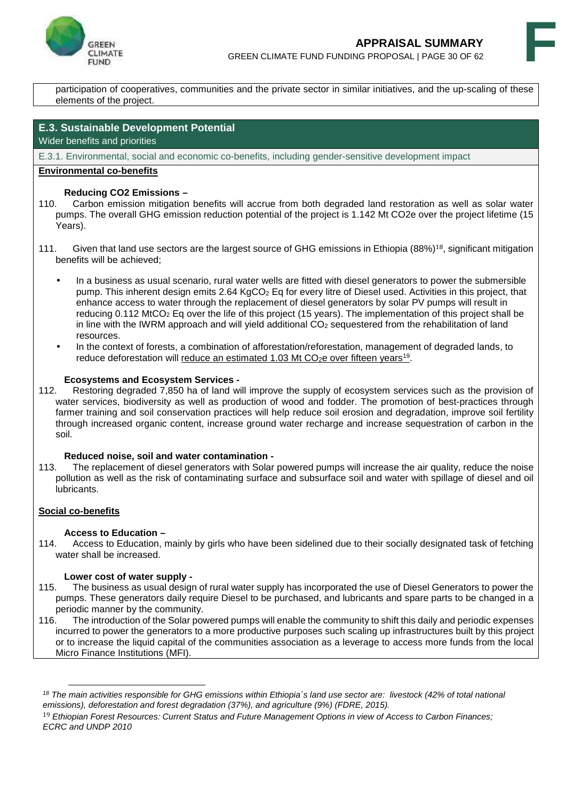



participation of cooperatives, communities and the private sector in similar initiatives, and the up-scaling of these elements of the project.

#### **E.3. Sustainable Development Potential**

Wider benefits and priorities

E.3.1. Environmental, social and economic co-benefits, including gender-sensitive development impact

#### **Environmental co-benefits**

#### **Reducing CO2 Emissions –**

- 110. Carbon emission mitigation benefits will accrue from both degraded land restoration as well as solar water pumps. The overall GHG emission reduction potential of the project is 1.142 Mt CO2e over the project lifetime (15 Years).
- 111. Given that land use sectors are the largest source of GHG emissions in Ethiopia (88%)18, significant mitigation benefits will be achieved;
	- In a business as usual scenario, rural water wells are fitted with diesel generators to power the submersible pump. This inherent design emits 2.64 KgCO<sub>2</sub> Eq for every litre of Diesel used. Activities in this project, that enhance access to water through the replacement of diesel generators by solar PV pumps will result in reducing 0.112 MtCO<sub>2</sub> Eq over the life of this project (15 years). The implementation of this project shall be in line with the IWRM approach and will yield additional  $CO<sub>2</sub>$  sequestered from the rehabilitation of land resources.
	- In the context of forests, a combination of afforestation/reforestation, management of degraded lands, to reduce deforestation will <u>reduce an estimated 1.03 Mt CO<sub>2</sub>e over fifteen years<sup>19</sup>.</u>

#### **Ecosystems and Ecosystem Services -**

112. Restoring degraded 7,850 ha of land will improve the supply of ecosystem services such as the provision of water services, biodiversity as well as production of wood and fodder. The promotion of best-practices through farmer training and soil conservation practices will help reduce soil erosion and degradation, improve soil fertility through increased organic content, increase ground water recharge and increase sequestration of carbon in the soil.

#### **Reduced noise, soil and water contamination -**

113. The replacement of diesel generators with Solar powered pumps will increase the air quality, reduce the noise pollution as well as the risk of contaminating surface and subsurface soil and water with spillage of diesel and oil lubricants.

#### **Social co-benefits**

#### **Access to Education –**

114. Access to Education, mainly by girls who have been sidelined due to their socially designated task of fetching water shall be increased.

#### **Lower cost of water supply -**

- 115. The business as usual design of rural water supply has incorporated the use of Diesel Generators to power the pumps. These generators daily require Diesel to be purchased, and lubricants and spare parts to be changed in a periodic manner by the community.<br>116. The introduction of the Solar pow
- The introduction of the Solar powered pumps will enable the community to shift this daily and periodic expenses incurred to power the generators to a more productive purposes such scaling up infrastructures built by this project or to increase the liquid capital of the communities association as a leverage to access more funds from the local Micro Finance Institutions (MFI).

*<sup>18</sup> The main activities responsible for GHG emissions within Ethiopia´s land use sector are: livestock (42% of total national emissions), deforestation and forest degradation (37%), and agriculture (9%) (FDRE, 2015).*

<sup>19</sup> *Ethiopian Forest Resources: Current Status and Future Management Options in view of Access to Carbon Finances; ECRC and UNDP 2010*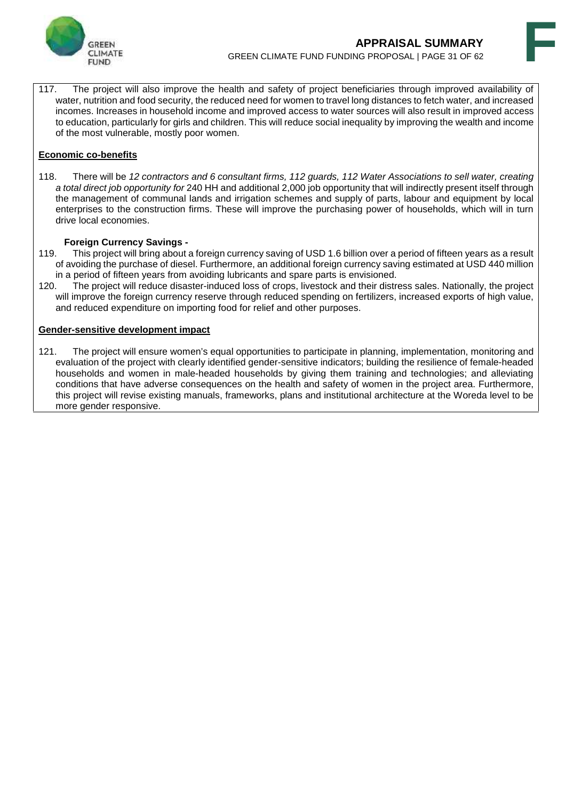



117. The project will also improve the health and safety of project beneficiaries through improved availability of water, nutrition and food security, the reduced need for women to travel long distances to fetch water, and increased incomes. Increases in household income and improved access to water sources will also result in improved access to education, particularly for girls and children. This will reduce social inequality by improving the wealth and income of the most vulnerable, mostly poor women.

#### **Economic co-benefits**

118. There will be *12 contractors and 6 consultant firms, 112 guards, 112 Water Associations to sell water, creating a total direct job opportunity for* 240 HH and additional 2,000 job opportunity that will indirectly present itself through the management of communal lands and irrigation schemes and supply of parts, labour and equipment by local enterprises to the construction firms. These will improve the purchasing power of households, which will in turn drive local economies.

#### **Foreign Currency Savings -**

- 119. This project will bring about a foreign currency saving of USD 1.6 billion over a period of fifteen years as a result of avoiding the purchase of diesel. Furthermore, an additional foreign currency saving estimated at USD 440 million in a period of fifteen years from avoiding lubricants and spare parts is envisioned.
- 120. The project will reduce disaster-induced loss of crops, livestock and their distress sales. Nationally, the project will improve the foreign currency reserve through reduced spending on fertilizers, increased exports of high value, and reduced expenditure on importing food for relief and other purposes.

#### **Gender-sensitive development impact**

121. The project will ensure women's equal opportunities to participate in planning, implementation, monitoring and evaluation of the project with clearly identified gender-sensitive indicators; building the resilience of female-headed households and women in male-headed households by giving them training and technologies; and alleviating conditions that have adverse consequences on the health and safety of women in the project area. Furthermore, this project will revise existing manuals, frameworks, plans and institutional architecture at the Woreda level to be more gender responsive.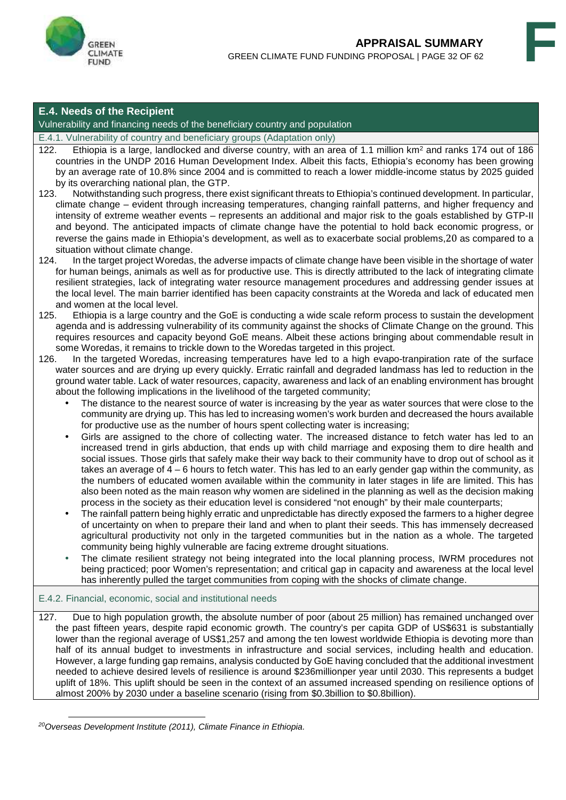



### **E.4. Needs of the Recipient**

Vulnerability and financing needs of the beneficiary country and population

E.4.1. Vulnerability of country and beneficiary groups (Adaptation only)

- 122. Ethiopia is a large, landlocked and diverse country, with an area of 1.1 million km<sup>2</sup> and ranks 174 out of 186 countries in the UNDP 2016 Human Development Index. Albeit this facts, Ethiopia's economy has been growing by an average rate of 10.8% since 2004 and is committed to reach a lower middle-income status by 2025 guided by its overarching national plan, the GTP.
- 123. Notwithstanding such progress, there exist significant threats to Ethiopia's continued development. In particular, climate change – evident through increasing temperatures, changing rainfall patterns, and higher frequency and intensity of extreme weather events – represents an additional and major risk to the goals established by GTP-II and beyond. The anticipated impacts of climate change have the potential to hold back economic progress, or reverse the gains made in Ethiopia's development, as well as to exacerbate social problems,20 as compared to a situation without climate change.
- 124. In the target project Woredas, the adverse impacts of climate change have been visible in the shortage of water for human beings, animals as well as for productive use. This is directly attributed to the lack of integrating climate resilient strategies, lack of integrating water resource management procedures and addressing gender issues at the local level. The main barrier identified has been capacity constraints at the Woreda and lack of educated men and women at the local level.
- 125. Ethiopia is a large country and the GoE is conducting a wide scale reform process to sustain the development agenda and is addressing vulnerability of its community against the shocks of Climate Change on the ground. This requires resources and capacity beyond GoE means. Albeit these actions bringing about commendable result in some Woredas, it remains to trickle down to the Woredas targeted in this project.
- 126. In the targeted Woredas, increasing temperatures have led to a high evapo-tranpiration rate of the surface water sources and are drying up every quickly. Erratic rainfall and degraded landmass has led to reduction in the ground water table. Lack of water resources, capacity, awareness and lack of an enabling environment has brought about the following implications in the livelihood of the targeted community;
	- The distance to the nearest source of water is increasing by the year as water sources that were close to the community are drying up. This has led to increasing women's work burden and decreased the hours available for productive use as the number of hours spent collecting water is increasing;
	- Girls are assigned to the chore of collecting water. The increased distance to fetch water has led to an increased trend in girls abduction, that ends up with child marriage and exposing them to dire health and social issues. Those girls that safely make their way back to their community have to drop out of school as it takes an average of 4 – 6 hours to fetch water. This has led to an early gender gap within the community, as the numbers of educated women available within the community in later stages in life are limited. This has also been noted as the main reason why women are sidelined in the planning as well as the decision making process in the society as their education level is considered "not enough" by their male counterparts;
	- The rainfall pattern being highly erratic and unpredictable has directly exposed the farmers to a higher degree of uncertainty on when to prepare their land and when to plant their seeds. This has immensely decreased agricultural productivity not only in the targeted communities but in the nation as a whole. The targeted community being highly vulnerable are facing extreme drought situations.
	- The climate resilient strategy not being integrated into the local planning process, IWRM procedures not being practiced; poor Women's representation; and critical gap in capacity and awareness at the local level has inherently pulled the target communities from coping with the shocks of climate change.

#### E.4.2. Financial, economic, social and institutional needs

127. Due to high population growth, the absolute number of poor (about 25 million) has remained unchanged over the past fifteen years, despite rapid economic growth. The country's per capita GDP of US\$631 is substantially lower than the regional average of US\$1,257 and among the ten lowest worldwide Ethiopia is devoting more than half of its annual budget to investments in infrastructure and social services, including health and education. However, a large funding gap remains, analysis conducted by GoE having concluded that the additional investment needed to achieve desired levels of resilience is around \$236millionper year until 2030. This represents a budget uplift of 18%. This uplift should be seen in the context of an assumed increased spending on resilience options of almost 200% by 2030 under a baseline scenario (rising from \$0.3billion to \$0.8billion).

*<sup>20</sup>Overseas Development Institute (2011), Climate Finance in Ethiopia.*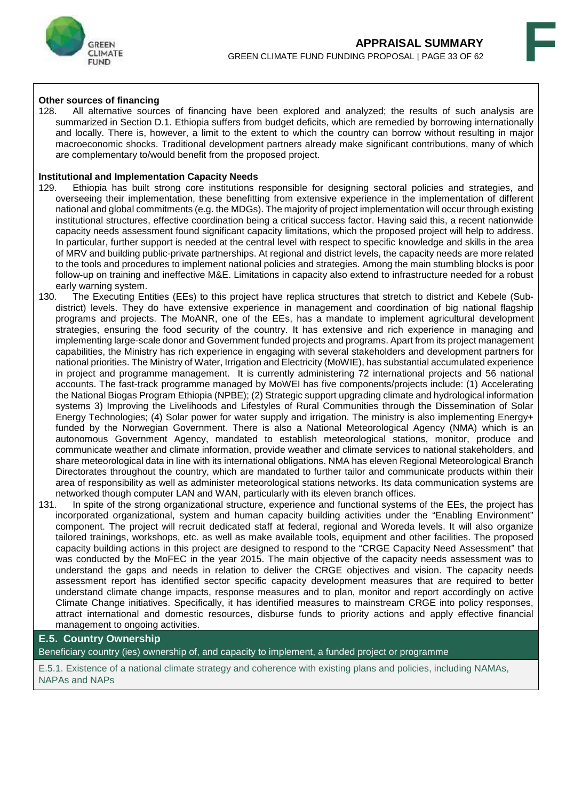



#### **Other sources of financing**

128. All alternative sources of financing have been explored and analyzed; the results of such analysis are summarized in Section D.1. Ethiopia suffers from budget deficits, which are remedied by borrowing internationally and locally. There is, however, a limit to the extent to which the country can borrow without resulting in major macroeconomic shocks. Traditional development partners already make significant contributions, many of which are complementary to/would benefit from the proposed project.

#### **Institutional and Implementation Capacity Needs**

- 129. Ethiopia has built strong core institutions responsible for designing sectoral policies and strategies, and overseeing their implementation, these benefitting from extensive experience in the implementation of different national and global commitments (e.g. the MDGs). The majority of project implementation will occur through existing institutional structures, effective coordination being a critical success factor. Having said this, a recent nationwide capacity needs assessment found significant capacity limitations, which the proposed project will help to address. In particular, further support is needed at the central level with respect to specific knowledge and skills in the area of MRV and building public-private partnerships. At regional and district levels, the capacity needs are more related to the tools and procedures to implement national policies and strategies. Among the main stumbling blocks is poor follow-up on training and ineffective M&E. Limitations in capacity also extend to infrastructure needed for a robust early warning system.<br>130. The Executing En
- 130. The Executing Entities (EEs) to this project have replica structures that stretch to district and Kebele (Sub district) levels. They do have extensive experience in management and coordination of big national flagship programs and projects. The MoANR, one of the EEs, has a mandate to implement agricultural development strategies, ensuring the food security of the country. It has extensive and rich experience in managing and implementing large-scale donor and Government funded projects and programs. Apart from its project management capabilities, the Ministry has rich experience in engaging with several stakeholders and development partners for national priorities. The Ministry of Water, Irrigation and Electricity (MoWIE), has substantial accumulated experience in project and programme management. It is currently administering 72 international projects and 56 national accounts. The fast-track programme managed by MoWEI has five components/projects include: (1) Accelerating the National Biogas Program Ethiopia (NPBE); (2) Strategic support upgrading climate and hydrological information systems 3) Improving the Livelihoods and Lifestyles of Rural Communities through the Dissemination of Solar Energy Technologies; (4) Solar power for water supply and irrigation. The ministry is also implementing Energy+ funded by the Norwegian Government. There is also a National Meteorological Agency (NMA) which is an autonomous Government Agency, mandated to establish meteorological stations, monitor, produce and communicate weather and climate information, provide weather and climate services to national stakeholders, and share meteorological data in line with its international obligations. NMA has eleven Regional Meteorological Branch Directorates throughout the country, which are mandated to further tailor and communicate products within their area of responsibility as well as administer meteorological stations networks. Its data communication systems are networked though computer LAN and WAN, particularly with its eleven branch offices.
- 131. In spite of the strong organizational structure, experience and functional systems of the EEs, the project has incorporated organizational, system and human capacity building activities under the "Enabling Environment" component. The project will recruit dedicated staff at federal, regional and Woreda levels. It will also organize tailored trainings, workshops, etc. as well as make available tools, equipment and other facilities. The proposed capacity building actions in this project are designed to respond to the "CRGE Capacity Need Assessment" that was conducted by the MoFEC in the year 2015. The main objective of the capacity needs assessment was to understand the gaps and needs in relation to deliver the CRGE objectives and vision. The capacity needs assessment report has identified sector specific capacity development measures that are required to better understand climate change impacts, response measures and to plan, monitor and report accordingly on active Climate Change initiatives. Specifically, it has identified measures to mainstream CRGE into policy responses, attract international and domestic resources, disburse funds to priority actions and apply effective financial management to ongoing activities.

#### **E.5. Country Ownership**

Beneficiary country (ies) ownership of, and capacity to implement, a funded project or programme

E.5.1. Existence of a national climate strategy and coherence with existing plans and policies, including NAMAs, NAPAs and NAPs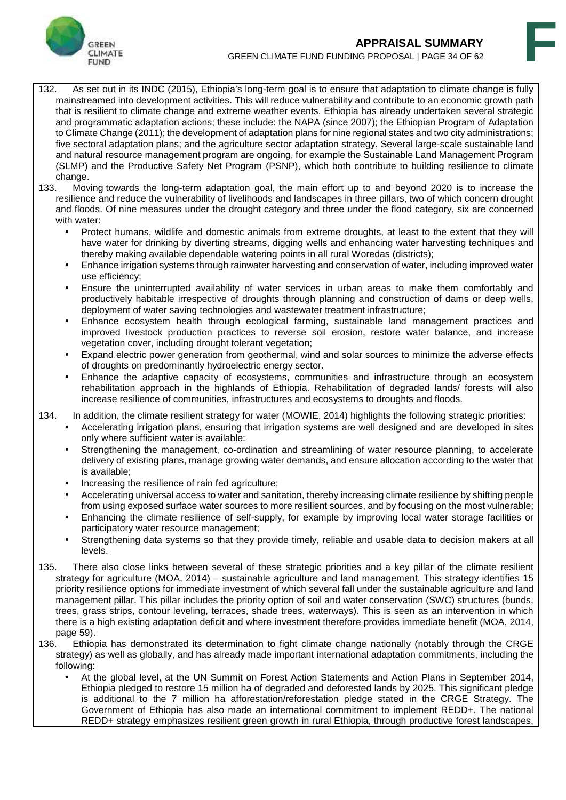



- 132. As set out in its INDC (2015), Ethiopia's long-term goal is to ensure that adaptation to climate change is fully mainstreamed into development activities. This will reduce vulnerability and contribute to an economic growth path that is resilient to climate change and extreme weather events. Ethiopia has already undertaken several strategic and programmatic adaptation actions; these include: the NAPA (since 2007); the Ethiopian Program of Adaptation to Climate Change (2011); the development of adaptation plans for nine regional states and two city administrations; five sectoral adaptation plans; and the agriculture sector adaptation strategy. Several large-scale sustainable land and natural resource management program are ongoing, for example the Sustainable Land Management Program (SLMP) and the Productive Safety Net Program (PSNP), which both contribute to building resilience to climate change.<br>133. Mov
- Moving towards the long-term adaptation goal, the main effort up to and beyond 2020 is to increase the resilience and reduce the vulnerability of livelihoods and landscapes in three pillars, two of which concern drought and floods. Of nine measures under the drought category and three under the flood category, six are concerned with water:
	- Protect humans, wildlife and domestic animals from extreme droughts, at least to the extent that they will have water for drinking by diverting streams, digging wells and enhancing water harvesting techniques and thereby making available dependable watering points in all rural Woredas (districts);
	- Enhance irrigation systems through rainwater harvesting and conservation of water, including improved water use efficiency;
	- Ensure the uninterrupted availability of water services in urban areas to make them comfortably and productively habitable irrespective of droughts through planning and construction of dams or deep wells, deployment of water saving technologies and wastewater treatment infrastructure;
	- Enhance ecosystem health through ecological farming, sustainable land management practices and improved livestock production practices to reverse soil erosion, restore water balance, and increase vegetation cover, including drought tolerant vegetation;
	- Expand electric power generation from geothermal, wind and solar sources to minimize the adverse effects of droughts on predominantly hydroelectric energy sector.
	- Enhance the adaptive capacity of ecosystems, communities and infrastructure through an ecosystem rehabilitation approach in the highlands of Ethiopia. Rehabilitation of degraded lands/ forests will also increase resilience of communities, infrastructures and ecosystems to droughts and floods.

134. In addition, the climate resilient strategy for water (MOWIE, 2014) highlights the following strategic priorities:

- Accelerating irrigation plans, ensuring that irrigation systems are well designed and are developed in sites only where sufficient water is available:
- Strengthening the management, co-ordination and streamlining of water resource planning, to accelerate delivery of existing plans, manage growing water demands, and ensure allocation according to the water that is available;
- Increasing the resilience of rain fed agriculture;
- Accelerating universal access to water and sanitation, thereby increasing climate resilience by shifting people from using exposed surface water sources to more resilient sources, and by focusing on the most vulnerable;
- Enhancing the climate resilience of self-supply, for example by improving local water storage facilities or participatory water resource management;
- Strengthening data systems so that they provide timely, reliable and usable data to decision makers at all levels.
- 135. There also close links between several of these strategic priorities and a key pillar of the climate resilient strategy for agriculture (MOA, 2014) – sustainable agriculture and land management. This strategy identifies 15 priority resilience options for immediate investment of which several fall under the sustainable agriculture and land management pillar. This pillar includes the priority option of soil and water conservation (SWC) structures (bunds, trees, grass strips, contour leveling, terraces, shade trees, waterways). This is seen as an intervention in which there is a high existing adaptation deficit and where investment therefore provides immediate benefit (MOA, 2014, page 59).<br>136. Ethior
- Ethiopia has demonstrated its determination to fight climate change nationally (notably through the CRGE strategy) as well as globally, and has already made important international adaptation commitments, including the following:
	- At the global level, at the UN Summit on Forest Action Statements and Action Plans in September 2014, Ethiopia pledged to restore 15 million ha of degraded and deforested lands by 2025. This significant pledge is additional to the 7 million ha afforestation/reforestation pledge stated in the CRGE Strategy. The Government of Ethiopia has also made an international commitment to implement REDD+. The national REDD+ strategy emphasizes resilient green growth in rural Ethiopia, through productive forest landscapes,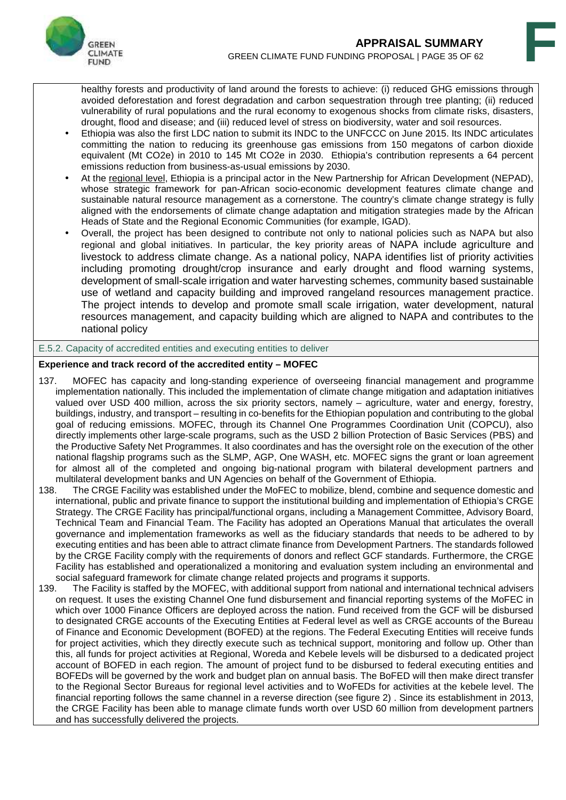

healthy forests and productivity of land around the forests to achieve: (i) reduced GHG emissions through avoided deforestation and forest degradation and carbon sequestration through tree planting; (ii) reduced vulnerability of rural populations and the rural economy to exogenous shocks from climate risks, disasters, drought, flood and disease; and (iii) reduced level of stress on biodiversity, water and soil resources.

- Ethiopia was also the first LDC nation to submit its INDC to the UNFCCC on June 2015. Its INDC articulates committing the nation to reducing its greenhouse gas emissions from 150 megatons of carbon dioxide equivalent (Mt CO2e) in 2010 to 145 Mt CO2e in 2030. Ethiopia's contribution represents a 64 percent emissions reduction from business-as-usual emissions by 2030.
- At the regional level, Ethiopia is a principal actor in the New Partnership for African Development (NEPAD), whose strategic framework for pan-African socio-economic development features climate change and sustainable natural resource management as a cornerstone. The country's climate change strategy is fully aligned with the endorsements of climate change adaptation and mitigation strategies made by the African Heads of State and the Regional Economic Communities (for example, IGAD).
- Overall, the project has been designed to contribute not only to national policies such as NAPA but also regional and global initiatives. In particular, the key priority areas of NAPA include agriculture and livestock to address climate change. As a national policy, NAPA identifies list of priority activities including promoting drought/crop insurance and early drought and flood warning systems, development of small-scale irrigation and water harvesting schemes, community based sustainable use of wetland and capacity building and improved rangeland resources management practice. The project intends to develop and promote small scale irrigation, water development, natural resources management, and capacity building which are aligned to NAPA and contributes to the national policy

#### E.5.2. Capacity of accredited entities and executing entities to deliver

### **Experience and track record of the accredited entity – MOFEC**

- 137. MOFEC has capacity and long-standing experience of overseeing financial management and programme implementation nationally. This included the implementation of climate change mitigation and adaptation initiatives valued over USD 400 million, across the six priority sectors, namely – agriculture, water and energy, forestry, buildings, industry, and transport – resulting in co-benefits for the Ethiopian population and contributing to the global goal of reducing emissions. MOFEC, through its Channel One Programmes Coordination Unit (COPCU), also directly implements other large-scale programs, such as the USD 2 billion Protection of Basic Services (PBS) and the Productive Safety Net Programmes. It also coordinates and has the oversight role on the execution of the other national flagship programs such as the SLMP, AGP, One WASH, etc. MOFEC signs the grant or loan agreement for almost all of the completed and ongoing big-national program with bilateral development partners and multilateral development banks and UN Agencies on behalf of the Government of Ethiopia.
- 138. The CRGE Facility was established under the MoFEC to mobilize, blend, combine and sequence domestic and international, public and private finance to support the institutional building and implementation of Ethiopia's CRGE Strategy. The CRGE Facility has principal/functional organs, including a Management Committee, Advisory Board, Technical Team and Financial Team. The Facility has adopted an Operations Manual that articulates the overall governance and implementation frameworks as well as the fiduciary standards that needs to be adhered to by executing entities and has been able to attract climate finance from Development Partners. The standards followed by the CRGE Facility comply with the requirements of donors and reflect GCF standards. Furthermore, the CRGE Facility has established and operationalized a monitoring and evaluation system including an environmental and social safeguard framework for climate change related projects and programs it supports.<br>139. The Facility is staffed by the MOFEC, with additional support from national and international
- The Facility is staffed by the MOFEC, with additional support from national and international technical advisers on request. It uses the existing Channel One fund disbursement and financial reporting systems of the MoFEC in which over 1000 Finance Officers are deployed across the nation. Fund received from the GCF will be disbursed to designated CRGE accounts of the Executing Entities at Federal level as well as CRGE accounts of the Bureau of Finance and Economic Development (BOFED) at the regions. The Federal Executing Entities will receive funds for project activities, which they directly execute such as technical support, monitoring and follow up. Other than this, all funds for project activities at Regional, Woreda and Kebele levels will be disbursed to a dedicated project account of BOFED in each region. The amount of project fund to be disbursed to federal executing entities and BOFEDs will be governed by the work and budget plan on annual basis. The BoFED will then make direct transfer to the Regional Sector Bureaus for regional level activities and to WoFEDs for activities at the kebele level. The financial reporting follows the same channel in a reverse direction (see figure 2) . Since its establishment in 2013, the CRGE Facility has been able to manage climate funds worth over USD 60 million from development partners and has successfully delivered the projects.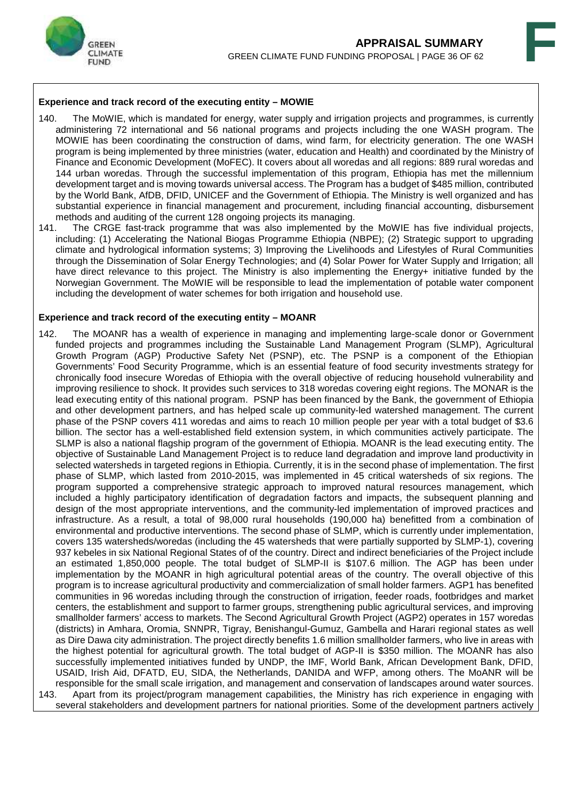



### **Experience and track record of the executing entity – MOWIE**

- 140. The MoWIE, which is mandated for energy, water supply and irrigation projects and programmes, is currently administering 72 international and 56 national programs and projects including the one WASH program. The MOWIE has been coordinating the construction of dams, wind farm, for electricity generation. The one WASH program is being implemented by three ministries (water, education and Health) and coordinated by the Ministry of Finance and Economic Development (MoFEC). It covers about all woredas and all regions: 889 rural woredas and 144 urban woredas. Through the successful implementation of this program, Ethiopia has met the millennium development target and is moving towards universal access. The Program has a budget of \$485 million, contributed by the World Bank, AfDB, DFID, UNICEF and the Government of Ethiopia. The Ministry is well organized and has substantial experience in financial management and procurement, including financial accounting, disbursement methods and auditing of the current 128 ongoing projects its managing.
- 141. The CRGE fast-track programme that was also implemented by the MoWIE has five individual projects, including: (1) Accelerating the National Biogas Programme Ethiopia (NBPE); (2) Strategic support to upgrading climate and hydrological information systems; 3) Improving the Livelihoods and Lifestyles of Rural Communities through the Dissemination of Solar Energy Technologies; and (4) Solar Power for Water Supply and Irrigation; all have direct relevance to this project. The Ministry is also implementing the Energy+ initiative funded by the Norwegian Government. The MoWIE will be responsible to lead the implementation of potable water component including the development of water schemes for both irrigation and household use.

#### **Experience and track record of the executing entity – MOANR**

142. The MOANR has a wealth of experience in managing and implementing large-scale donor or Government funded projects and programmes including the Sustainable Land Management Program (SLMP), Agricultural Growth Program (AGP) Productive Safety Net (PSNP), etc. The PSNP is a component of the Ethiopian Governments' Food Security Programme, which is an essential feature of food security investments strategy for chronically food insecure Woredas of Ethiopia with the overall objective of reducing household vulnerability and improving resilience to shock. It provides such services to 318 woredas covering eight regions. The MONAR is the lead executing entity of this national program. PSNP has been financed by the Bank, the government of Ethiopia and other development partners, and has helped scale up community-led watershed management. The current phase of the PSNP covers 411 woredas and aims to reach 10 million people per year with a total budget of \$3.6 billion. The sector has a well-established field extension system, in which communities actively participate. The SLMP is also a national flagship program of the government of Ethiopia. MOANR is the lead executing entity. The objective of Sustainable Land Management Project is to reduce land degradation and improve land productivity in selected watersheds in targeted regions in Ethiopia. Currently, it is in the second phase of implementation. The first phase of SLMP, which lasted from 2010-2015, was implemented in 45 critical watersheds of six regions. The program supported a comprehensive strategic approach to improved natural resources management, which included a highly participatory identification of degradation factors and impacts, the subsequent planning and design of the most appropriate interventions, and the community-led implementation of improved practices and infrastructure. As a result, a total of 98,000 rural households (190,000 ha) benefitted from a combination of environmental and productive interventions. The second phase of SLMP, which is currently under implementation, covers 135 watersheds/woredas (including the 45 watersheds that were partially supported by SLMP-1), covering 937 kebeles in six National Regional States of of the country. Direct and indirect beneficiaries of the Project include an estimated 1,850,000 people. The total budget of SLMP-II is \$107.6 million. The AGP has been under implementation by the MOANR in high agricultural potential areas of the country. The overall objective of this program is to increase agricultural productivity and commercialization of small holder farmers. AGP1 has benefited communities in 96 woredas including through the construction of irrigation, feeder roads, footbridges and market centers, the establishment and support to farmer groups, strengthening public agricultural services, and improving smallholder farmers' access to markets. The Second Agricultural Growth Project (AGP2) operates in 157 woredas (districts) in Amhara, Oromia, SNNPR, Tigray, Benishangul-Gumuz, Gambella and Harari regional states as well as Dire Dawa city administration. The project directly benefits 1.6 million smallholder farmers, who live in areas with the highest potential for agricultural growth. The total budget of AGP-II is \$350 million. The MOANR has also successfully implemented initiatives funded by UNDP, the IMF, World Bank, African Development Bank, DFID, USAID, Irish Aid, DFATD, EU, SIDA, the Netherlands, DANIDA and WFP, among others. The MoANR will be responsible for the small scale irrigation, and management and conservation of landscapes around water sources. 143. Apart from its project/program management capabilities, the Ministry has rich experience in engaging with several stakeholders and development partners for national priorities. Some of the development partners actively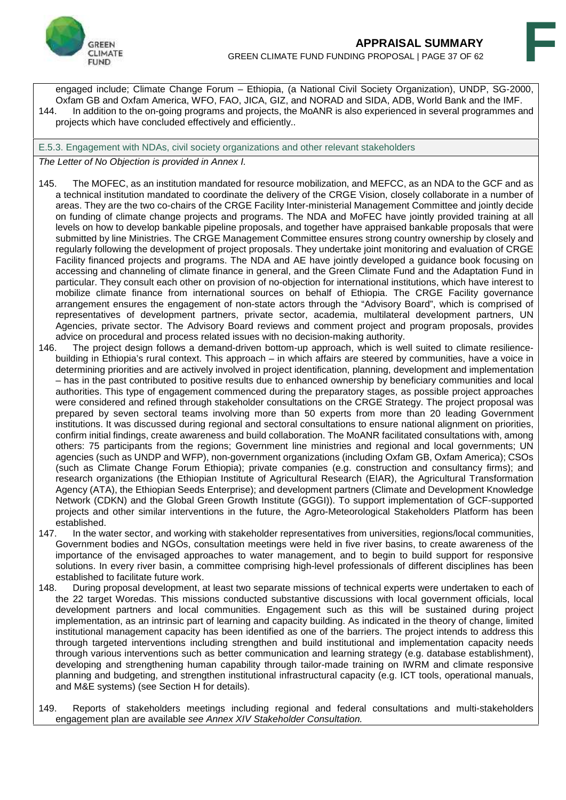

engaged include; Climate Change Forum – Ethiopia, (a National Civil Society Organization), UNDP, SG-2000, Oxfam GB and Oxfam America, WFO, FAO, JICA, GIZ, and NORAD and SIDA, ADB, World Bank and the IMF. 144. In addition to the on-going programs and projects, the MoANR is also experienced in several programmes and projects which have concluded effectively and efficiently..

E.5.3. Engagement with NDAs, civil society organizations and other relevant stakeholders

#### *The Letter of No Objection is provided in Annex I.*

- 145. The MOFEC, as an institution mandated for resource mobilization, and MEFCC, as an NDA to the GCF and as a technical institution mandated to coordinate the delivery of the CRGE Vision, closely collaborate in a number of areas. They are the two co-chairs of the CRGE Facility Inter-ministerial Management Committee and jointly decide on funding of climate change projects and programs. The NDA and MoFEC have jointly provided training at all levels on how to develop bankable pipeline proposals, and together have appraised bankable proposals that were submitted by line Ministries. The CRGE Management Committee ensures strong country ownership by closely and regularly following the development of project proposals. They undertake joint monitoring and evaluation of CRGE Facility financed projects and programs. The NDA and AE have jointly developed a guidance book focusing on accessing and channeling of climate finance in general, and the Green Climate Fund and the Adaptation Fund in particular. They consult each other on provision of no-objection for international institutions, which have interest to mobilize climate finance from international sources on behalf of Ethiopia. The CRGE Facility governance arrangement ensures the engagement of non-state actors through the "Advisory Board", which is comprised of representatives of development partners, private sector, academia, multilateral development partners, UN Agencies, private sector. The Advisory Board reviews and comment project and program proposals, provides advice on procedural and process related issues with no decision-making authority.
- 146. The project design follows a demand-driven bottom-up approach, which is well suited to climate resilience building in Ethiopia's rural context. This approach – in which affairs are steered by communities, have a voice in determining priorities and are actively involved in project identification, planning, development and implementation – has in the past contributed to positive results due to enhanced ownership by beneficiary communities and local authorities. This type of engagement commenced during the preparatory stages, as possible project approaches were considered and refined through stakeholder consultations on the CRGE Strategy. The project proposal was prepared by seven sectoral teams involving more than 50 experts from more than 20 leading Government institutions. It was discussed during regional and sectoral consultations to ensure national alignment on priorities, confirm initial findings, create awareness and build collaboration. The MoANR facilitated consultations with, among others: 75 participants from the regions; Government line ministries and regional and local governments; UN agencies (such as UNDP and WFP), non-government organizations (including Oxfam GB, Oxfam America); CSOs (such as Climate Change Forum Ethiopia); private companies (e.g. construction and consultancy firms); and research organizations (the Ethiopian Institute of Agricultural Research (EIAR), the Agricultural Transformation Agency (ATA), the Ethiopian Seeds Enterprise); and development partners (Climate and Development Knowledge Network (CDKN) and the Global Green Growth Institute (GGGI)). To support implementation of GCF-supported projects and other similar interventions in the future, the Agro-Meteorological Stakeholders Platform has been established.
- 147. In the water sector, and working with stakeholder representatives from universities, regions/local communities, Government bodies and NGOs, consultation meetings were held in five river basins, to create awareness of the importance of the envisaged approaches to water management, and to begin to build support for responsive solutions. In every river basin, a committee comprising high-level professionals of different disciplines has been established to facilitate future work.<br>148. During proposal development. a
- During proposal development, at least two separate missions of technical experts were undertaken to each of the 22 target Woredas. This missions conducted substantive discussions with local government officials, local development partners and local communities. Engagement such as this will be sustained during project implementation, as an intrinsic part of learning and capacity building. As indicated in the theory of change, limited institutional management capacity has been identified as one of the barriers. The project intends to address this through targeted interventions including strengthen and build institutional and implementation capacity needs through various interventions such as better communication and learning strategy (e.g. database establishment), developing and strengthening human capability through tailor-made training on IWRM and climate responsive planning and budgeting, and strengthen institutional infrastructural capacity (e.g. ICT tools, operational manuals, and M&E systems) (see Section H for details).
- 149. Reports of stakeholders meetings including regional and federal consultations and multi-stakeholders engagement plan are available *see Annex XIV Stakeholder Consultation.*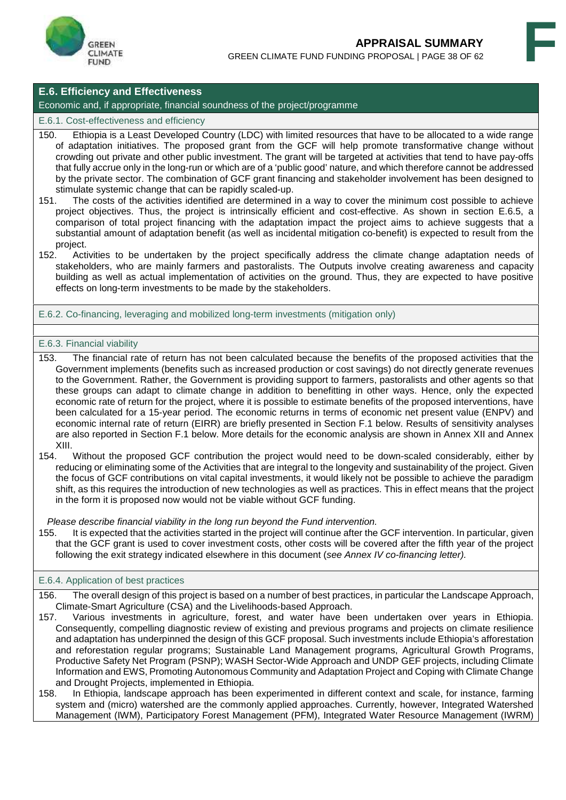

#### **E.6. Efficiency and Effectiveness**

#### Economic and, if appropriate, financial soundness of the project/programme

#### E.6.1. Cost-effectiveness and efficiency

- 150. Ethiopia is a Least Developed Country (LDC) with limited resources that have to be allocated to a wide range of adaptation initiatives. The proposed grant from the GCF will help promote transformative change without crowding out private and other public investment. The grant will be targeted at activities that tend to have pay-offs that fully accrue only in the long-run or which are of a 'public good' nature, and which therefore cannot be addressed by the private sector. The combination of GCF grant financing and stakeholder involvement has been designed to stimulate systemic change that can be rapidly scaled-up.
- 151. The costs of the activities identified are determined in a way to cover the minimum cost possible to achieve project objectives. Thus, the project is intrinsically efficient and cost-effective. As shown in section E.6.5, a comparison of total project financing with the adaptation impact the project aims to achieve suggests that a substantial amount of adaptation benefit (as well as incidental mitigation co-benefit) is expected to result from the project.
- 152. Activities to be undertaken by the project specifically address the climate change adaptation needs of stakeholders, who are mainly farmers and pastoralists. The Outputs involve creating awareness and capacity building as well as actual implementation of activities on the ground. Thus, they are expected to have positive effects on long-term investments to be made by the stakeholders.

#### E.6.2. Co-financing, leveraging and mobilized long-term investments (mitigation only)

#### E.6.3. Financial viability

- 153. The financial rate of return has not been calculated because the benefits of the proposed activities that the Government implements (benefits such as increased production or cost savings) do not directly generate revenues to the Government. Rather, the Government is providing support to farmers, pastoralists and other agents so that these groups can adapt to climate change in addition to benefitting in other ways. Hence, only the expected economic rate of return for the project, where it is possible to estimate benefits of the proposed interventions, have been calculated for a 15-year period. The economic returns in terms of economic net present value (ENPV) and economic internal rate of return (EIRR) are briefly presented in Section F.1 below. Results of sensitivity analyses are also reported in Section F.1 below. More details for the economic analysis are shown in Annex XII and Annex  $XIII.  
154.$
- Without the proposed GCF contribution the project would need to be down-scaled considerably, either by reducing or eliminating some of the Activities that are integral to the longevity and sustainability of the project. Given the focus of GCF contributions on vital capital investments, it would likely not be possible to achieve the paradigm shift, as this requires the introduction of new technologies as well as practices. This in effect means that the project in the form it is proposed now would not be viable without GCF funding.

*Please describe financial viability in the long run beyond the Fund intervention.*

155. It is expected that the activities started in the project will continue after the GCF intervention. In particular, given that the GCF grant is used to cover investment costs, other costs will be covered after the fifth year of the project following the exit strategy indicated elsewhere in this document (*see Annex IV co-financing letter).*

#### E.6.4. Application of best practices

- 156. The overall design of this project is based on a number of best practices, in particular the Landscape Approach, Climate-Smart Agriculture (CSA) and the Livelihoods-based Approach.
- 157. Various investments in agriculture, forest, and water have been undertaken over years in Ethiopia. Consequently, compelling diagnostic review of existing and previous programs and projects on climate resilience and adaptation has underpinned the design of this GCF proposal. Such investments include Ethiopia's afforestation and reforestation regular programs; Sustainable Land Management programs, Agricultural Growth Programs, Productive Safety Net Program (PSNP); WASH Sector-Wide Approach and UNDP GEF projects, including Climate Information and EWS, Promoting Autonomous Community and Adaptation Project and Coping with Climate Change and Drought Projects, implemented in Ethiopia.
- 158. In Ethiopia, landscape approach has been experimented in different context and scale, for instance, farming system and (micro) watershed are the commonly applied approaches. Currently, however, Integrated Watershed Management (IWM), Participatory Forest Management (PFM), Integrated Water Resource Management (IWRM)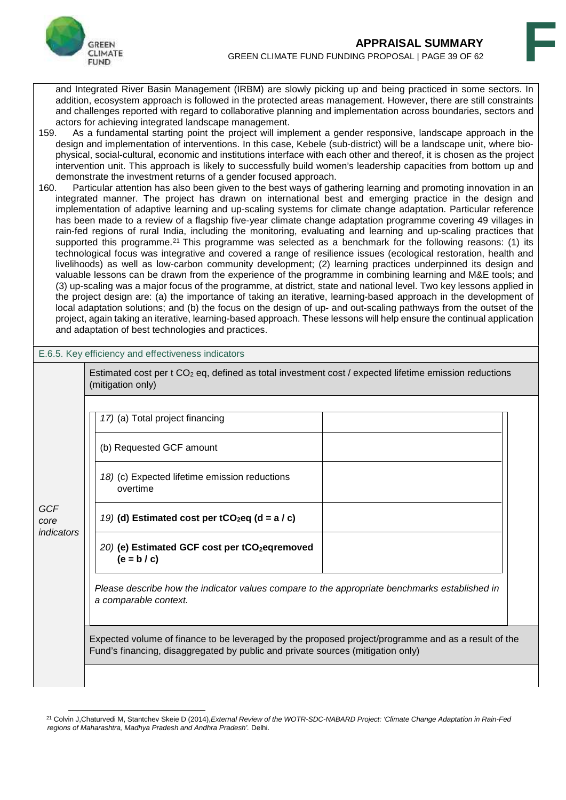

and Integrated River Basin Management (IRBM) are slowly picking up and being practiced in some sectors. In addition, ecosystem approach is followed in the protected areas management. However, there are still constraints and challenges reported with regard to collaborative planning and implementation across boundaries, sectors and

- actors for achieving integrated landscape management.<br>159. As a fundamental starting point the project will imp As a fundamental starting point the project will implement a gender responsive, landscape approach in the design and implementation of interventions. In this case, Kebele (sub-district) will be a landscape unit, where bio physical, social-cultural, economic and institutions interface with each other and thereof, it is chosen as the project intervention unit. This approach is likely to successfully build women's leadership capacities from bottom up and demonstrate the investment returns of a gender focused approach.<br>160. Particular attention has also been given to the best ways of gate
- Particular attention has also been given to the best ways of gathering learning and promoting innovation in an integrated manner. The project has drawn on international best and emerging practice in the design and implementation of adaptive learning and up-scaling systems for climate change adaptation. Particular reference has been made to a review of a flagship five-year climate change adaptation programme covering 49 villages in rain-fed regions of rural India, including the monitoring, evaluating and learning and up-scaling practices that supported this programme.<sup>21</sup> This programme was selected as a benchmark for the following reasons: (1) its technological focus was integrative and covered a range of resilience issues (ecological restoration, health and livelihoods) as well as low-carbon community development; (2) learning practices underpinned its design and valuable lessons can be drawn from the experience of the programme in combining learning and M&E tools; and (3) up-scaling was a major focus of the programme, at district, state and national level. Two key lessons applied in the project design are: (a) the importance of taking an iterative, learning-based approach in the development of local adaptation solutions; and (b) the focus on the design of up- and out-scaling pathways from the outset of the project, again taking an iterative, learning-based approach. These lessons will help ensure the continual application and adaptation of best technologies and practices.

| E.6.5. Key efficiency and effectiveness indicators |  |
|----------------------------------------------------|--|
|----------------------------------------------------|--|

Estimated cost per t CO<sub>2</sub> eq, defined as total investment cost / expected lifetime emission reductions (mitigation only)

*17)* (a) Total project financing

(b) Requested GCF amount

*18)* (c) Expected lifetime emission reductions overtime

*GCF core indicators*

- *19)* **(d) Estimated cost per tCO2eq (d = a / c)**
	- *20)* **(e) Estimated GCF cost per tCO2eqremoved (e = b / c)**

*Please describe how the indicator values compare to the appropriate benchmarks established in a comparable context.*

Expected volume of finance to be leveraged by the proposed project/programme and as a result of the Fund's financing, disaggregated by public and private sources (mitigation only)

<sup>21</sup> Colvin J,Chaturvedi M, Stantchev Skeie D (2014),*External Review of the WOTR-SDC-NABARD Project: 'Climate Change Adaptation in Rain-Fed regions of Maharashtra, Madhya Pradesh and Andhra Pradesh'.* Delhi.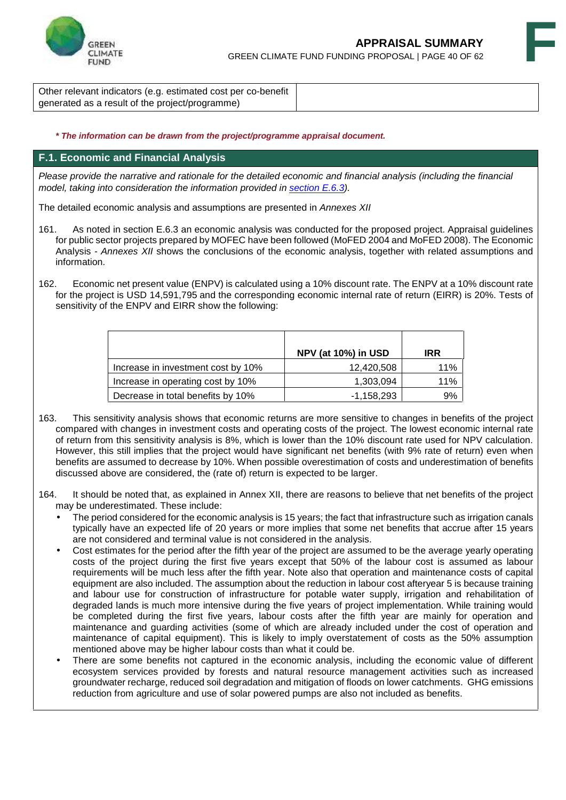

Other relevant indicators (e.g. estimated cost per co-benefit generated as a result of the project/programme)

#### *\* The information can be drawn from the project/programme appraisal document.*

#### **F.1. Economic and Financial Analysis**

*Please provide the narrative and rationale for the detailed economic and financial analysis (including the financial model, taking into consideration the information provided in section E.6.3).*

The detailed economic analysis and assumptions are presented in *Annexes XII*

- 161. As noted in section E.6.3 an economic analysis was conducted for the proposed project. Appraisal guidelines for public sector projects prepared by MOFEC have been followed (MoFED 2004 and MoFED 2008). The Economic Analysis - *Annexes XII* shows the conclusions of the economic analysis, together with related assumptions and information.
- 162. Economic net present value (ENPV) is calculated using a 10% discount rate. The ENPV at a 10% discount rate for the project is USD 14,591,795 and the corresponding economic internal rate of return (EIRR) is 20%. Tests of sensitivity of the ENPV and EIRR show the following:

|                                    | NPV (at 10%) in USD | <b>IRR</b> |
|------------------------------------|---------------------|------------|
| Increase in investment cost by 10% | 12,420,508          | 11%        |
| Increase in operating cost by 10%  | 1,303,094           | 11%        |
| Decrease in total benefits by 10%  | $-1,158,293$        | 9%         |

- 163. This sensitivity analysis shows that economic returns are more sensitive to changes in benefits of the project compared with changes in investment costs and operating costs of the project. The lowest economic internal rate of return from this sensitivity analysis is 8%, which is lower than the 10% discount rate used for NPV calculation. However, this still implies that the project would have significant net benefits (with 9% rate of return) even when benefits are assumed to decrease by 10%. When possible overestimation of costs and underestimation of benefits discussed above are considered, the (rate of) return is expected to be larger.
- 164. It should be noted that, as explained in Annex XII, there are reasons to believe that net benefits of the project may be underestimated. These include:
	- The period considered for the economic analysis is 15 years; the fact that infrastructure such as irrigation canals typically have an expected life of 20 years or more implies that some net benefits that accrue after 15 years are not considered and terminal value is not considered in the analysis.
	- Cost estimates for the period after the fifth year of the project are assumed to be the average yearly operating costs of the project during the first five years except that 50% of the labour cost is assumed as labour requirements will be much less after the fifth year. Note also that operation and maintenance costs of capital equipment are also included. The assumption about the reduction in labour cost afteryear 5 is because training and labour use for construction of infrastructure for potable water supply, irrigation and rehabilitation of degraded lands is much more intensive during the five years of project implementation. While training would be completed during the first five years, labour costs after the fifth year are mainly for operation and maintenance and guarding activities (some of which are already included under the cost of operation and maintenance of capital equipment). This is likely to imply overstatement of costs as the 50% assumption mentioned above may be higher labour costs than what it could be.
	- There are some benefits not captured in the economic analysis, including the economic value of different ecosystem services provided by forests and natural resource management activities such as increased groundwater recharge, reduced soil degradation and mitigation of floods on lower catchments. GHG emissions reduction from agriculture and use of solar powered pumps are also not included as benefits.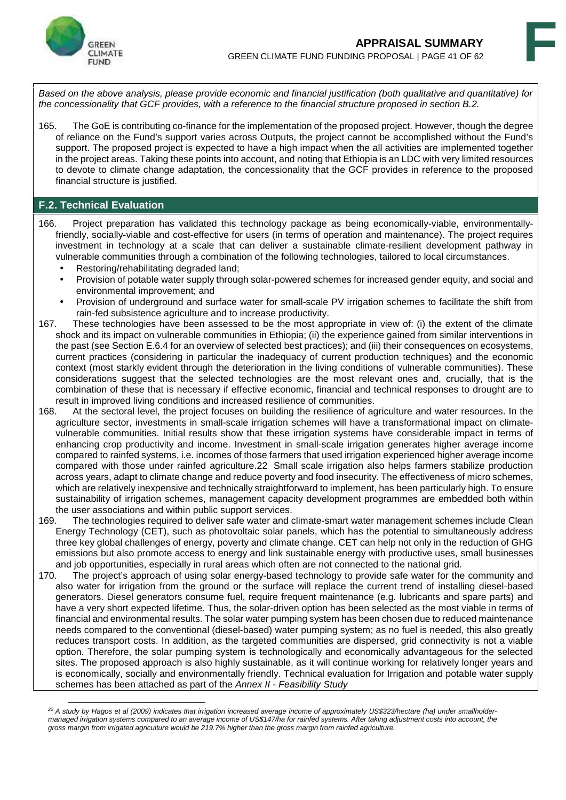

*Based on the above analysis, please provide economic and financial justification (both qualitative and quantitative) for the concessionality that GCF provides, with a reference to the financial structure proposed in section B.2.*

165. The GoE is contributing co-finance for the implementation of the proposed project. However, though the degree of reliance on the Fund's support varies across Outputs, the project cannot be accomplished without the Fund's support. The proposed project is expected to have a high impact when the all activities are implemented together in the project areas. Taking these points into account, and noting that Ethiopia is an LDC with very limited resources to devote to climate change adaptation, the concessionality that the GCF provides in reference to the proposed financial structure is justified.

#### **F.2. Technical Evaluation**

- 166. Project preparation has validated this technology package as being economically-viable, environmentallyfriendly, socially-viable and cost-effective for users (in terms of operation and maintenance). The project requires investment in technology at a scale that can deliver a sustainable climate-resilient development pathway in vulnerable communities through a combination of the following technologies, tailored to local circumstances.
	- Restoring/rehabilitating degraded land;
	- Provision of potable water supply through solar-powered schemes for increased gender equity, and social and environmental improvement; and
	- Provision of underground and surface water for small-scale PV irrigation schemes to facilitate the shift from rain-fed subsistence agriculture and to increase productivity.
- 167. These technologies have been assessed to be the most appropriate in view of: (i) the extent of the climate shock and its impact on vulnerable communities in Ethiopia; (ii) the experience gained from similar interventions in the past (see Section E.6.4 for an overview of selected best practices); and (iii) their consequences on ecosystems, current practices (considering in particular the inadequacy of current production techniques) and the economic context (most starkly evident through the deterioration in the living conditions of vulnerable communities). These considerations suggest that the selected technologies are the most relevant ones and, crucially, that is the combination of these that is necessary if effective economic, financial and technical responses to drought are to result in improved living conditions and increased resilience of communities.<br>168. At the sectoral level, the project focuses on building the resilience of a
- At the sectoral level, the project focuses on building the resilience of agriculture and water resources. In the agriculture sector, investments in small-scale irrigation schemes will have a transformational impact on climate vulnerable communities. Initial results show that these irrigation systems have considerable impact in terms of enhancing crop productivity and income. Investment in small-scale irrigation generates higher average income compared to rainfed systems, i.e. incomes of those farmers that used irrigation experienced higher average income compared with those under rainfed agriculture.22 Small scale irrigation also helps farmers stabilize production across years, adapt to climate change and reduce poverty and food insecurity. The effectiveness of micro schemes, which are relatively inexpensive and technically straightforward to implement, has been particularly high. To ensure sustainability of irrigation schemes, management capacity development programmes are embedded both within the user associations and within public support services.
- 169. The technologies required to deliver safe water and climate-smart water management schemes include Clean Energy Technology (CET), such as photovoltaic solar panels, which has the potential to simultaneously address three key global challenges of energy, poverty and climate change. CET can help not only in the reduction of GHG emissions but also promote access to energy and link sustainable energy with productive uses, small businesses and job opportunities, especially in rural areas which often are not connected to the national grid.
- 170. The project's approach of using solar energy-based technology to provide safe water for the community and also water for irrigation from the ground or the surface will replace the current trend of installing diesel-based generators. Diesel generators consume fuel, require frequent maintenance (e.g. lubricants and spare parts) and have a very short expected lifetime. Thus, the solar-driven option has been selected as the most viable in terms of financial and environmental results. The solar water pumping system has been chosen due to reduced maintenance needs compared to the conventional (diesel-based) water pumping system; as no fuel is needed, this also greatly reduces transport costs. In addition, as the targeted communities are dispersed, grid connectivity is not a viable option. Therefore, the solar pumping system is technologically and economically advantageous for the selected sites. The proposed approach is also highly sustainable, as it will continue working for relatively longer years and is economically, socially and environmentally friendly. Technical evaluation for Irrigation and potable water supply schemes has been attached as part of the *Annex II - Feasibility Study*

*<sup>22</sup> A study by Hagos et al (2009) indicates that irrigation increased average income of approximately US\$323/hectare (ha) under smallholder managed irrigation systems compared to an average income of US\$147/ha for rainfed systems. After taking adjustment costs into account, the gross margin from irrigated agriculture would be 219.7% higher than the gross margin from rainfed agriculture.*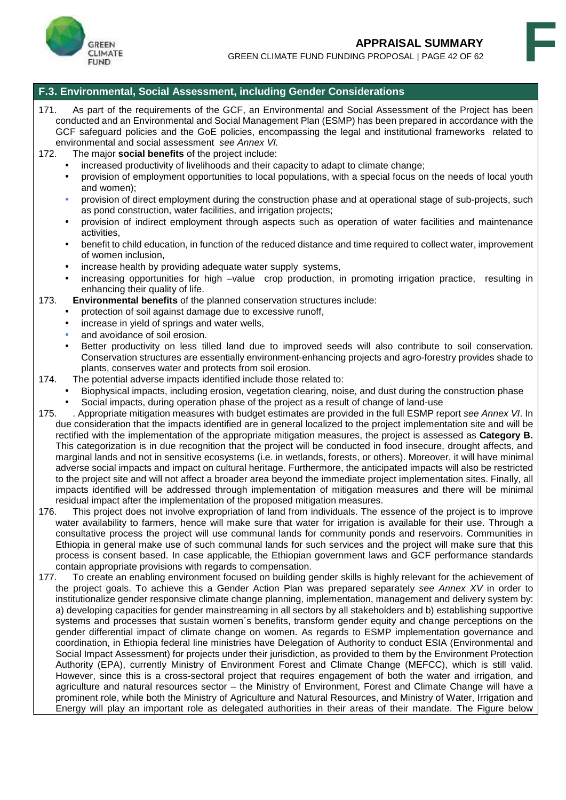

#### **F.3. Environmental, Social Assessment, including Gender Considerations**

- 171. As part of the requirements of the GCF, an Environmental and Social Assessment of the Project has been conducted and an Environmental and Social Management Plan (ESMP) has been prepared in accordance with the GCF safeguard policies and the GoE policies, encompassing the legal and institutional frameworks related to environmental and social assessment *see Annex VI.*
- The major **social benefits** of the project include:
	- increased productivity of livelihoods and their capacity to adapt to climate change;
	- provision of employment opportunities to local populations, with a special focus on the needs of local youth and women);
	- provision of direct employment during the construction phase and at operational stage of sub-projects, such as pond construction, water facilities, and irrigation projects;
	- provision of indirect employment through aspects such as operation of water facilities and maintenance activities,
	- benefit to child education, in function of the reduced distance and time required to collect water, improvement of women inclusion,
	- increase health by providing adequate water supply systems,
	- increasing opportunities for high –value crop production, in promoting irrigation practice, resulting in enhancing their quality of life.

173. **Environmental benefits** of the planned conservation structures include:

- protection of soil against damage due to excessive runoff,
- increase in yield of springs and water wells,
- and avoidance of soil erosion.
- Better productivity on less tilled land due to improved seeds will also contribute to soil conservation. Conservation structures are essentially environment-enhancing projects and agro-forestry provides shade to plants, conserves water and protects from soil erosion.
- 174. The potential adverse impacts identified include those related to:
	- Biophysical impacts, including erosion, vegetation clearing, noise, and dust during the construction phase Social impacts, during operation phase of the project as a result of change of land-use
- 175. . Appropriate mitigation measures with budget estimates are provided in the full ESMP report *see Annex VI*. In due consideration that the impacts identified are in general localized to the project implementation site and will be rectified with the implementation of the appropriate mitigation measures, the project is assessed as **Category B.** This categorization is in due recognition that the project will be conducted in food insecure, drought affects, and marginal lands and not in sensitive ecosystems (i.e. in wetlands, forests, or others). Moreover, it will have minimal adverse social impacts and impact on cultural heritage. Furthermore, the anticipated impacts will also be restricted to the project site and will not affect a broader area beyond the immediate project implementation sites. Finally, all impacts identified will be addressed through implementation of mitigation measures and there will be minimal residual impact after the implementation of the proposed mitigation measures.
- 176. This project does not involve expropriation of land from individuals. The essence of the project is to improve water availability to farmers, hence will make sure that water for irrigation is available for their use. Through a consultative process the project will use communal lands for community ponds and reservoirs. Communities in Ethiopia in general make use of such communal lands for such services and the project will make sure that this process is consent based. In case applicable, the Ethiopian government laws and GCF performance standards contain appropriate provisions with regards to compensation.<br>177. To create an enabling environment focused on building g
- To create an enabling environment focused on building gender skills is highly relevant for the achievement of the project goals. To achieve this a Gender Action Plan was prepared separately *see Annex XV* in order to institutionalize gender responsive climate change planning, implementation, management and delivery system by: a) developing capacities for gender mainstreaming in all sectors by all stakeholders and b) establishing supportive systems and processes that sustain women´s benefits, transform gender equity and change perceptions on the gender differential impact of climate change on women. As regards to ESMP implementation governance and coordination, in Ethiopia federal line ministries have Delegation of Authority to conduct ESIA (Environmental and Social Impact Assessment) for projects under their jurisdiction, as provided to them by the Environment Protection Authority (EPA), currently Ministry of Environment Forest and Climate Change (MEFCC), which is still valid. However, since this is a cross-sectoral project that requires engagement of both the water and irrigation, and agriculture and natural resources sector – the Ministry of Environment, Forest and Climate Change will have a prominent role, while both the Ministry of Agriculture and Natural Resources, and Ministry of Water, Irrigation and Energy will play an important role as delegated authorities in their areas of their mandate. The Figure below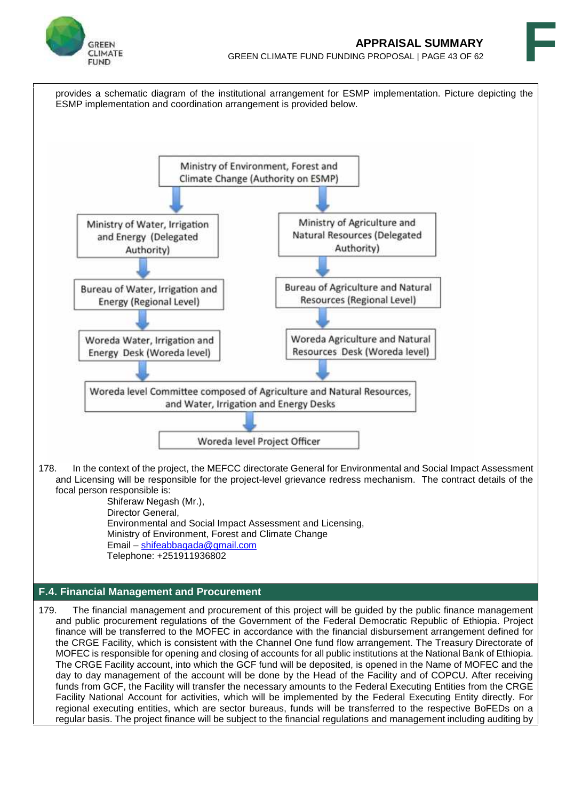

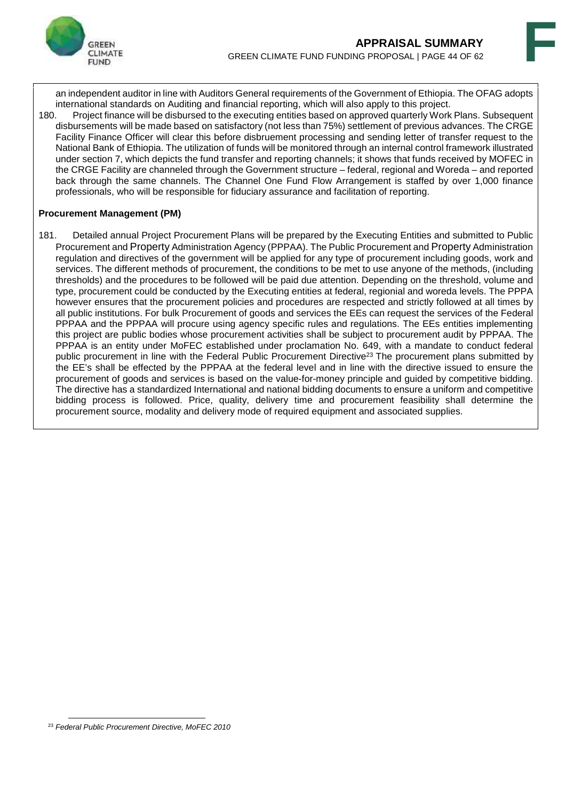

an independent auditor in line with Auditors General requirements of the Government of Ethiopia. The OFAG adopts international standards on Auditing and financial reporting, which will also apply to this project.

180. Project finance will be disbursed to the executing entities based on approved quarterly Work Plans. Subsequent disbursements will be made based on satisfactory (not less than 75%) settlement of previous advances. The CRGE Facility Finance Officer will clear this before disbruement processing and sending letter of transfer request to the National Bank of Ethiopia. The utilization of funds will be monitored through an internal control framework illustrated under section 7, which depicts the fund transfer and reporting channels; it shows that funds received by MOFEC in the CRGE Facility are channeled through the Government structure – federal, regional and Woreda – and reported back through the same channels. The Channel One Fund Flow Arrangement is staffed by over 1,000 finance professionals, who will be responsible for fiduciary assurance and facilitation of reporting.

#### **Procurement Management (PM)**

181. Detailed annual Project Procurement Plans will be prepared by the Executing Entities and submitted to Public Procurement and Property Administration Agency (PPPAA). The Public Procurement and Property Administration regulation and directives of the government will be applied for any type of procurement including goods, work and services. The different methods of procurement, the conditions to be met to use anyone of the methods, (including thresholds) and the procedures to be followed will be paid due attention. Depending on the threshold, volume and type, procurement could be conducted by the Executing entities at federal, regionial and woreda levels. The PPPA however ensures that the procurement policies and procedures are respected and strictly followed at all times by all public institutions. For bulk Procurement of goods and services the EEs can request the services of the Federal PPPAA and the PPPAA will procure using agency specific rules and regulations. The EEs entities implementing this project are public bodies whose procurement activities shall be subject to procurement audit by PPPAA. The PPPAA is an entity under MoFEC established under proclamation No. 649, with a mandate to conduct federal public procurement in line with the Federal Public Procurement Directive<sup>23</sup> The procurement plans submitted by the EE's shall be effected by the PPPAA at the federal level and in line with the directive issued to ensure the procurement of goods and services is based on the value-for-money principle and guided by competitive bidding. The directive has a standardized International and national bidding documents to ensure a uniform and competitive bidding process is followed. Price, quality, delivery time and procurement feasibility shall determine the procurement source, modality and delivery mode of required equipment and associated supplies.

<sup>23</sup> *Federal Public Procurement Directive, MoFEC 2010*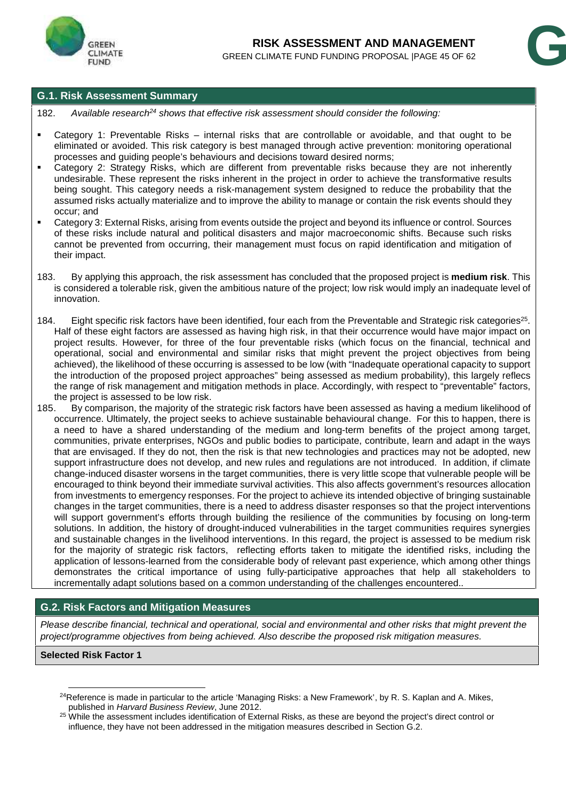



### **G.1. Risk Assessment Summary**

- 182. *Available research<sup>24</sup> shows that effective risk assessment should consider the following:*
- Category 1: Preventable Risks internal risks that are controllable or avoidable, and that ought to be eliminated or avoided. This risk category is best managed through active prevention: monitoring operational processes and guiding people's behaviours and decisions toward desired norms;
- Category 2: Strategy Risks, which are different from preventable risks because they are not inherently undesirable. These represent the risks inherent in the project in order to achieve the transformative results being sought. This category needs a risk-management system designed to reduce the probability that the assumed risks actually materialize and to improve the ability to manage or contain the risk events should they occur; and
- Category 3: External Risks, arising from events outside the project and beyond its influence or control. Sources of these risks include natural and political disasters and major macroeconomic shifts. Because such risks cannot be prevented from occurring, their management must focus on rapid identification and mitigation of their impact.
- 183. By applying this approach, the risk assessment has concluded that the proposed project is **medium risk**. This is considered a tolerable risk, given the ambitious nature of the project; low risk would imply an inadequate level of innovation.
- 184. Eight specific risk factors have been identified, four each from the Preventable and Strategic risk categories<sup>25</sup>. Half of these eight factors are assessed as having high risk, in that their occurrence would have major impact on project results. However, for three of the four preventable risks (which focus on the financial, technical and operational, social and environmental and similar risks that might prevent the project objectives from being achieved), the likelihood of these occurring is assessed to be low (with "Inadequate operational capacity to support the introduction of the proposed project approaches" being assessed as medium probability), this largely reflecs the range of risk management and mitigation methods in place. Accordingly, with respect to "preventable" factors, the project is assessed to be low risk.
- 185. By comparison, the majority of the strategic risk factors have been assessed as having a medium likelihood of occurrence. Ultimately, the project seeks to achieve sustainable behavioural change. For this to happen, there is a need to have a shared understanding of the medium and long-term benefits of the project among target, communities, private enterprises, NGOs and public bodies to participate, contribute, learn and adapt in the ways that are envisaged. If they do not, then the risk is that new technologies and practices may not be adopted, new support infrastructure does not develop, and new rules and regulations are not introduced. In addition, if climate change-induced disaster worsens in the target communities, there is very little scope that vulnerable people will be encouraged to think beyond their immediate survival activities. This also affects government's resources allocation from investments to emergency responses. For the project to achieve its intended objective of bringing sustainable changes in the target communities, there is a need to address disaster responses so that the project interventions will support government's efforts through building the resilience of the communities by focusing on long-term solutions. In addition, the history of drought-induced vulnerabilities in the target communities requires synergies and sustainable changes in the livelihood interventions. In this regard, the project is assessed to be medium risk for the majority of strategic risk factors, reflecting efforts taken to mitigate the identified risks, including the application of lessons-learned from the considerable body of relevant past experience, which among other things demonstrates the critical importance of using fully-participative approaches that help all stakeholders to incrementally adapt solutions based on a common understanding of the challenges encountered..

### **G.2. Risk Factors and Mitigation Measures**

*Please describe financial, technical and operational, social and environmental and other risks that might prevent the project/programme objectives from being achieved. Also describe the proposed risk mitigation measures.*

#### **Selected Risk Factor 1**

<sup>&</sup>lt;sup>24</sup>Reference is made in particular to the article 'Managing Risks: a New Framework', by R. S. Kaplan and A. Mikes, published in *Harvard Business Review*, June 2012.

<sup>&</sup>lt;sup>25</sup> While the assessment includes identification of External Risks, as these are beyond the project's direct control or influence, they have not been addressed in the mitigation measures described in Section G.2.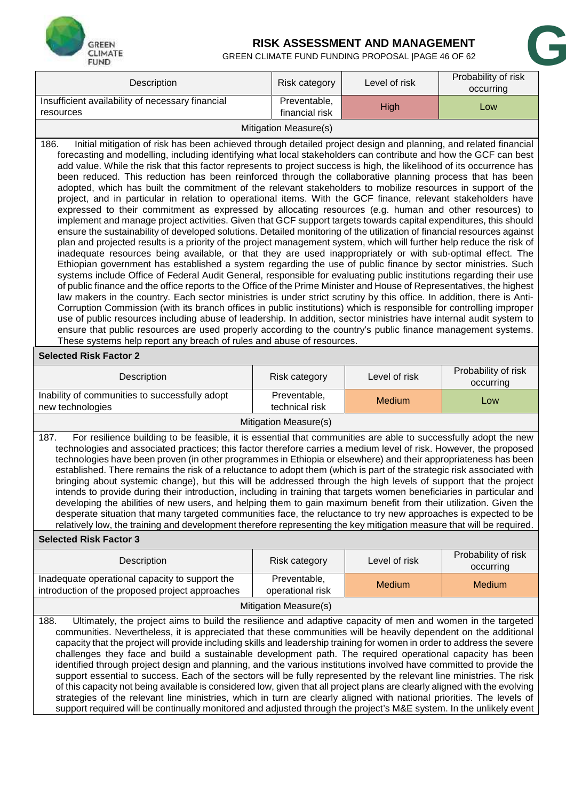

### **RISK ASSESSMENT AND MANAGEMENT**

| GREEN<br><b>CLIMATE</b><br><b>FUND</b>                                                                                                                                                                                                                                                                                                                                                                                                                                                                                                                                                                                                                                                                                                                                                                                                                                                                                                                                                                                                                                                                                                                                                                                                                                                                                                                                                                                                                                                                                                                                                                                                                                                                                                                                                                                                                                                                                                                                                                                                                                                                                                                                                                                                                    |                                                                                                                                                                                                                                                                                                                                                                                                                                                                                                                                                                                                                                                                                                                                                                                                                                                                                                                                                                                                                                                                                                  | RISK ASSESSMENT AND MANAGEMENT<br>GREEN CLIMATE FUND FUNDING PROPOSAL   PAGE 46 OF 62 |                                  |  |  |  |  |  |  |
|-----------------------------------------------------------------------------------------------------------------------------------------------------------------------------------------------------------------------------------------------------------------------------------------------------------------------------------------------------------------------------------------------------------------------------------------------------------------------------------------------------------------------------------------------------------------------------------------------------------------------------------------------------------------------------------------------------------------------------------------------------------------------------------------------------------------------------------------------------------------------------------------------------------------------------------------------------------------------------------------------------------------------------------------------------------------------------------------------------------------------------------------------------------------------------------------------------------------------------------------------------------------------------------------------------------------------------------------------------------------------------------------------------------------------------------------------------------------------------------------------------------------------------------------------------------------------------------------------------------------------------------------------------------------------------------------------------------------------------------------------------------------------------------------------------------------------------------------------------------------------------------------------------------------------------------------------------------------------------------------------------------------------------------------------------------------------------------------------------------------------------------------------------------------------------------------------------------------------------------------------------------|--------------------------------------------------------------------------------------------------------------------------------------------------------------------------------------------------------------------------------------------------------------------------------------------------------------------------------------------------------------------------------------------------------------------------------------------------------------------------------------------------------------------------------------------------------------------------------------------------------------------------------------------------------------------------------------------------------------------------------------------------------------------------------------------------------------------------------------------------------------------------------------------------------------------------------------------------------------------------------------------------------------------------------------------------------------------------------------------------|---------------------------------------------------------------------------------------|----------------------------------|--|--|--|--|--|--|
| Description                                                                                                                                                                                                                                                                                                                                                                                                                                                                                                                                                                                                                                                                                                                                                                                                                                                                                                                                                                                                                                                                                                                                                                                                                                                                                                                                                                                                                                                                                                                                                                                                                                                                                                                                                                                                                                                                                                                                                                                                                                                                                                                                                                                                                                               | Risk category                                                                                                                                                                                                                                                                                                                                                                                                                                                                                                                                                                                                                                                                                                                                                                                                                                                                                                                                                                                                                                                                                    | Level of risk                                                                         | Probability of risk<br>occurring |  |  |  |  |  |  |
| Insufficient availability of necessary financial<br>resources                                                                                                                                                                                                                                                                                                                                                                                                                                                                                                                                                                                                                                                                                                                                                                                                                                                                                                                                                                                                                                                                                                                                                                                                                                                                                                                                                                                                                                                                                                                                                                                                                                                                                                                                                                                                                                                                                                                                                                                                                                                                                                                                                                                             | Preventable,<br>financial risk                                                                                                                                                                                                                                                                                                                                                                                                                                                                                                                                                                                                                                                                                                                                                                                                                                                                                                                                                                                                                                                                   | High                                                                                  | Low                              |  |  |  |  |  |  |
|                                                                                                                                                                                                                                                                                                                                                                                                                                                                                                                                                                                                                                                                                                                                                                                                                                                                                                                                                                                                                                                                                                                                                                                                                                                                                                                                                                                                                                                                                                                                                                                                                                                                                                                                                                                                                                                                                                                                                                                                                                                                                                                                                                                                                                                           | Mitigation Measure(s)                                                                                                                                                                                                                                                                                                                                                                                                                                                                                                                                                                                                                                                                                                                                                                                                                                                                                                                                                                                                                                                                            |                                                                                       |                                  |  |  |  |  |  |  |
| Initial mitigation of risk has been achieved through detailed project design and planning, and related financial<br>186.<br>forecasting and modelling, including identifying what local stakeholders can contribute and how the GCF can best<br>add value. While the risk that this factor represents to project success is high, the likelihood of its occurrence has<br>been reduced. This reduction has been reinforced through the collaborative planning process that has been<br>adopted, which has built the commitment of the relevant stakeholders to mobilize resources in support of the<br>project, and in particular in relation to operational items. With the GCF finance, relevant stakeholders have<br>expressed to their commitment as expressed by allocating resources (e.g. human and other resources) to<br>implement and manage project activities. Given that GCF support targets towards capital expenditures, this should<br>ensure the sustainability of developed solutions. Detailed monitoring of the utilization of financial resources against<br>plan and projected results is a priority of the project management system, which will further help reduce the risk of<br>inadequate resources being available, or that they are used inappropriately or with sub-optimal effect. The<br>Ethiopian government has established a system regarding the use of public finance by sector ministries. Such<br>systems include Office of Federal Audit General, responsible for evaluating public institutions regarding their use<br>of public finance and the office reports to the Office of the Prime Minister and House of Representatives, the highest<br>law makers in the country. Each sector ministries is under strict scrutiny by this office. In addition, there is Anti-<br>Corruption Commission (with its branch offices in public institutions) which is responsible for controlling improper<br>use of public resources including abuse of leadership. In addition, sector ministries have internal audit system to<br>ensure that public resources are used properly according to the country's public finance management systems.<br>These systems help report any breach of rules and abuse of resources. |                                                                                                                                                                                                                                                                                                                                                                                                                                                                                                                                                                                                                                                                                                                                                                                                                                                                                                                                                                                                                                                                                                  |                                                                                       |                                  |  |  |  |  |  |  |
| <b>Selected Risk Factor 2</b>                                                                                                                                                                                                                                                                                                                                                                                                                                                                                                                                                                                                                                                                                                                                                                                                                                                                                                                                                                                                                                                                                                                                                                                                                                                                                                                                                                                                                                                                                                                                                                                                                                                                                                                                                                                                                                                                                                                                                                                                                                                                                                                                                                                                                             |                                                                                                                                                                                                                                                                                                                                                                                                                                                                                                                                                                                                                                                                                                                                                                                                                                                                                                                                                                                                                                                                                                  |                                                                                       |                                  |  |  |  |  |  |  |
| Description                                                                                                                                                                                                                                                                                                                                                                                                                                                                                                                                                                                                                                                                                                                                                                                                                                                                                                                                                                                                                                                                                                                                                                                                                                                                                                                                                                                                                                                                                                                                                                                                                                                                                                                                                                                                                                                                                                                                                                                                                                                                                                                                                                                                                                               | Risk category                                                                                                                                                                                                                                                                                                                                                                                                                                                                                                                                                                                                                                                                                                                                                                                                                                                                                                                                                                                                                                                                                    | Level of risk                                                                         | Probability of risk<br>occurring |  |  |  |  |  |  |
| Inability of communities to successfully adopt<br>new technologies                                                                                                                                                                                                                                                                                                                                                                                                                                                                                                                                                                                                                                                                                                                                                                                                                                                                                                                                                                                                                                                                                                                                                                                                                                                                                                                                                                                                                                                                                                                                                                                                                                                                                                                                                                                                                                                                                                                                                                                                                                                                                                                                                                                        | Preventable,<br>technical risk                                                                                                                                                                                                                                                                                                                                                                                                                                                                                                                                                                                                                                                                                                                                                                                                                                                                                                                                                                                                                                                                   | Medium                                                                                | Low                              |  |  |  |  |  |  |
|                                                                                                                                                                                                                                                                                                                                                                                                                                                                                                                                                                                                                                                                                                                                                                                                                                                                                                                                                                                                                                                                                                                                                                                                                                                                                                                                                                                                                                                                                                                                                                                                                                                                                                                                                                                                                                                                                                                                                                                                                                                                                                                                                                                                                                                           | <b>Mitigation Measure(s)</b>                                                                                                                                                                                                                                                                                                                                                                                                                                                                                                                                                                                                                                                                                                                                                                                                                                                                                                                                                                                                                                                                     |                                                                                       |                                  |  |  |  |  |  |  |
| 187.                                                                                                                                                                                                                                                                                                                                                                                                                                                                                                                                                                                                                                                                                                                                                                                                                                                                                                                                                                                                                                                                                                                                                                                                                                                                                                                                                                                                                                                                                                                                                                                                                                                                                                                                                                                                                                                                                                                                                                                                                                                                                                                                                                                                                                                      | For resilience building to be feasible, it is essential that communities are able to successfully adopt the new<br>technologies and associated practices; this factor therefore carries a medium level of risk. However, the proposed<br>technologies have been proven (in other programmes in Ethiopia or elsewhere) and their appropriateness has been<br>established. There remains the risk of a reluctance to adopt them (which is part of the strategic risk associated with<br>bringing about systemic change), but this will be addressed through the high levels of support that the project<br>intends to provide during their introduction, including in training that targets women beneficiaries in particular and<br>developing the abilities of new users, and helping them to gain maximum benefit from their utilization. Given the<br>desperate situation that many targeted communities face, the reluctance to try new approaches is expected to be<br>relatively low, the training and development therefore representing the key mitigation measure that will be required. |                                                                                       |                                  |  |  |  |  |  |  |
| <b>Selected Risk Factor 3</b>                                                                                                                                                                                                                                                                                                                                                                                                                                                                                                                                                                                                                                                                                                                                                                                                                                                                                                                                                                                                                                                                                                                                                                                                                                                                                                                                                                                                                                                                                                                                                                                                                                                                                                                                                                                                                                                                                                                                                                                                                                                                                                                                                                                                                             |                                                                                                                                                                                                                                                                                                                                                                                                                                                                                                                                                                                                                                                                                                                                                                                                                                                                                                                                                                                                                                                                                                  |                                                                                       |                                  |  |  |  |  |  |  |
| Description                                                                                                                                                                                                                                                                                                                                                                                                                                                                                                                                                                                                                                                                                                                                                                                                                                                                                                                                                                                                                                                                                                                                                                                                                                                                                                                                                                                                                                                                                                                                                                                                                                                                                                                                                                                                                                                                                                                                                                                                                                                                                                                                                                                                                                               | <b>Risk category</b>                                                                                                                                                                                                                                                                                                                                                                                                                                                                                                                                                                                                                                                                                                                                                                                                                                                                                                                                                                                                                                                                             | Level of risk                                                                         | Probability of risk<br>occurring |  |  |  |  |  |  |
| Inadequate operational capacity to support the<br>introduction of the proposed project approaches                                                                                                                                                                                                                                                                                                                                                                                                                                                                                                                                                                                                                                                                                                                                                                                                                                                                                                                                                                                                                                                                                                                                                                                                                                                                                                                                                                                                                                                                                                                                                                                                                                                                                                                                                                                                                                                                                                                                                                                                                                                                                                                                                         | Preventable,<br>operational risk                                                                                                                                                                                                                                                                                                                                                                                                                                                                                                                                                                                                                                                                                                                                                                                                                                                                                                                                                                                                                                                                 | Medium                                                                                | Medium                           |  |  |  |  |  |  |
|                                                                                                                                                                                                                                                                                                                                                                                                                                                                                                                                                                                                                                                                                                                                                                                                                                                                                                                                                                                                                                                                                                                                                                                                                                                                                                                                                                                                                                                                                                                                                                                                                                                                                                                                                                                                                                                                                                                                                                                                                                                                                                                                                                                                                                                           | Mitigation Measure(s)                                                                                                                                                                                                                                                                                                                                                                                                                                                                                                                                                                                                                                                                                                                                                                                                                                                                                                                                                                                                                                                                            |                                                                                       |                                  |  |  |  |  |  |  |
| Ultimately, the project aims to build the resilience and adaptive capacity of men and women in the targeted<br>188.<br>communities. Nevertheless, it is appreciated that these communities will be heavily dependent on the additional<br>capacity that the project will provide including skills and leadership training for women in order to address the severe<br>challenges they face and build a sustainable development path. The required operational capacity has been<br>identified through project design and planning, and the various institutions involved have committed to provide the<br>support essential to success. Each of the sectors will be fully represented by the relevant line ministries. The risk<br>of this capacity not being available is considered low, given that all project plans are clearly aligned with the evolving<br>strategies of the relevant line ministries, which in turn are clearly aligned with national priorities. The levels of                                                                                                                                                                                                                                                                                                                                                                                                                                                                                                                                                                                                                                                                                                                                                                                                                                                                                                                                                                                                                                                                                                                                                                                                                                                                    |                                                                                                                                                                                                                                                                                                                                                                                                                                                                                                                                                                                                                                                                                                                                                                                                                                                                                                                                                                                                                                                                                                  |                                                                                       |                                  |  |  |  |  |  |  |

strategies of the relevant line ministries, which in turn are clearly aligned with national priorities. The levels of support required will be continually monitored and adjusted through the project's M&E system. In the unlikely event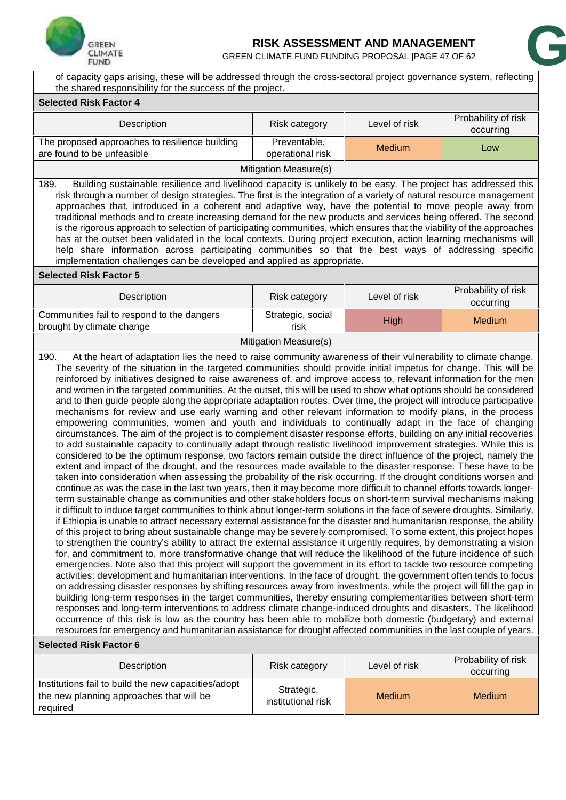

### **RISK ASSESSMENT AND MANAGEMENT**

GREEN CLIMATE FUND FUNDING PROPOSAL | PAGE 47 OF 62



of capacity gaps arising, these will be addressed through the cross -sectoral project governance system, reflecting the shared responsibility for the success of the project.

| <b>Selected Risk Factor 4</b>                                                                                                                                                                                                                                                                                                                                                                                                                                                                                                                                                                                                                                                                                                                                                                                                                                                                                                                                                                                                                                                                                                                                                                                                                                                                                                                                                                                                                                                                                                                                                                                                                                                                                                                                                                                                                                                                                                                                                                                                                                                                                                                                                                                                                                                                                                                                                                                                                                                                                                                                                                                                                                                                                                                                                                    |                                  |               |                                  |  |  |  |  |  |  |
|--------------------------------------------------------------------------------------------------------------------------------------------------------------------------------------------------------------------------------------------------------------------------------------------------------------------------------------------------------------------------------------------------------------------------------------------------------------------------------------------------------------------------------------------------------------------------------------------------------------------------------------------------------------------------------------------------------------------------------------------------------------------------------------------------------------------------------------------------------------------------------------------------------------------------------------------------------------------------------------------------------------------------------------------------------------------------------------------------------------------------------------------------------------------------------------------------------------------------------------------------------------------------------------------------------------------------------------------------------------------------------------------------------------------------------------------------------------------------------------------------------------------------------------------------------------------------------------------------------------------------------------------------------------------------------------------------------------------------------------------------------------------------------------------------------------------------------------------------------------------------------------------------------------------------------------------------------------------------------------------------------------------------------------------------------------------------------------------------------------------------------------------------------------------------------------------------------------------------------------------------------------------------------------------------------------------------------------------------------------------------------------------------------------------------------------------------------------------------------------------------------------------------------------------------------------------------------------------------------------------------------------------------------------------------------------------------------------------------------------------------------------------------------------------------|----------------------------------|---------------|----------------------------------|--|--|--|--|--|--|
| Description                                                                                                                                                                                                                                                                                                                                                                                                                                                                                                                                                                                                                                                                                                                                                                                                                                                                                                                                                                                                                                                                                                                                                                                                                                                                                                                                                                                                                                                                                                                                                                                                                                                                                                                                                                                                                                                                                                                                                                                                                                                                                                                                                                                                                                                                                                                                                                                                                                                                                                                                                                                                                                                                                                                                                                                      | Risk category                    | Level of risk | Probability of risk<br>occurring |  |  |  |  |  |  |
| The proposed approaches to resilience building<br>are found to be unfeasible                                                                                                                                                                                                                                                                                                                                                                                                                                                                                                                                                                                                                                                                                                                                                                                                                                                                                                                                                                                                                                                                                                                                                                                                                                                                                                                                                                                                                                                                                                                                                                                                                                                                                                                                                                                                                                                                                                                                                                                                                                                                                                                                                                                                                                                                                                                                                                                                                                                                                                                                                                                                                                                                                                                     | Preventable,<br>operational risk | <b>Medium</b> | Low                              |  |  |  |  |  |  |
|                                                                                                                                                                                                                                                                                                                                                                                                                                                                                                                                                                                                                                                                                                                                                                                                                                                                                                                                                                                                                                                                                                                                                                                                                                                                                                                                                                                                                                                                                                                                                                                                                                                                                                                                                                                                                                                                                                                                                                                                                                                                                                                                                                                                                                                                                                                                                                                                                                                                                                                                                                                                                                                                                                                                                                                                  | Mitigation Measure(s)            |               |                                  |  |  |  |  |  |  |
| Building sustainable resilience and livelihood capacity is unlikely to be easy. The project has addressed this<br>189.<br>risk through a number of design strategies. The first is the integration of a variety of natural resource management<br>approaches that, introduced in a coherent and adaptive way, have the potential to move people away from<br>traditional methods and to create increasing demand for the new products and services being offered. The second<br>is the rigorous approach to selection of participating communities, which ensures that the viability of the approaches<br>has at the outset been validated in the local contexts. During project execution, action learning mechanisms will<br>help share information across participating communities so that the best ways of addressing specific<br>implementation challenges can be developed and applied as appropriate.                                                                                                                                                                                                                                                                                                                                                                                                                                                                                                                                                                                                                                                                                                                                                                                                                                                                                                                                                                                                                                                                                                                                                                                                                                                                                                                                                                                                                                                                                                                                                                                                                                                                                                                                                                                                                                                                                    |                                  |               |                                  |  |  |  |  |  |  |
| <b>Selected Risk Factor 5</b>                                                                                                                                                                                                                                                                                                                                                                                                                                                                                                                                                                                                                                                                                                                                                                                                                                                                                                                                                                                                                                                                                                                                                                                                                                                                                                                                                                                                                                                                                                                                                                                                                                                                                                                                                                                                                                                                                                                                                                                                                                                                                                                                                                                                                                                                                                                                                                                                                                                                                                                                                                                                                                                                                                                                                                    |                                  |               |                                  |  |  |  |  |  |  |
| Description                                                                                                                                                                                                                                                                                                                                                                                                                                                                                                                                                                                                                                                                                                                                                                                                                                                                                                                                                                                                                                                                                                                                                                                                                                                                                                                                                                                                                                                                                                                                                                                                                                                                                                                                                                                                                                                                                                                                                                                                                                                                                                                                                                                                                                                                                                                                                                                                                                                                                                                                                                                                                                                                                                                                                                                      | Risk category                    | Level of risk | Probability of risk<br>occurring |  |  |  |  |  |  |
| Communities fail to respond to the dangers<br>brought by climate change                                                                                                                                                                                                                                                                                                                                                                                                                                                                                                                                                                                                                                                                                                                                                                                                                                                                                                                                                                                                                                                                                                                                                                                                                                                                                                                                                                                                                                                                                                                                                                                                                                                                                                                                                                                                                                                                                                                                                                                                                                                                                                                                                                                                                                                                                                                                                                                                                                                                                                                                                                                                                                                                                                                          | Strategic, social<br>risk        | <b>High</b>   | <b>Medium</b>                    |  |  |  |  |  |  |
|                                                                                                                                                                                                                                                                                                                                                                                                                                                                                                                                                                                                                                                                                                                                                                                                                                                                                                                                                                                                                                                                                                                                                                                                                                                                                                                                                                                                                                                                                                                                                                                                                                                                                                                                                                                                                                                                                                                                                                                                                                                                                                                                                                                                                                                                                                                                                                                                                                                                                                                                                                                                                                                                                                                                                                                                  | Mitigation Measure(s)            |               |                                  |  |  |  |  |  |  |
| reinforced by initiatives designed to raise awareness of, and improve access to, relevant information for the men<br>and women in the targeted communities. At the outset, this will be used to show what options should be considered<br>and to then guide people along the appropriate adaptation routes. Over time, the project will introduce participative<br>mechanisms for review and use early warning and other relevant information to modify plans, in the process<br>empowering communities, women and youth and individuals to continually adapt in the face of changing<br>circumstances. The aim of the project is to complement disaster response efforts, building on any initial recoveries<br>to add sustainable capacity to continually adapt through realistic livelihood improvement strategies. While this is<br>considered to be the optimum response, two factors remain outside the direct influence of the project, namely the<br>extent and impact of the drought, and the resources made available to the disaster response. These have to be<br>taken into consideration when assessing the probability of the risk occurring. If the drought conditions worsen and<br>continue as was the case in the last two years, then it may become more difficult to channel efforts towards longer-<br>term sustainable change as communities and other stakeholders focus on short-term survival mechanisms making<br>it difficult to induce target communities to think about longer-term solutions in the face of severe droughts. Similarly,<br>if Ethiopia is unable to attract necessary external assistance for the disaster and humanitarian response, the ability<br>of this project to bring about sustainable change may be severely compromised. To some extent, this project hopes<br>to strengthen the country's ability to attract the external assistance it urgently requires, by demonstrating a vision<br>for, and commitment to, more transformative change that will reduce the likelihood of the future incidence of such<br>emergencies. Note also that this project will support the government in its effort to tackle two resource competing<br>activities: development and humanitarian interventions. In the face of drought, the government often tends to focus<br>on addressing disaster responses by shifting resources away from investments, while the project will fill the gap in<br>building long-term responses in the target communities, thereby ensuring complementarities between short-term<br>responses and long-term interventions to address climate change-induced droughts and disasters. The likelihood<br>occurrence of this risk is low as the country has been able to mobilize both domestic (budgetary) and external |                                  |               |                                  |  |  |  |  |  |  |
| <b>Selected Risk Factor 6</b>                                                                                                                                                                                                                                                                                                                                                                                                                                                                                                                                                                                                                                                                                                                                                                                                                                                                                                                                                                                                                                                                                                                                                                                                                                                                                                                                                                                                                                                                                                                                                                                                                                                                                                                                                                                                                                                                                                                                                                                                                                                                                                                                                                                                                                                                                                                                                                                                                                                                                                                                                                                                                                                                                                                                                                    |                                  |               |                                  |  |  |  |  |  |  |
| Description                                                                                                                                                                                                                                                                                                                                                                                                                                                                                                                                                                                                                                                                                                                                                                                                                                                                                                                                                                                                                                                                                                                                                                                                                                                                                                                                                                                                                                                                                                                                                                                                                                                                                                                                                                                                                                                                                                                                                                                                                                                                                                                                                                                                                                                                                                                                                                                                                                                                                                                                                                                                                                                                                                                                                                                      | Risk category                    | Level of risk | Probability of risk<br>occurring |  |  |  |  |  |  |
| Institutions fail to build the new capacities/adopt<br>the new planning approaches that will be<br>required                                                                                                                                                                                                                                                                                                                                                                                                                                                                                                                                                                                                                                                                                                                                                                                                                                                                                                                                                                                                                                                                                                                                                                                                                                                                                                                                                                                                                                                                                                                                                                                                                                                                                                                                                                                                                                                                                                                                                                                                                                                                                                                                                                                                                                                                                                                                                                                                                                                                                                                                                                                                                                                                                      | Strategic,<br>institutional risk | <b>Medium</b> | <b>Medium</b>                    |  |  |  |  |  |  |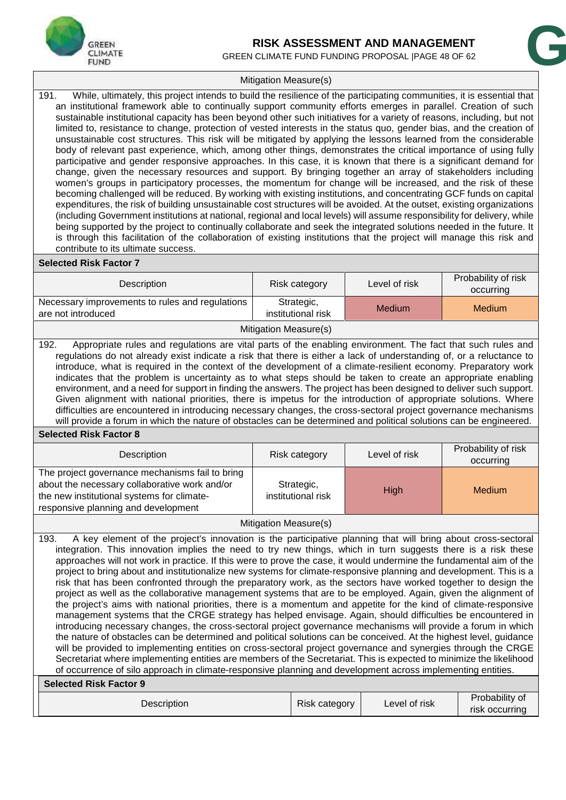

# **RISK ASSESSMENT AND MANAGEMENT** RISK ASSESSMENT AND MANAGEMENT<br>N CLIMATE FUND FUNDING PROPOSAL |PAGE 48 OF 62<br>**Grade Measure(s)**

GREEN CLIMATE FUND FUNDING PROPOSAL | PAGE 48 OF 62

#### Mitigation Measure(s)

191. While, ultimately, this project intends to build the resilience of the participating communities, it is essential that an institutional framework able to continually support community efforts emerges in parallel. Creation of such sustainable institutional capacity has been beyond other such initiatives for a variety of reasons, including, but not limited to, resistance to change, protection of vested interests in the status quo, gender bias, and the creation of unsustainable cost structures. This risk will be mitigated by applying the lessons learned from the considerable body of relevant past experience, which, among other things, demonstrates the critical importance of using fully participative and gender responsive approaches. In this case, it is known that there is a significant demand for change, given the necessary resources and support. By bringing together an array of stakeholders including women's groups in participatory processes, the momentum for change will be increased, and the risk of these becoming challenged will be reduced. By working with existing institutions, and concentrating GCF funds on capital expenditures, the risk of building unsustainable cost structures will be avoided. At the outset, existing organizations (including Government institutions at national, regional and local levels) will assume responsibility for delivery, while being supported by the project to continually collaborate and seek the integrated solutions needed in the future. It is through this facilitation of the collaboration of existing institutions that the project will manage this risk and contribute to its ultimate success.

#### **Selected Risk Factor 7**

| Description                                                                                                                                                                                                                                                                                                                                                                                                                                                                                                                                                                                                                                                                                                                                                                                                                                                                                                                                                                                                                                                                                                                                                                                                                                                                                                                                                                                                                                                                                                                                                                                                      | Risk category                    | Level of risk | Probability of risk<br>occurring |  |  |  |  |  |  |
|------------------------------------------------------------------------------------------------------------------------------------------------------------------------------------------------------------------------------------------------------------------------------------------------------------------------------------------------------------------------------------------------------------------------------------------------------------------------------------------------------------------------------------------------------------------------------------------------------------------------------------------------------------------------------------------------------------------------------------------------------------------------------------------------------------------------------------------------------------------------------------------------------------------------------------------------------------------------------------------------------------------------------------------------------------------------------------------------------------------------------------------------------------------------------------------------------------------------------------------------------------------------------------------------------------------------------------------------------------------------------------------------------------------------------------------------------------------------------------------------------------------------------------------------------------------------------------------------------------------|----------------------------------|---------------|----------------------------------|--|--|--|--|--|--|
| Necessary improvements to rules and regulations<br>are not introduced                                                                                                                                                                                                                                                                                                                                                                                                                                                                                                                                                                                                                                                                                                                                                                                                                                                                                                                                                                                                                                                                                                                                                                                                                                                                                                                                                                                                                                                                                                                                            | Strategic,<br>institutional risk | <b>Medium</b> | <b>Medium</b>                    |  |  |  |  |  |  |
|                                                                                                                                                                                                                                                                                                                                                                                                                                                                                                                                                                                                                                                                                                                                                                                                                                                                                                                                                                                                                                                                                                                                                                                                                                                                                                                                                                                                                                                                                                                                                                                                                  | Mitigation Measure(s)            |               |                                  |  |  |  |  |  |  |
| 192.<br>Appropriate rules and regulations are vital parts of the enabling environment. The fact that such rules and<br>regulations do not already exist indicate a risk that there is either a lack of understanding of, or a reluctance to<br>introduce, what is required in the context of the development of a climate-resilient economy. Preparatory work<br>indicates that the problem is uncertainty as to what steps should be taken to create an appropriate enabling<br>environment, and a need for support in finding the answers. The project has been designed to deliver such support.<br>Given alignment with national priorities, there is impetus for the introduction of appropriate solutions. Where<br>difficulties are encountered in introducing necessary changes, the cross-sectoral project governance mechanisms<br>will provide a forum in which the nature of obstacles can be determined and political solutions can be engineered.                                                                                                                                                                                                                                                                                                                                                                                                                                                                                                                                                                                                                                                  |                                  |               |                                  |  |  |  |  |  |  |
| <b>Selected Risk Factor 8</b>                                                                                                                                                                                                                                                                                                                                                                                                                                                                                                                                                                                                                                                                                                                                                                                                                                                                                                                                                                                                                                                                                                                                                                                                                                                                                                                                                                                                                                                                                                                                                                                    |                                  |               |                                  |  |  |  |  |  |  |
| Description                                                                                                                                                                                                                                                                                                                                                                                                                                                                                                                                                                                                                                                                                                                                                                                                                                                                                                                                                                                                                                                                                                                                                                                                                                                                                                                                                                                                                                                                                                                                                                                                      | Risk category                    | Level of risk | Probability of risk<br>occurring |  |  |  |  |  |  |
| The project governance mechanisms fail to bring<br>about the necessary collaborative work and/or<br>the new institutional systems for climate-<br>responsive planning and development                                                                                                                                                                                                                                                                                                                                                                                                                                                                                                                                                                                                                                                                                                                                                                                                                                                                                                                                                                                                                                                                                                                                                                                                                                                                                                                                                                                                                            | Strategic,<br>institutional risk | High          | <b>Medium</b>                    |  |  |  |  |  |  |
|                                                                                                                                                                                                                                                                                                                                                                                                                                                                                                                                                                                                                                                                                                                                                                                                                                                                                                                                                                                                                                                                                                                                                                                                                                                                                                                                                                                                                                                                                                                                                                                                                  |                                  |               |                                  |  |  |  |  |  |  |
| Mitigation Measure(s)<br>A key element of the project's innovation is the participative planning that will bring about cross-sectoral<br>193.<br>integration. This innovation implies the need to try new things, which in turn suggests there is a risk these<br>approaches will not work in practice. If this were to prove the case, it would undermine the fundamental aim of the<br>project to bring about and institutionalize new systems for climate-responsive planning and development. This is a<br>risk that has been confronted through the preparatory work, as the sectors have worked together to design the<br>project as well as the collaborative management systems that are to be employed. Again, given the alignment of<br>the project's aims with national priorities, there is a momentum and appetite for the kind of climate-responsive<br>management systems that the CRGE strategy has helped envisage. Again, should difficulties be encountered in<br>introducing necessary changes, the cross-sectoral project governance mechanisms will provide a forum in which<br>the nature of obstacles can be determined and political solutions can be conceived. At the highest level, guidance<br>will be provided to implementing entities on cross-sectoral project governance and synergies through the CRGE<br>Secretariat where implementing entities are members of the Secretariat. This is expected to minimize the likelihood<br>of occurrence of silo approach in climate-responsive planning and development across implementing entities.<br><b>Selected Risk Factor 9</b> |                                  |               |                                  |  |  |  |  |  |  |
| Description                                                                                                                                                                                                                                                                                                                                                                                                                                                                                                                                                                                                                                                                                                                                                                                                                                                                                                                                                                                                                                                                                                                                                                                                                                                                                                                                                                                                                                                                                                                                                                                                      | <b>Risk category</b>             | Level of risk | Probability of<br>risk occurring |  |  |  |  |  |  |

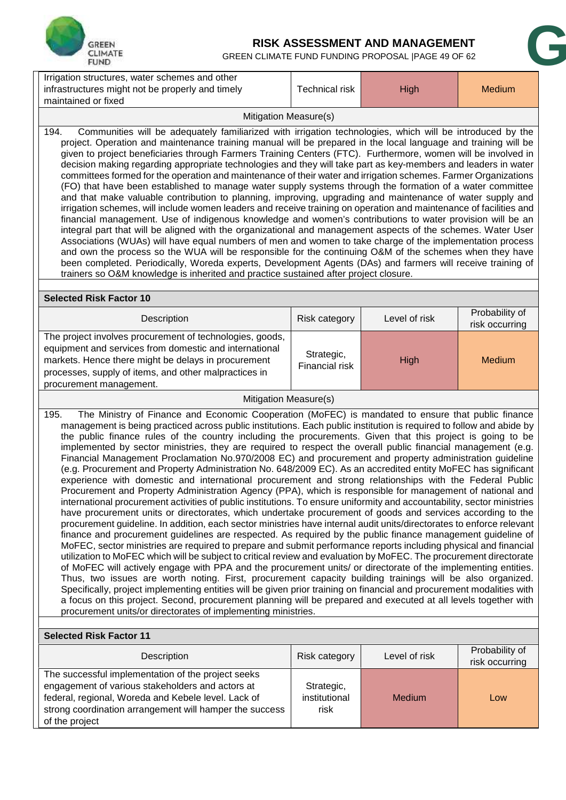

# **RISK ASSESSMENT AND MANAGEMENT**<br>GREEN CLIMATE FUND FUNDING PROPOSAL |PAGE 49 OF 62 RISK ASSESSMENT AND MANAGEMENT<br>GREEN CLIMATE FUND FUNDING PROPOSAL |PAGE 49 OF 62<br>ther

| Irrigation structures, water schemes and other<br>infrastructures might not be properly and timely                                                                                                                                                                                                                                                                                                                                                                                                                                                                                                                                                                                                                                                                                                                                                                                                                                                                                                                                                                                                                                                                                                                                                                                                                                                                                                                                                                                                                                                                                                                                                                                                                                                                                                                                                                                                                                                                                                                                                                                                                                                                                          | Technical risk                              | High          | Medium                           |
|---------------------------------------------------------------------------------------------------------------------------------------------------------------------------------------------------------------------------------------------------------------------------------------------------------------------------------------------------------------------------------------------------------------------------------------------------------------------------------------------------------------------------------------------------------------------------------------------------------------------------------------------------------------------------------------------------------------------------------------------------------------------------------------------------------------------------------------------------------------------------------------------------------------------------------------------------------------------------------------------------------------------------------------------------------------------------------------------------------------------------------------------------------------------------------------------------------------------------------------------------------------------------------------------------------------------------------------------------------------------------------------------------------------------------------------------------------------------------------------------------------------------------------------------------------------------------------------------------------------------------------------------------------------------------------------------------------------------------------------------------------------------------------------------------------------------------------------------------------------------------------------------------------------------------------------------------------------------------------------------------------------------------------------------------------------------------------------------------------------------------------------------------------------------------------------------|---------------------------------------------|---------------|----------------------------------|
| maintained or fixed<br>Mitigation Measure(s)                                                                                                                                                                                                                                                                                                                                                                                                                                                                                                                                                                                                                                                                                                                                                                                                                                                                                                                                                                                                                                                                                                                                                                                                                                                                                                                                                                                                                                                                                                                                                                                                                                                                                                                                                                                                                                                                                                                                                                                                                                                                                                                                                |                                             |               |                                  |
| Communities will be adequately familiarized with irrigation technologies, which will be introduced by the<br>194.<br>project. Operation and maintenance training manual will be prepared in the local language and training will be<br>given to project beneficiaries through Farmers Training Centers (FTC). Furthermore, women will be involved in<br>decision making regarding appropriate technologies and they will take part as key-members and leaders in water<br>committees formed for the operation and maintenance of their water and irrigation schemes. Farmer Organizations<br>(FO) that have been established to manage water supply systems through the formation of a water committee<br>and that make valuable contribution to planning, improving, upgrading and maintenance of water supply and<br>irrigation schemes, will include women leaders and receive training on operation and maintenance of facilities and<br>financial management. Use of indigenous knowledge and women's contributions to water provision will be an<br>integral part that will be aligned with the organizational and management aspects of the schemes. Water User<br>Associations (WUAs) will have equal numbers of men and women to take charge of the implementation process<br>and own the process so the WUA will be responsible for the continuing O&M of the schemes when they have<br>been completed. Periodically, Woreda experts, Development Agents (DAs) and farmers will receive training of<br>trainers so O&M knowledge is inherited and practice sustained after project closure.                                                                                                                                                                                                                                                                                                                                                                                                                                                                                                                                                                                       |                                             |               |                                  |
| <b>Selected Risk Factor 10</b>                                                                                                                                                                                                                                                                                                                                                                                                                                                                                                                                                                                                                                                                                                                                                                                                                                                                                                                                                                                                                                                                                                                                                                                                                                                                                                                                                                                                                                                                                                                                                                                                                                                                                                                                                                                                                                                                                                                                                                                                                                                                                                                                                              |                                             |               |                                  |
| Description                                                                                                                                                                                                                                                                                                                                                                                                                                                                                                                                                                                                                                                                                                                                                                                                                                                                                                                                                                                                                                                                                                                                                                                                                                                                                                                                                                                                                                                                                                                                                                                                                                                                                                                                                                                                                                                                                                                                                                                                                                                                                                                                                                                 | Risk category                               | Level of risk | Probability of<br>risk occurring |
| The project involves procurement of technologies, goods,<br>equipment and services from domestic and international<br>markets. Hence there might be delays in procurement<br>processes, supply of items, and other malpractices in<br>procurement management.                                                                                                                                                                                                                                                                                                                                                                                                                                                                                                                                                                                                                                                                                                                                                                                                                                                                                                                                                                                                                                                                                                                                                                                                                                                                                                                                                                                                                                                                                                                                                                                                                                                                                                                                                                                                                                                                                                                               | Strategic,<br><b>High</b><br>Financial risk |               | <b>Medium</b>                    |
| Mitigation Measure(s)                                                                                                                                                                                                                                                                                                                                                                                                                                                                                                                                                                                                                                                                                                                                                                                                                                                                                                                                                                                                                                                                                                                                                                                                                                                                                                                                                                                                                                                                                                                                                                                                                                                                                                                                                                                                                                                                                                                                                                                                                                                                                                                                                                       |                                             |               |                                  |
| The Ministry of Finance and Economic Cooperation (MoFEC) is mandated to ensure that public finance<br>195.<br>management is being practiced across public institutions. Each public institution is required to follow and abide by<br>the public finance rules of the country including the procurements. Given that this project is going to be<br>implemented by sector ministries, they are required to respect the overall public financial management (e.g.<br>Financial Management Proclamation No.970/2008 EC) and procurement and property administration guideline<br>(e.g. Procurement and Property Administration No. 648/2009 EC). As an accredited entity MoFEC has significant<br>experience with domestic and international procurement and strong relationships with the Federal Public<br>Procurement and Property Administration Agency (PPA), which is responsible for management of national and<br>international procurement activities of public institutions. To ensure uniformity and accountability, sector ministries<br>have procurement units or directorates, which undertake procurement of goods and services according to the<br>procurement guideline. In addition, each sector ministries have internal audit units/directorates to enforce relevant<br>finance and procurement guidelines are respected. As required by the public finance management guideline of<br>MoFEC, sector ministries are required to prepare and submit performance reports including physical and financial<br>utilization to MoFEC which will be subject to critical review and evaluation by MoFEC. The procurement directorate<br>of MoFEC will actively engage with PPA and the procurement units/ or directorate of the implementing entities.<br>Thus, two issues are worth noting. First, procurement capacity building trainings will be also organized.<br>Specifically, project implementing entities will be given prior training on financial and procurement modalities with<br>a focus on this project. Second, procurement planning will be prepared and executed at all levels together with<br>procurement units/or directorates of implementing ministries. |                                             |               |                                  |
| <b>Selected Risk Factor 11</b>                                                                                                                                                                                                                                                                                                                                                                                                                                                                                                                                                                                                                                                                                                                                                                                                                                                                                                                                                                                                                                                                                                                                                                                                                                                                                                                                                                                                                                                                                                                                                                                                                                                                                                                                                                                                                                                                                                                                                                                                                                                                                                                                                              |                                             |               |                                  |
| Description                                                                                                                                                                                                                                                                                                                                                                                                                                                                                                                                                                                                                                                                                                                                                                                                                                                                                                                                                                                                                                                                                                                                                                                                                                                                                                                                                                                                                                                                                                                                                                                                                                                                                                                                                                                                                                                                                                                                                                                                                                                                                                                                                                                 | Risk category                               | Level of risk | Probability of<br>risk occurring |
| The successful implementation of the project seeks<br>engagement of various stakeholders and actors at<br>federal, regional, Woreda and Kebele level. Lack of<br>strong coordination arrangement will hamper the success<br>of the project                                                                                                                                                                                                                                                                                                                                                                                                                                                                                                                                                                                                                                                                                                                                                                                                                                                                                                                                                                                                                                                                                                                                                                                                                                                                                                                                                                                                                                                                                                                                                                                                                                                                                                                                                                                                                                                                                                                                                  | Strategic,<br>institutional<br>risk         | Medium        | Low                              |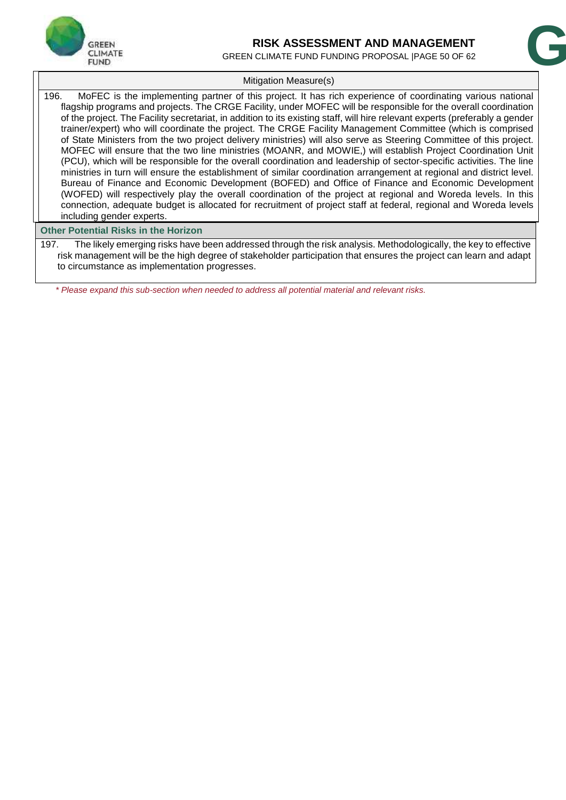

# **RISK ASSESSMENT AND MANAGEMENT** RISK ASSESSMENT AND MANAGEMENT<br>N CLIMATE FUND FUNDING PROPOSAL |PAGE 50 OF 62<br>Attication Measure(s)

GREEN CLIMATE FUND FUNDING PROPOSAL |PAGE 50 OF 62

#### Mitigation Measure(s)

196. MoFEC is the implementing partner of this project. It has rich experience of coordinating various national flagship programs and projects. The CRGE Facility, under MOFEC will be responsible for the overall coordination of the project. The Facility secretariat, in addition to its existing staff, will hire relevant experts (preferably a gender trainer/expert) who will coordinate the project. The CRGE Facility Management Committee (which is comprised of State Ministers from the two project delivery ministries) will also serve as Steering Committee of this project. MOFEC will ensure that the two line ministries (MOANR, and MOWIE,) will establish Project Coordination Unit (PCU), which will be responsible for the overall coordination and leadership of sector-specific activities. The line ministries in turn will ensure the establishment of similar coordination arrangement at regional and district level. Bureau of Finance and Economic Development (BOFED) and Office of Finance and Economic Development (WOFED) will respectively play the overall coordination of the project at regional and Woreda levels. In this connection, adequate budget is allocated for recruitment of project staff at federal, regional and Woreda levels including gender experts.

#### **Other Potential Risks in the Horizon**

197. The likely emerging risks have been addressed through the risk analysis. Methodologically, the key to effective risk management will be the high degree of stakeholder participation that ensures the project can learn and adapt to circumstance as implementation progresses.

*\* Please expand this sub-section when needed to address all potential material and relevant risks.*

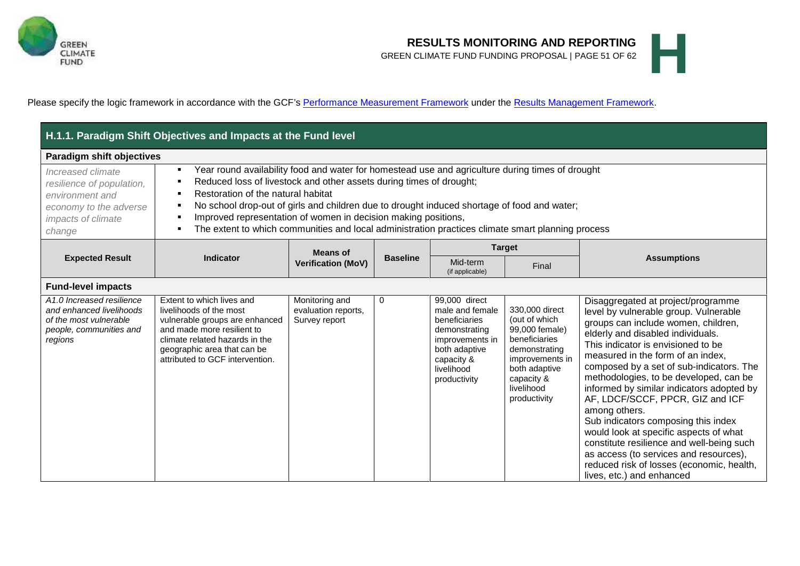

# **RESULTS MONITORING AND REPORTING**<br>GREEN CLIMATE FUND FUNDING PROPOSAL | PAGE 51 OF 62 **GREEN CLIMATE FUND FUNDING PROPOSAL | PAGE 51 OF 62**

Please specify the logic framework in accordance with the GCF's Performance Measurement Framework under the Results Management Framework.

|                                                                                                                                                                                                                                                                                                                                                                                                                                                                                                                                                                                                                    | H.1.1. Paradigm Shift Objectives and Impacts at the Fund level                                                                                                                                                           |                                                                             |             |                                                                                                                                                    |                                                                                                                                                                     |                                                                                                                                                                                                                                                                                                                                                                                                                                                                                                                                                                                                                                                                              |  |
|--------------------------------------------------------------------------------------------------------------------------------------------------------------------------------------------------------------------------------------------------------------------------------------------------------------------------------------------------------------------------------------------------------------------------------------------------------------------------------------------------------------------------------------------------------------------------------------------------------------------|--------------------------------------------------------------------------------------------------------------------------------------------------------------------------------------------------------------------------|-----------------------------------------------------------------------------|-------------|----------------------------------------------------------------------------------------------------------------------------------------------------|---------------------------------------------------------------------------------------------------------------------------------------------------------------------|------------------------------------------------------------------------------------------------------------------------------------------------------------------------------------------------------------------------------------------------------------------------------------------------------------------------------------------------------------------------------------------------------------------------------------------------------------------------------------------------------------------------------------------------------------------------------------------------------------------------------------------------------------------------------|--|
| <b>Paradigm shift objectives</b>                                                                                                                                                                                                                                                                                                                                                                                                                                                                                                                                                                                   |                                                                                                                                                                                                                          |                                                                             |             |                                                                                                                                                    |                                                                                                                                                                     |                                                                                                                                                                                                                                                                                                                                                                                                                                                                                                                                                                                                                                                                              |  |
| Year round availability food and water for homestead use and agriculture during times of drought<br>Increased climate<br>Reduced loss of livestock and other assets during times of drought;<br>resilience of population,<br>Restoration of the natural habitat<br>environment and<br>No school drop-out of girls and children due to drought induced shortage of food and water;<br>economy to the adverse<br>Improved representation of women in decision making positions,<br>impacts of climate<br>The extent to which communities and local administration practices climate smart planning process<br>change |                                                                                                                                                                                                                          |                                                                             |             |                                                                                                                                                    |                                                                                                                                                                     |                                                                                                                                                                                                                                                                                                                                                                                                                                                                                                                                                                                                                                                                              |  |
|                                                                                                                                                                                                                                                                                                                                                                                                                                                                                                                                                                                                                    |                                                                                                                                                                                                                          | <b>Means of</b>                                                             |             |                                                                                                                                                    | <b>Target</b>                                                                                                                                                       |                                                                                                                                                                                                                                                                                                                                                                                                                                                                                                                                                                                                                                                                              |  |
| <b>Expected Result</b>                                                                                                                                                                                                                                                                                                                                                                                                                                                                                                                                                                                             | <b>Indicator</b>                                                                                                                                                                                                         | <b>Baseline</b><br>Mid-term<br><b>Verification (MoV)</b><br>(if applicable) | Final       | <b>Assumptions</b>                                                                                                                                 |                                                                                                                                                                     |                                                                                                                                                                                                                                                                                                                                                                                                                                                                                                                                                                                                                                                                              |  |
| <b>Fund-level impacts</b>                                                                                                                                                                                                                                                                                                                                                                                                                                                                                                                                                                                          |                                                                                                                                                                                                                          |                                                                             |             |                                                                                                                                                    |                                                                                                                                                                     |                                                                                                                                                                                                                                                                                                                                                                                                                                                                                                                                                                                                                                                                              |  |
| A1.0 Increased resilience<br>and enhanced livelihoods<br>of the most vulnerable<br>people, communities and<br>regions                                                                                                                                                                                                                                                                                                                                                                                                                                                                                              | Extent to which lives and<br>livelihoods of the most<br>vulnerable groups are enhanced<br>and made more resilient to<br>climate related hazards in the<br>geographic area that can be<br>attributed to GCF intervention. | Monitoring and<br>evaluation reports,<br>Survey report                      | $\mathbf 0$ | 99,000 direct<br>male and female<br>beneficiaries<br>demonstrating<br>improvements in<br>both adaptive<br>capacity &<br>livelihood<br>productivity | 330,000 direct<br>(out of which<br>99,000 female)<br>beneficiaries<br>demonstrating<br>improvements in<br>both adaptive<br>capacity &<br>livelihood<br>productivity | Disaggregated at project/programme<br>level by vulnerable group. Vulnerable<br>groups can include women, children,<br>elderly and disabled individuals.<br>This indicator is envisioned to be<br>measured in the form of an index,<br>composed by a set of sub-indicators. The<br>methodologies, to be developed, can be<br>informed by similar indicators adopted by<br>AF, LDCF/SCCF, PPCR, GIZ and ICF<br>among others.<br>Sub indicators composing this index<br>would look at specific aspects of what<br>constitute resilience and well-being such<br>as access (to services and resources),<br>reduced risk of losses (economic, health,<br>lives, etc.) and enhanced |  |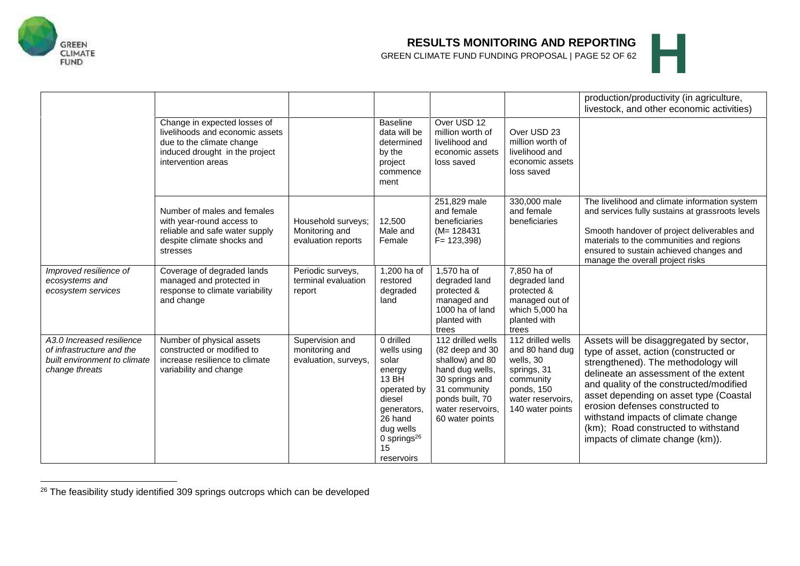

# **RESULTS MONITORING AND REPORTING**<br>GREEN CLIMATE FUND FUNDING PROPOSAL | PAGE 52 OF 62 **GREEN CLIMATE FUND FUNDING PROPOSAL | PAGE 52 OF 62**



|                                                                                                          | Change in expected losses of<br>livelihoods and economic assets<br>due to the climate change<br>induced drought in the project<br>intervention areas |                                                            | <b>Baseline</b><br>data will be<br>determined<br>by the<br>project<br>commence<br>ment                                                                        | Over USD 12<br>million worth of<br>livelihood and<br>economic assets<br>loss saved                                                                                      | Over USD 23<br>million worth of<br>livelihood and<br>economic assets<br>loss saved                                                   | production/productivity (in agriculture,<br>livestock, and other economic activities)                                                                                                                                                                                                                                                                                                                      |
|----------------------------------------------------------------------------------------------------------|------------------------------------------------------------------------------------------------------------------------------------------------------|------------------------------------------------------------|---------------------------------------------------------------------------------------------------------------------------------------------------------------|-------------------------------------------------------------------------------------------------------------------------------------------------------------------------|--------------------------------------------------------------------------------------------------------------------------------------|------------------------------------------------------------------------------------------------------------------------------------------------------------------------------------------------------------------------------------------------------------------------------------------------------------------------------------------------------------------------------------------------------------|
|                                                                                                          | Number of males and females<br>with year-round access to<br>reliable and safe water supply<br>despite climate shocks and<br>stresses                 | Household surveys;<br>Monitoring and<br>evaluation reports | 12,500<br>Male and<br>Female                                                                                                                                  | 251,829 male<br>and female<br>beneficiaries<br>$(M=128431)$<br>$F = 123,398$                                                                                            | 330,000 male<br>and female<br>beneficiaries                                                                                          | The livelihood and climate information system<br>and services fully sustains at grassroots levels<br>Smooth handover of project deliverables and<br>materials to the communities and regions<br>ensured to sustain achieved changes and<br>manage the overall project risks                                                                                                                                |
| Improved resilience of<br>ecosystems and<br>ecosystem services                                           | Coverage of degraded lands<br>managed and protected in<br>response to climate variability<br>and change                                              | Periodic surveys,<br>terminal evaluation<br>report         | 1,200 ha of<br>restored<br>degraded<br>land                                                                                                                   | 1,570 ha of<br>degraded land<br>protected &<br>managed and<br>1000 ha of land<br>planted with<br>trees                                                                  | 7,850 ha of<br>degraded land<br>protected &<br>managed out of<br>which 5,000 ha<br>planted with<br>trees                             |                                                                                                                                                                                                                                                                                                                                                                                                            |
| A3.0 Increased resilience<br>of infrastructure and the<br>built environment to climate<br>change threats | Number of physical assets<br>constructed or modified to<br>increase resilience to climate<br>variability and change                                  | Supervision and<br>monitoring and<br>evaluation, surveys,  | 0 drilled<br>wells using<br>solar<br>energy<br>13 BH<br>operated by<br>diesel<br>generators,<br>26 hand<br>dug wells<br>0 springs $^{26}$<br>15<br>reservoirs | 112 drilled wells<br>(82 deep and 30<br>shallow) and 80<br>hand dug wells,<br>30 springs and<br>31 community<br>ponds built, 70<br>water reservoirs,<br>60 water points | 112 drilled wells<br>and 80 hand dug<br>wells, 30<br>springs, 31<br>community<br>ponds, 150<br>water reservoirs.<br>140 water points | Assets will be disaggregated by sector,<br>type of asset, action (constructed or<br>strengthened). The methodology will<br>delineate an assessment of the extent<br>and quality of the constructed/modified<br>asset depending on asset type (Coastal<br>erosion defenses constructed to<br>withstand impacts of climate change<br>(km); Road constructed to withstand<br>impacts of climate change (km)). |

<sup>26</sup> The feasibility study identified 309 springs outcrops which can be developed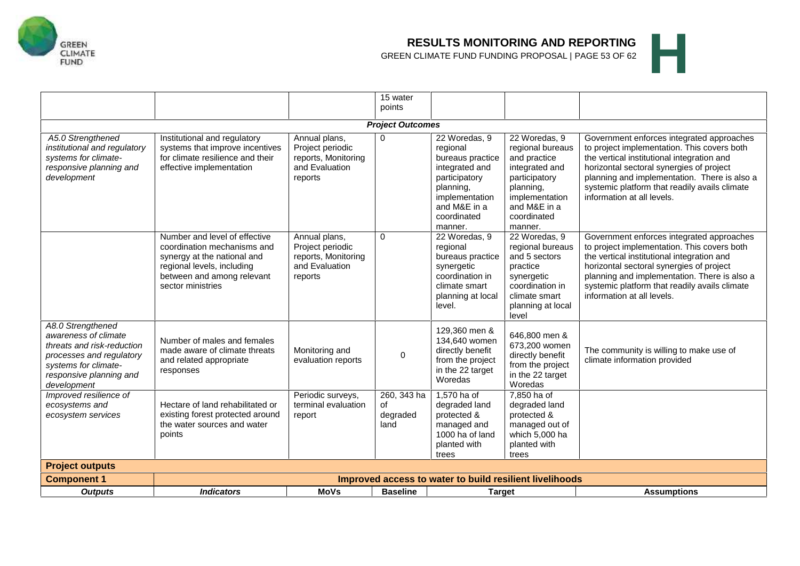

# **RESULTS MONITORING AND REPORTING**<br>GREEN CLIMATE FUND FUNDING PROPOSAL | PAGE 53 OF 62 **GREEN CLIMATE FUND FUNDING PROPOSAL | PAGE 53 OF 62**

|                                                                                                                                                                       |                                                                                                                                                                              |                                                                                       | 15 water<br>points                                                    |                                                                                                                                                           |                                                                                                                                                               |                                                                                                                                                                                                                                                                                                                   |  |  |  |  |
|-----------------------------------------------------------------------------------------------------------------------------------------------------------------------|------------------------------------------------------------------------------------------------------------------------------------------------------------------------------|---------------------------------------------------------------------------------------|-----------------------------------------------------------------------|-----------------------------------------------------------------------------------------------------------------------------------------------------------|---------------------------------------------------------------------------------------------------------------------------------------------------------------|-------------------------------------------------------------------------------------------------------------------------------------------------------------------------------------------------------------------------------------------------------------------------------------------------------------------|--|--|--|--|
| <b>Project Outcomes</b>                                                                                                                                               |                                                                                                                                                                              |                                                                                       |                                                                       |                                                                                                                                                           |                                                                                                                                                               |                                                                                                                                                                                                                                                                                                                   |  |  |  |  |
| A5.0 Strengthened<br>institutional and regulatory<br>systems for climate-<br>responsive planning and<br>development                                                   | Institutional and regulatory<br>systems that improve incentives<br>for climate resilience and their<br>effective implementation                                              | Annual plans,<br>Project periodic<br>reports, Monitoring<br>and Evaluation<br>reports | $\mathbf 0$                                                           | 22 Woredas, 9<br>regional<br>bureaus practice<br>integrated and<br>participatory<br>planning,<br>implementation<br>and M&E in a<br>coordinated<br>manner. | 22 Woredas, 9<br>regional bureaus<br>and practice<br>integrated and<br>participatory<br>planning,<br>implementation<br>and M&E in a<br>coordinated<br>manner. | Government enforces integrated approaches<br>to project implementation. This covers both<br>the vertical institutional integration and<br>horizontal sectoral synergies of project<br>planning and implementation. There is also a<br>systemic platform that readily avails climate<br>information at all levels. |  |  |  |  |
|                                                                                                                                                                       | Number and level of effective<br>coordination mechanisms and<br>synergy at the national and<br>regional levels, including<br>between and among relevant<br>sector ministries | Annual plans,<br>Project periodic<br>reports, Monitoring<br>and Evaluation<br>reports | $\mathbf 0$                                                           | 22 Woredas, 9<br>regional<br>bureaus practice<br>synergetic<br>coordination in<br>climate smart<br>planning at local<br>level.                            | 22 Woredas, 9<br>regional bureaus<br>and 5 sectors<br>practice<br>synergetic<br>coordination in<br>climate smart<br>planning at local<br>level                | Government enforces integrated approaches<br>to project implementation. This covers both<br>the vertical institutional integration and<br>horizontal sectoral synergies of project<br>planning and implementation. There is also a<br>systemic platform that readily avails climate<br>information at all levels. |  |  |  |  |
| A8.0 Strengthened<br>awareness of climate<br>threats and risk-reduction<br>processes and regulatory<br>systems for climate-<br>responsive planning and<br>development | Number of males and females<br>made aware of climate threats<br>and related appropriate<br>responses                                                                         | Monitoring and<br>evaluation reports                                                  | $\mathbf 0$                                                           | 129,360 men &<br>134,640 women<br>directly benefit<br>from the project<br>in the 22 target<br>Woredas                                                     | 646,800 men &<br>673,200 women<br>directly benefit<br>from the project<br>in the 22 target<br>Woredas                                                         | The community is willing to make use of<br>climate information provided                                                                                                                                                                                                                                           |  |  |  |  |
| Improved resilience of<br>ecosystems and<br>ecosystem services                                                                                                        | Hectare of land rehabilitated or<br>existing forest protected around<br>the water sources and water<br>points                                                                | Periodic surveys,<br>terminal evaluation<br>report                                    | 260, 343 ha<br>of<br>degraded<br>land                                 | 1,570 ha of<br>degraded land<br>protected &<br>managed and<br>1000 ha of land<br>planted with<br>trees                                                    | 7,850 ha of<br>degraded land<br>protected &<br>managed out of<br>which 5,000 ha<br>planted with<br>trees                                                      |                                                                                                                                                                                                                                                                                                                   |  |  |  |  |
| <b>Project outputs</b>                                                                                                                                                |                                                                                                                                                                              |                                                                                       |                                                                       |                                                                                                                                                           |                                                                                                                                                               |                                                                                                                                                                                                                                                                                                                   |  |  |  |  |
| <b>Component 1</b>                                                                                                                                                    |                                                                                                                                                                              |                                                                                       |                                                                       | Improved access to water to build resilient livelihoods                                                                                                   |                                                                                                                                                               |                                                                                                                                                                                                                                                                                                                   |  |  |  |  |
| <b>Outputs</b>                                                                                                                                                        | <b>Indicators</b>                                                                                                                                                            |                                                                                       | <b>MoVs</b><br><b>Assumptions</b><br><b>Baseline</b><br><b>Target</b> |                                                                                                                                                           |                                                                                                                                                               |                                                                                                                                                                                                                                                                                                                   |  |  |  |  |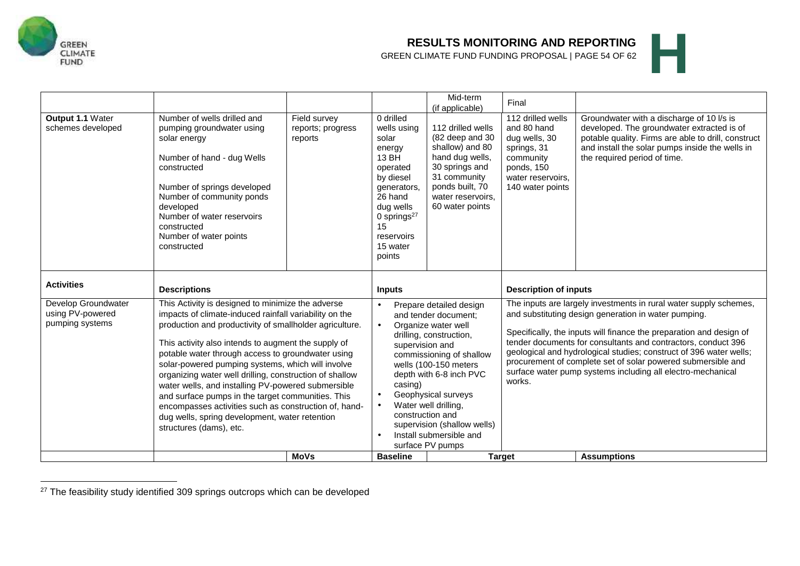

# **RESULTS MONITORING AND REPORTING**<br>GREEN CLIMATE FUND FUNDING PROPOSAL | PAGE 54 OF 62 **GREEN CLIMATE FUND FUNDING PROPOSAL | PAGE 54 OF 62**<br>GREEN CLIMATE FUND FUNDING PROPOSAL | PAGE 54 OF 62

| Output 1.1 Water<br>schemes developed                                           | Number of wells drilled and<br>pumping groundwater using<br>solar energy<br>Number of hand - dug Wells<br>constructed<br>Number of springs developed<br>Number of community ponds<br>developed<br>Number of water reservoirs<br>constructed<br>Number of water points<br>constructed | Field survey<br>reports; progress<br>reports                                                                                                                                                                                                                                                                                                                                                                                                                                                                                                                                                                             | 0 drilled<br>wells using<br>solar<br>energy<br>13 BH<br>operated<br>by diesel<br>generators,<br>26 hand<br>dug wells<br>0 springs $27$<br>15<br>reservoirs<br>15 water<br>points | Mid-term<br>(if applicable)<br>112 drilled wells<br>(82 deep and 30<br>shallow) and 80<br>hand dug wells,<br>30 springs and<br>31 community<br>ponds built, 70<br>water reservoirs.<br>60 water points                                                                                                                                                                 | Final<br>112 drilled wells<br>and 80 hand<br>dug wells, 30<br>springs, 31<br>community<br>ponds, 150<br>water reservoirs.<br>140 water points                                                                                                                                                                                                                                                                                                                                                                    | Groundwater with a discharge of 10 I/s is<br>developed. The groundwater extracted is of<br>potable quality. Firms are able to drill, construct<br>and install the solar pumps inside the wells in<br>the required period of time. |  |
|---------------------------------------------------------------------------------|--------------------------------------------------------------------------------------------------------------------------------------------------------------------------------------------------------------------------------------------------------------------------------------|--------------------------------------------------------------------------------------------------------------------------------------------------------------------------------------------------------------------------------------------------------------------------------------------------------------------------------------------------------------------------------------------------------------------------------------------------------------------------------------------------------------------------------------------------------------------------------------------------------------------------|----------------------------------------------------------------------------------------------------------------------------------------------------------------------------------|------------------------------------------------------------------------------------------------------------------------------------------------------------------------------------------------------------------------------------------------------------------------------------------------------------------------------------------------------------------------|------------------------------------------------------------------------------------------------------------------------------------------------------------------------------------------------------------------------------------------------------------------------------------------------------------------------------------------------------------------------------------------------------------------------------------------------------------------------------------------------------------------|-----------------------------------------------------------------------------------------------------------------------------------------------------------------------------------------------------------------------------------|--|
| <b>Activities</b><br>Develop Groundwater<br>using PV-powered<br>pumping systems | <b>Descriptions</b><br>structures (dams), etc.                                                                                                                                                                                                                                       | This Activity is designed to minimize the adverse<br>impacts of climate-induced rainfall variability on the<br>production and productivity of smallholder agriculture.<br>This activity also intends to augment the supply of<br>potable water through access to groundwater using<br>solar-powered pumping systems, which will involve<br>organizing water well drilling, construction of shallow<br>water wells, and installing PV-powered submersible<br>and surface pumps in the target communities. This<br>encompasses activities such as construction of, hand-<br>dug wells, spring development, water retention |                                                                                                                                                                                  | Prepare detailed design<br>and tender document;<br>Organize water well<br>drilling, construction,<br>supervision and<br>commissioning of shallow<br>wells (100-150 meters<br>depth with 6-8 inch PVC<br>Geophysical surveys<br>Water well drilling,<br>construction and<br>supervision (shallow wells)<br>Install submersible and<br>surface PV pumps<br><b>Target</b> | <b>Description of inputs</b><br>The inputs are largely investments in rural water supply schemes,<br>and substituting design generation in water pumping.<br>Specifically, the inputs will finance the preparation and design of<br>tender documents for consultants and contractors, conduct 396<br>geological and hydrological studies; construct of 396 water wells;<br>procurement of complete set of solar powered submersible and<br>surface water pump systems including all electro-mechanical<br>works. |                                                                                                                                                                                                                                   |  |

<sup>&</sup>lt;sup>27</sup> The feasibility study identified 309 springs outcrops which can be developed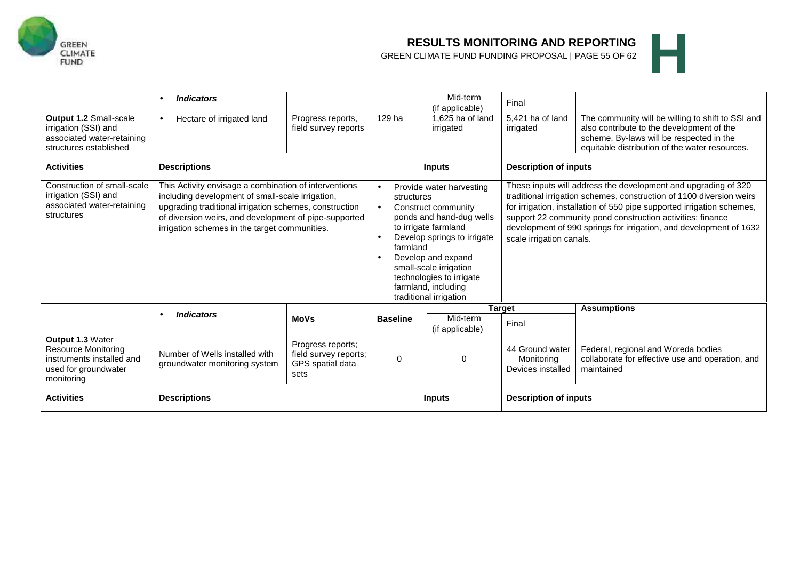

# **RESULTS MONITORING AND REPORTING**<br>GREEN CLIMATE FUND FUNDING PROPOSAL | PAGE 55 OF 62 **GREEN CLIMATE FUND FUNDING PROPOSAL | PAGE 55 OF 62**<br>GREEN CLIMATE FUND FUNDING PROPOSAL | PAGE 55 OF 62

| Output 1.2 Small-scale<br>irrigation (SSI) and<br>associated water-retaining<br>structures established     | <b>Indicators</b><br>Hectare of irrigated land                                                                                                                                                                                                                                | Progress reports,<br>field survey reports                              | 129 ha                                                                                                                                                                                                                                                                                                 | Mid-term<br>(if applicable)<br>1,625 ha of land<br>irrigated | Final<br>5,421 ha of land<br>irrigated                                                                                                                                                                                                                                                                                                                                           | The community will be willing to shift to SSI and<br>also contribute to the development of the<br>scheme. By-laws will be respected in the<br>equitable distribution of the water resources. |  |
|------------------------------------------------------------------------------------------------------------|-------------------------------------------------------------------------------------------------------------------------------------------------------------------------------------------------------------------------------------------------------------------------------|------------------------------------------------------------------------|--------------------------------------------------------------------------------------------------------------------------------------------------------------------------------------------------------------------------------------------------------------------------------------------------------|--------------------------------------------------------------|----------------------------------------------------------------------------------------------------------------------------------------------------------------------------------------------------------------------------------------------------------------------------------------------------------------------------------------------------------------------------------|----------------------------------------------------------------------------------------------------------------------------------------------------------------------------------------------|--|
| <b>Activities</b>                                                                                          | <b>Descriptions</b>                                                                                                                                                                                                                                                           |                                                                        | <b>Inputs</b>                                                                                                                                                                                                                                                                                          |                                                              | <b>Description of inputs</b>                                                                                                                                                                                                                                                                                                                                                     |                                                                                                                                                                                              |  |
| Construction of small-scale<br>irrigation (SSI) and<br>associated water-retaining<br>structures            | This Activity envisage a combination of interventions<br>including development of small-scale irrigation,<br>upgrading traditional irrigation schemes, construction<br>of diversion weirs, and development of pipe-supported<br>irrigation schemes in the target communities. |                                                                        | Provide water harvesting<br>$\bullet$<br>structures<br>Construct community<br>ponds and hand-dug wells<br>to irrigate farmland<br>Develop springs to irrigate<br>farmland<br>Develop and expand<br>small-scale irrigation<br>technologies to irrigate<br>farmland, including<br>traditional irrigation |                                                              | These inputs will address the development and upgrading of 320<br>traditional irrigation schemes, construction of 1100 diversion weirs<br>for irrigation, installation of 550 pipe supported irrigation schemes,<br>support 22 community pond construction activities; finance<br>development of 990 springs for irrigation, and development of 1632<br>scale irrigation canals. |                                                                                                                                                                                              |  |
|                                                                                                            | <b>Indicators</b>                                                                                                                                                                                                                                                             | <b>MoVs</b>                                                            | <b>Baseline</b>                                                                                                                                                                                                                                                                                        | Mid-term<br>(if applicable)                                  | <b>Target</b><br>Final                                                                                                                                                                                                                                                                                                                                                           | <b>Assumptions</b>                                                                                                                                                                           |  |
| Output 1.3 Water<br>Resource Monitoring<br>instruments installed and<br>used for groundwater<br>monitoring | Number of Wells installed with<br>groundwater monitoring system                                                                                                                                                                                                               | Progress reports;<br>field survey reports;<br>GPS spatial data<br>sets | 0                                                                                                                                                                                                                                                                                                      | 0                                                            | 44 Ground water<br>Monitoring<br>Devices installed                                                                                                                                                                                                                                                                                                                               | Federal, regional and Woreda bodies<br>collaborate for effective use and operation, and<br>maintained                                                                                        |  |
| <b>Activities</b>                                                                                          | <b>Descriptions</b>                                                                                                                                                                                                                                                           |                                                                        | <b>Inputs</b>                                                                                                                                                                                                                                                                                          |                                                              | <b>Description of inputs</b>                                                                                                                                                                                                                                                                                                                                                     |                                                                                                                                                                                              |  |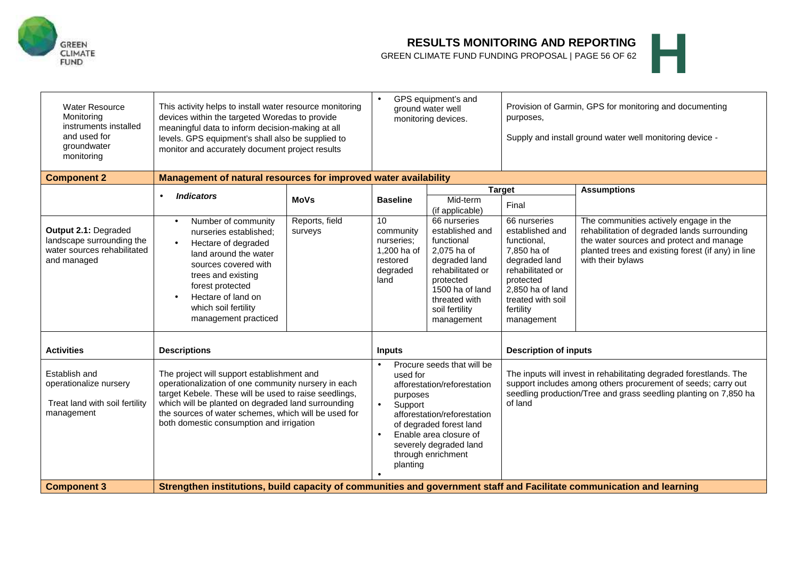

# **RESULTS MONITORING AND REPORTING**<br>GREEN CLIMATE FUND FUNDING PROPOSAL | PAGE 56 OF 62 **GREEN CLIMATE FUND FUNDING PROPOSAL | PAGE 56 OF 62**<br>GREEN CLIMATE FUND FUNDING PROPOSAL | PAGE 56 OF 62



| <b>Water Resource</b><br>Monitoring<br>instruments installed<br>and used for<br>groundwater<br>monitoring | This activity helps to install water resource monitoring<br>devices within the targeted Woredas to provide<br>meaningful data to inform decision-making at all<br>levels. GPS equipment's shall also be supplied to<br>monitor and accurately document project results                                               |                           | GPS equipment's and<br>ground water well<br>monitoring devices.                                                                                                                                                                              |                                                                                                                                                                                                       | Provision of Garmin, GPS for monitoring and documenting<br>purposes,<br>Supply and install ground water well monitoring device -                                                                                   |                                                                                                                                                                                                               |  |
|-----------------------------------------------------------------------------------------------------------|----------------------------------------------------------------------------------------------------------------------------------------------------------------------------------------------------------------------------------------------------------------------------------------------------------------------|---------------------------|----------------------------------------------------------------------------------------------------------------------------------------------------------------------------------------------------------------------------------------------|-------------------------------------------------------------------------------------------------------------------------------------------------------------------------------------------------------|--------------------------------------------------------------------------------------------------------------------------------------------------------------------------------------------------------------------|---------------------------------------------------------------------------------------------------------------------------------------------------------------------------------------------------------------|--|
| <b>Component 2</b>                                                                                        | Management of natural resources for improved water availability                                                                                                                                                                                                                                                      |                           |                                                                                                                                                                                                                                              |                                                                                                                                                                                                       |                                                                                                                                                                                                                    |                                                                                                                                                                                                               |  |
|                                                                                                           | <b>Indicators</b><br>$\bullet$                                                                                                                                                                                                                                                                                       | <b>MoVs</b>               | <b>Baseline</b>                                                                                                                                                                                                                              | Mid-term                                                                                                                                                                                              | <b>Target</b><br>Final                                                                                                                                                                                             | <b>Assumptions</b>                                                                                                                                                                                            |  |
| Output 2.1: Degraded<br>landscape surrounding the<br>water sources rehabilitated<br>and managed           | Number of community<br>$\bullet$<br>nurseries established:<br>Hectare of degraded<br>$\bullet$<br>land around the water<br>sources covered with<br>trees and existing<br>forest protected<br>Hectare of land on<br>which soil fertility<br>management practiced                                                      | Reports, field<br>surveys | 10<br>community<br>nurseries:<br>1,200 ha of<br>restored<br>degraded<br>land                                                                                                                                                                 | (if applicable)<br>66 nurseries<br>established and<br>functional<br>2,075 ha of<br>degraded land<br>rehabilitated or<br>protected<br>1500 ha of land<br>threated with<br>soil fertility<br>management | 66 nurseries<br>established and<br>functional,<br>7,850 ha of<br>degraded land<br>rehabilitated or<br>protected<br>2.850 ha of land<br>treated with soil<br>fertility<br>management                                | The communities actively engage in the<br>rehabilitation of degraded lands surrounding<br>the water sources and protect and manage<br>planted trees and existing forest (if any) in line<br>with their bylaws |  |
| <b>Activities</b>                                                                                         | <b>Descriptions</b>                                                                                                                                                                                                                                                                                                  |                           | <b>Inputs</b>                                                                                                                                                                                                                                |                                                                                                                                                                                                       | <b>Description of inputs</b>                                                                                                                                                                                       |                                                                                                                                                                                                               |  |
| Establish and<br>operationalize nursery<br>Treat land with soil fertility<br>management                   | The project will support establishment and<br>operationalization of one community nursery in each<br>target Kebele. These will be used to raise seedlings,<br>which will be planted on degraded land surrounding<br>the sources of water schemes, which will be used for<br>both domestic consumption and irrigation |                           | Procure seeds that will be<br>used for<br>afforestation/reforestation<br>purposes<br>Support<br>afforestation/reforestation<br>of degraded forest land<br>Enable area closure of<br>severely degraded land<br>through enrichment<br>planting |                                                                                                                                                                                                       | The inputs will invest in rehabilitating degraded forestlands. The<br>support includes among others procurement of seeds; carry out<br>seedling production/Tree and grass seedling planting on 7,850 ha<br>of land |                                                                                                                                                                                                               |  |
| <b>Component 3</b>                                                                                        | Strengthen institutions, build capacity of communities and government staff and Facilitate communication and learning                                                                                                                                                                                                |                           |                                                                                                                                                                                                                                              |                                                                                                                                                                                                       |                                                                                                                                                                                                                    |                                                                                                                                                                                                               |  |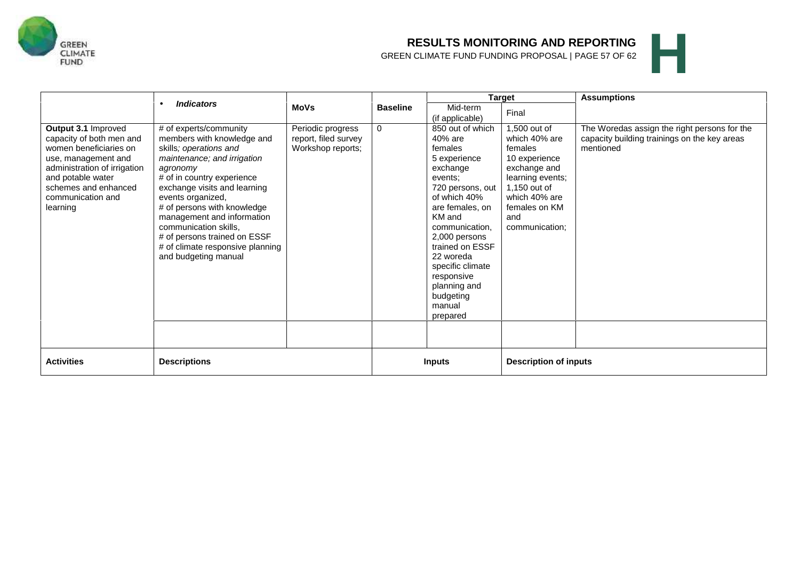

# **RESULTS MONITORING AND REPORTING**<br>GREEN CLIMATE FUND FUNDING PROPOSAL | PAGE 57 OF 62 **GREEN CLIMATE FUND FUNDING PROPOSAL | PAGE 57 OF 62**



|                                                                                                                                                                                                                |                                                                                                                                                                                                                                                                                                                                                                                                |                                                                |                 |                                                                                                                                                                                                                                                                                                        | <b>Target</b>                                                                                                                                                            | <b>Assumptions</b>                                                                                        |
|----------------------------------------------------------------------------------------------------------------------------------------------------------------------------------------------------------------|------------------------------------------------------------------------------------------------------------------------------------------------------------------------------------------------------------------------------------------------------------------------------------------------------------------------------------------------------------------------------------------------|----------------------------------------------------------------|-----------------|--------------------------------------------------------------------------------------------------------------------------------------------------------------------------------------------------------------------------------------------------------------------------------------------------------|--------------------------------------------------------------------------------------------------------------------------------------------------------------------------|-----------------------------------------------------------------------------------------------------------|
|                                                                                                                                                                                                                | <b>Indicators</b>                                                                                                                                                                                                                                                                                                                                                                              | <b>MoVs</b>                                                    | <b>Baseline</b> | Mid-term                                                                                                                                                                                                                                                                                               | Final                                                                                                                                                                    |                                                                                                           |
|                                                                                                                                                                                                                |                                                                                                                                                                                                                                                                                                                                                                                                |                                                                |                 | (if applicable)                                                                                                                                                                                                                                                                                        |                                                                                                                                                                          |                                                                                                           |
| Output 3.1 Improved<br>capacity of both men and<br>women beneficiaries on<br>use, management and<br>administration of irrigation<br>and potable water<br>schemes and enhanced<br>communication and<br>learning | # of experts/community<br>members with knowledge and<br>skills; operations and<br>maintenance; and irrigation<br>agronomy<br># of in country experience<br>exchange visits and learning<br>events organized,<br># of persons with knowledge<br>management and information<br>communication skills,<br># of persons trained on ESSF<br># of climate responsive planning<br>and budgeting manual | Periodic progress<br>report, filed survey<br>Workshop reports; | $\Omega$        | 850 out of which<br>40% are<br>females<br>5 experience<br>exchange<br>events;<br>720 persons, out<br>of which 40%<br>are females, on<br>KM and<br>communication,<br>2,000 persons<br>trained on ESSF<br>22 woreda<br>specific climate<br>responsive<br>planning and<br>budgeting<br>manual<br>prepared | 1,500 out of<br>which 40% are<br>females<br>10 experience<br>exchange and<br>learning events;<br>1,150 out of<br>which 40% are<br>females on KM<br>and<br>communication; | The Woredas assign the right persons for the<br>capacity building trainings on the key areas<br>mentioned |
| <b>Activities</b>                                                                                                                                                                                              | <b>Descriptions</b>                                                                                                                                                                                                                                                                                                                                                                            |                                                                |                 | <b>Inputs</b>                                                                                                                                                                                                                                                                                          | <b>Description of inputs</b>                                                                                                                                             |                                                                                                           |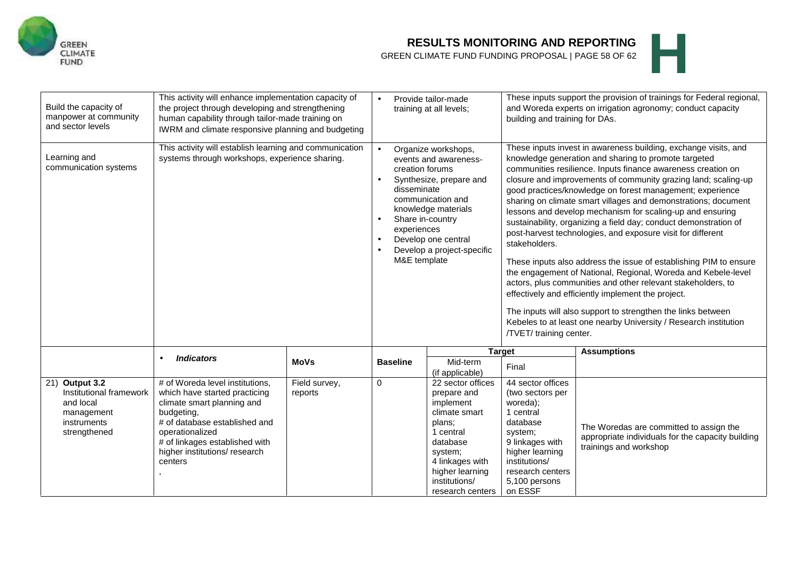

### **RESULTS MONITORING AND REPORTING**

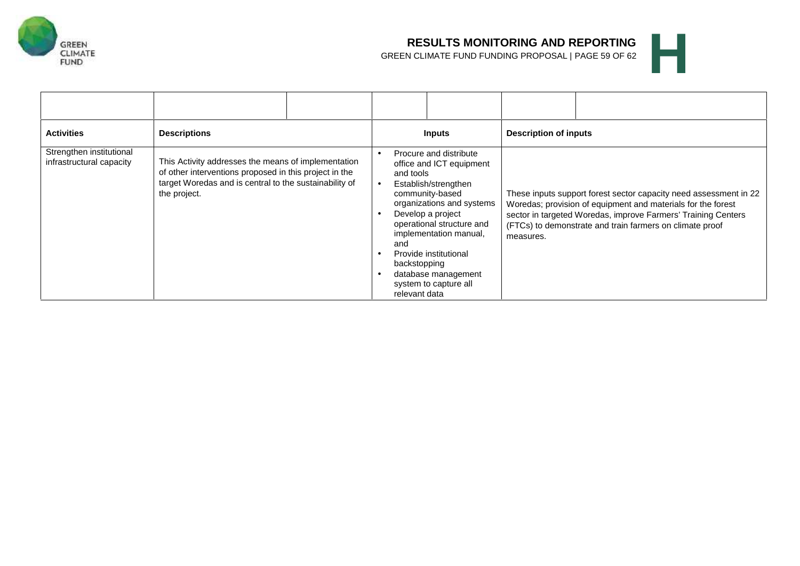![](_page_60_Picture_0.jpeg)

# **RESULTS MONITORING AND REPORTING**<br>GREEN CLIMATE FUND FUNDING PROPOSAL | PAGE 59 OF 62 **GREEN CLIMATE FUND FUNDING PROPOSAL | PAGE 59 OF 62**

| <b>Activities</b>                                    | <b>Descriptions</b>                                                                                                                                                                     | <b>Inputs</b>                                                                                                                                                                                                                                                                                                                        | <b>Description of inputs</b>                                                                                                                                                                                                                                                |
|------------------------------------------------------|-----------------------------------------------------------------------------------------------------------------------------------------------------------------------------------------|--------------------------------------------------------------------------------------------------------------------------------------------------------------------------------------------------------------------------------------------------------------------------------------------------------------------------------------|-----------------------------------------------------------------------------------------------------------------------------------------------------------------------------------------------------------------------------------------------------------------------------|
| Strengthen institutional<br>infrastructural capacity | This Activity addresses the means of implementation<br>of other interventions proposed in this project in the<br>target Woredas and is central to the sustainability of<br>the project. | Procure and distribute<br>office and ICT equipment<br>and tools<br>Establish/strengthen<br>community-based<br>organizations and systems<br>Develop a project<br>operational structure and<br>implementation manual,<br>and<br>Provide institutional<br>backstopping<br>database management<br>system to capture all<br>relevant data | These inputs support forest sector capacity need assessment in 22<br>Woredas; provision of equipment and materials for the forest<br>sector in targeted Woredas, improve Farmers' Training Centers<br>(FTCs) to demonstrate and train farmers on climate proof<br>measures. |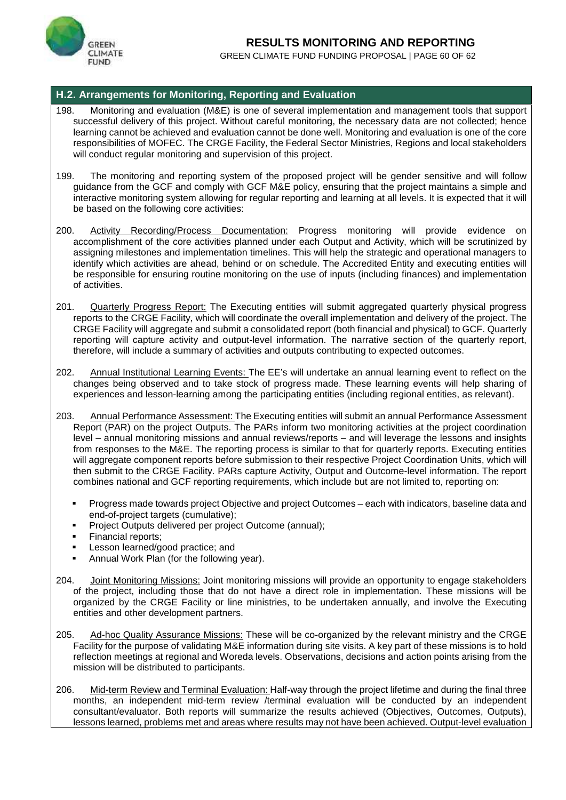![](_page_61_Picture_0.jpeg)

# **RESULTS MONITORING AND REPORTING RESULTS MONITORING AND REPORTING**<br>GREEN CLIMATE FUND FUNDING PROPOSAL | PAGE 60 OF 62

#### **H.2. Arrangements for Monitoring, Reporting and Evaluation**

- 198. Monitoring and evaluation (M&E) is one of several implementation and management tools that support successful delivery of this project. Without careful monitoring, the necessary data are not collected; hence learning cannot be achieved and evaluation cannot be done well. Monitoring and evaluation is one of the core responsibilities of MOFEC. The CRGE Facility, the Federal Sector Ministries, Regions and local stakeholders will conduct regular monitoring and supervision of this project.
- 199. The monitoring and reporting system of the proposed project will be gender sensitive and will follow guidance from the GCF and comply with GCF M&E policy, ensuring that the project maintains a simple and interactive monitoring system allowing for regular reporting and learning at all levels. It is expected that it will be based on the following core activities:
- 200. Activity Recording/Process Documentation: Progress monitoring will provide evidence on accomplishment of the core activities planned under each Output and Activity, which will be scrutinized by assigning milestones and implementation timelines. This will help the strategic and operational managers to identify which activities are ahead, behind or on schedule. The Accredited Entity and executing entities will be responsible for ensuring routine monitoring on the use of inputs (including finances) and implementation of activities.
- 201. Quarterly Progress Report: The Executing entities will submit aggregated quarterly physical progress reports to the CRGE Facility, which will coordinate the overall implementation and delivery of the project. The CRGE Facility will aggregate and submit a consolidated report (both financial and physical) to GCF. Quarterly reporting will capture activity and output-level information. The narrative section of the quarterly report, therefore, will include a summary of activities and outputs contributing to expected outcomes.
- 202. Annual Institutional Learning Events: The EE's will undertake an annual learning event to reflect on the changes being observed and to take stock of progress made. These learning events will help sharing of experiences and lesson-learning among the participating entities (including regional entities, as relevant).
- 203. Annual Performance Assessment: The Executing entities will submit an annual Performance Assessment Report (PAR) on the project Outputs. The PARs inform two monitoring activities at the project coordination level – annual monitoring missions and annual reviews/reports – and will leverage the lessons and insights from responses to the M&E. The reporting process is similar to that for quarterly reports. Executing entities will aggregate component reports before submission to their respective Project Coordination Units, which will then submit to the CRGE Facility. PARs capture Activity, Output and Outcome-level information. The report combines national and GCF reporting requirements, which include but are not limited to, reporting on:
	- Progress made towards project Objective and project Outcomes each with indicators, baseline data and end-of-project targets (cumulative);
	- Project Outputs delivered per project Outcome (annual);
	- Financial reports;
	- Lesson learned/good practice; and
	- Annual Work Plan (for the following year).
- 204. Joint Monitoring Missions: Joint monitoring missions will provide an opportunity to engage stakeholders of the project, including those that do not have a direct role in implementation. These missions will be organized by the CRGE Facility or line ministries, to be undertaken annually, and involve the Executing entities and other development partners.
- 205. Ad-hoc Quality Assurance Missions: These will be co-organized by the relevant ministry and the CRGE Facility for the purpose of validating M&E information during site visits. A key part of these missions is to hold reflection meetings at regional and Woreda levels. Observations, decisions and action points arising from the mission will be distributed to participants.
- 206. Mid-term Review and Terminal Evaluation: Half-way through the project lifetime and during the final three months, an independent mid-term review /terminal evaluation will be conducted by an independent consultant/evaluator. Both reports will summarize the results achieved (Objectives, Outcomes, Outputs), lessons learned, problems met and areas where results may not have been achieved. Output-level evaluation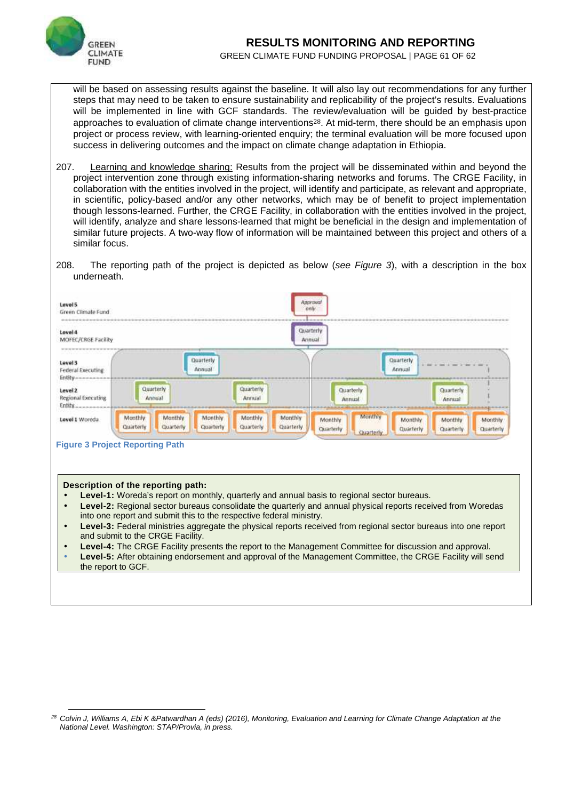![](_page_62_Picture_0.jpeg)

# **RESULTS MONITORING AND REPORTING RESULTS MONITORING AND REPORTING**<br>GREEN CLIMATE FUND FUNDING PROPOSAL | PAGE 61 OF 62<br>**ACCEDITE 15 ACCEDITE 15 HAULT PAGE 15 ACCEDITE 15 ACCEDITE 15 ACCEDITE 15 ACCEDITE 15 ACCEDITE 15 ACCEDITE 15 ACCEDITE 15 ACCEDITE 15**

will be based on assessing results against the baseline. It will also lay out recommendations for any further steps that may need to be taken to ensure sustainability and replicability of the project's results. Evaluations will be implemented in line with GCF standards. The review/evaluation will be guided by best-practice approaches to evaluation of climate change interventions28. At mid-term, there should be an emphasis upon project or process review, with learning-oriented enquiry; the terminal evaluation will be more focused upon success in delivering outcomes and the impact on climate change adaptation in Ethiopia.

- 207. Learning and knowledge sharing: Results from the project will be disseminated within and beyond the project intervention zone through existing information-sharing networks and forums. The CRGE Facility, in collaboration with the entities involved in the project, will identify and participate, as relevant and appropriate, in scientific, policy-based and/or any other networks, which may be of benefit to project implementation though lessons-learned. Further, the CRGE Facility, in collaboration with the entities involved in the project, will identify, analyze and share lessons-learned that might be beneficial in the design and implementation of similar future projects. A two-way flow of information will be maintained between this project and others of a similar focus.
- 208. The reporting path of the project is depicted as below (*see Figure 3*), with a description in the box underneath.

![](_page_62_Figure_5.jpeg)

#### **Figure 3 Project Reporting Path**

#### **Description of the reporting path:**

- **Level-1:** Woreda's report on monthly, quarterly and annual basis to regional sector bureaus.
- **Level-2:** Regional sector bureaus consolidate the quarterly and annual physical reports received from Woredas into one report and submit this to the respective federal ministry.
- **Level-3:** Federal ministries aggregate the physical reports received from regional sector bureaus into one report and submit to the CRGE Facility.
- **Level-4:** The CRGE Facility presents the report to the Management Committee for discussion and approval.
- **Level-5:** After obtaining endorsement and approval of the Management Committee, the CRGE Facility will send the report to GCF.

*<sup>28</sup> Colvin J, Williams A, Ebi K &Patwardhan A (eds) (2016), Monitoring, Evaluation and Learning for Climate Change Adaptation at the National Level. Washington: STAP/Provia, in press.*